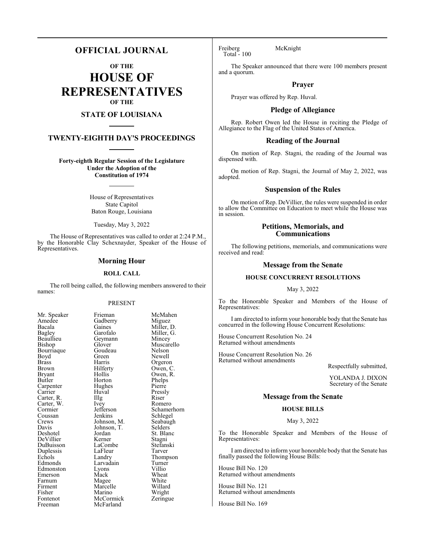# **OFFICIAL JOURNAL**

**OF THE**

**HOUSE OF REPRESENTATIVES OF THE**

# **STATE OF LOUISIANA**

# **TWENTY-EIGHTH DAY'S PROCEEDINGS**

**Forty-eighth Regular Session of the Legislature Under the Adoption of the Constitution of 1974**

> House of Representatives State Capitol Baton Rouge, Louisiana

Tuesday, May 3, 2022

The House of Representatives was called to order at 2:24 P.M., by the Honorable Clay Schexnayder, Speaker of the House of Representatives.

## **Morning Hour**

### **ROLL CALL**

The roll being called, the following members answered to their names:

### PRESENT

Amedee Gadberry<br>Bacala Gaines Bacala Gaines Miller, D. Bagley Garofalo Miller, G. Bagley Garofalo Miller, G. Beaullieu Geymann<br>Bishop Glover Bourriaque Goude<br>Boyd Green Boyd Green Newell<br>Brass Harris Orgerol Brass Harris Orgeron Brown Hilferty Owen, C. Bryant Hollis Owen, R.<br>Butler Horton Phelps Carpenter Hughes Pierre<br>Carrier Huval Pressly Carrier Huval Pressl<br>Carter, R. Illg Riser Carter, R. Illg Riser<br>Carter, W. Ivev Romero Carter, W. Ivey<br>Cormier Jefferson Cormier Jefferson Schamerhorn<br>Coussan Jenkins Schlegel Coussan Jenkins Schlegel<br>Crews Johnson, M. Seabaugh Crews Johnson, M. Seabaught Seabaught Seabaught Seabaught Seabaught Seabaught Seabaught Seabaught Seabaught Seabaught Seabaught Seabaught Seabaught Seabaught Seabaught Seabaught Seabaught Seabaught Seabaught Seabaught Seab Davis Johnson, T.<br>Deshotel Jordan DeVillier Kerner Stagni<br>DuBuisson LaCombe Stefanski DuBuisson LaCombe Stefans<br>
Duplessis LaFleur Tarver Duplessis LaFleur<br>
Echols Landry Echols Landry Thompson Edmonston Lyons Villio Emerson Mack Wheat<br>
Farnum Magee White Farnum Magee White<br>Firment Marcelle Willard Firment Marcelle Willard<br>Fisher Marino Wright Fisher Marino Wright<br>
Fontenot McCormick Zeringue Fontenot McCormick<br>Freeman McFarland

Mr. Speaker Frieman McMahen<br>Amedee Gadberry Miguez Glover Muscarello<br>Goudeau Nelson Horton Phelps<br>Hughes Pierre Jordan St. Blanc<br>Kerner Stagni Larvadain Turner<br>Lyons Villio McFarland

Freiberg McKnight Total - 100

The Speaker announced that there were 100 members present and a quorum.

# **Prayer**

Prayer was offered by Rep. Huval.

# **Pledge of Allegiance**

Rep. Robert Owen led the House in reciting the Pledge of Allegiance to the Flag of the United States of America.

## **Reading of the Journal**

On motion of Rep. Stagni, the reading of the Journal was dispensed with.

On motion of Rep. Stagni, the Journal of May 2, 2022, was adopted.

# **Suspension of the Rules**

On motion of Rep. DeVillier, the rules were suspended in order to allow the Committee on Education to meet while the House was in session.

# **Petitions, Memorials, and Communications**

The following petitions, memorials, and communications were received and read:

### **Message from the Senate**

# **HOUSE CONCURRENT RESOLUTIONS**

May 3, 2022

To the Honorable Speaker and Members of the House of Representatives:

I am directed to inform your honorable body that the Senate has concurred in the following House Concurrent Resolutions:

House Concurrent Resolution No. 24 Returned without amendments

House Concurrent Resolution No. 26 Returned without amendments

Respectfully submitted,

YOLANDA J. DIXON Secretary of the Senate

# **Message from the Senate**

# **HOUSE BILLS**

### May 3, 2022

To the Honorable Speaker and Members of the House of Representatives:

I am directed to inform your honorable body that the Senate has finally passed the following House Bills:

House Bill No. 120 Returned without amendments

House Bill No. 121 Returned without amendments

House Bill No. 169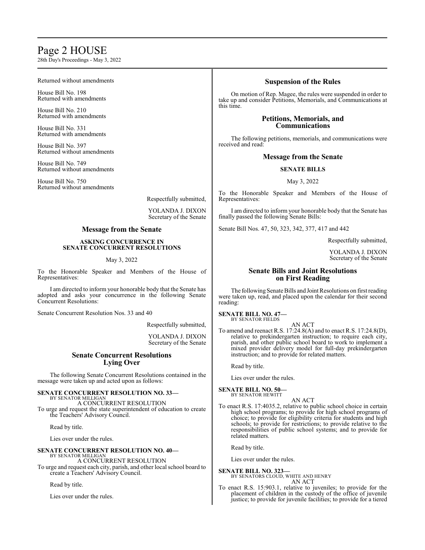# Page 2 HOUSE

28th Day's Proceedings - May 3, 2022

### Returned without amendments

House Bill No. 198 Returned with amendments

House Bill No. 210 Returned with amendments

House Bill No. 331 Returned with amendments

House Bill No. 397 Returned without amendments

House Bill No. 749 Returned without amendments

House Bill No. 750 Returned without amendments

Respectfully submitted,

YOLANDA J. DIXON Secretary of the Senate

# **Message from the Senate**

### **ASKING CONCURRENCE IN SENATE CONCURRENT RESOLUTIONS**

## May 3, 2022

To the Honorable Speaker and Members of the House of Representatives:

I am directed to inform your honorable body that the Senate has adopted and asks your concurrence in the following Senate Concurrent Resolutions:

Senate Concurrent Resolution Nos. 33 and 40

Respectfully submitted,

YOLANDA J. DIXON Secretary of the Senate

# **Senate Concurrent Resolutions Lying Over**

The following Senate Concurrent Resolutions contained in the message were taken up and acted upon as follows:

#### **SENATE CONCURRENT RESOLUTION NO. 33—** BY SENATOR MILLIGAN

A CONCURRENT RESOLUTION To urge and request the state superintendent of education to create the Teachers' Advisory Council.

Read by title.

Lies over under the rules.

#### **SENATE CONCURRENT RESOLUTION NO. 40—** BY SENATOR MILLIGAN

A CONCURRENT RESOLUTION To urge and request each city, parish, and other local school board to create a Teachers' Advisory Council.

Read by title.

Lies over under the rules.

# **Suspension of the Rules**

On motion of Rep. Magee, the rules were suspended in order to take up and consider Petitions, Memorials, and Communications at this time.

# **Petitions, Memorials, and Communications**

The following petitions, memorials, and communications were received and read:

# **Message from the Senate**

## **SENATE BILLS**

May 3, 2022

To the Honorable Speaker and Members of the House of Representatives:

I am directed to inform your honorable body that the Senate has finally passed the following Senate Bills:

Senate Bill Nos. 47, 50, 323, 342, 377, 417 and 442

Respectfully submitted,

YOLANDA J. DIXON Secretary of the Senate

# **Senate Bills and Joint Resolutions on First Reading**

The following Senate Bills and Joint Resolutions on first reading were taken up, read, and placed upon the calendar for their second reading:

**SENATE BILL NO. 47—** BY SENATOR FIELDS

AN ACT To amend and reenact R.S. 17:24.8(A) and to enact R.S. 17:24.8(D), relative to prekindergarten instruction; to require each city, parish, and other public school board to work to implement a mixed provider delivery model for full-day prekindergarten instruction; and to provide for related matters.

Read by title.

Lies over under the rules.

# **SENATE BILL NO. 50—**

BY SENATOR HEWITT AN ACT

To enact R.S. 17:4035.2, relative to public school choice in certain high school programs; to provide for high school programs of choice; to provide for eligibility criteria for students and high schools; to provide for restrictions; to provide relative to the responsibilities of public school systems; and to provide for related matters.

Read by title.

Lies over under the rules.

# **SENATE BILL NO. 323—**

BY SENATORS CLOUD, WHITE AND HENRY AN ACT

To enact R.S. 15:903.1, relative to juveniles; to provide for the placement of children in the custody of the office of juvenile justice; to provide for juvenile facilities; to provide for a tiered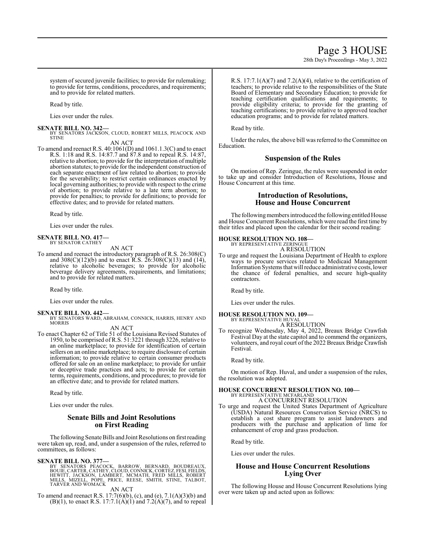28th Day's Proceedings - May 3, 2022

system of secured juvenile facilities; to provide for rulemaking; to provide for terms, conditions, procedures, and requirements; and to provide for related matters.

Read by title.

Lies over under the rules.

### **SENATE BILL NO. 342—**

BY SENATORS JACKSON, CLOUD, ROBERT MILLS, PEACOCK AND STINE AN ACT

To amend and reenact R.S. 40:1061(D) and 1061.1.3(C) and to enact R.S. 1:18 and R.S. 14:87.7 and 87.8 and to repeal R.S. 14:87, relative to abortion; to provide for the interpretation of multiple abortion statutes; to provide for the independent construction of each separate enactment of law related to abortion; to provide for the severability; to restrict certain ordinances enacted by local governing authorities; to provide with respect to the crime of abortion; to provide relative to a late term abortion; to provide for penalties; to provide for definitions; to provide for effective dates; and to provide for related matters.

Read by title.

Lies over under the rules.

#### **SENATE BILL NO. 417—** BY SENATOR CATHEY

AN ACT

To amend and reenact the introductory paragraph of R.S. 26:308(C) and  $308(C)(12)(b)$  and to enact R.S.  $26:308(C)(13)$  and  $(14)$ , relative to alcoholic beverages; to provide for alcoholic beverage delivery agreements, requirements, and limitations; and to provide for related matters.

Read by title.

Lies over under the rules.

### **SENATE BILL NO. 442—**

BY SENATORS WARD, ABRAHAM, CONNICK, HARRIS, HENRY AND **MORRIS** 

AN ACT

To enact Chapter 62 of Title 51 of the Louisiana Revised Statutes of 1950, to be comprised ofR.S. 51:3221 through 3226, relative to an online marketplace; to provide for identification of certain sellers on an online marketplace; to require disclosure of certain information; to provide relative to certain consumer products offered for sale on an online marketplace; to provide for unfair or deceptive trade practices and acts; to provide for certain terms, requirements, conditions, and procedures; to provide for an effective date; and to provide for related matters.

Read by title.

Lies over under the rules.

# **Senate Bills and Joint Resolutions on First Reading**

The following Senate Bills and Joint Resolutions on first reading were taken up, read, and, under a suspension of the rules, referred to committees, as follows:

## **SENATE BILL NO. 377—**

BY SENATORS PEACOCK, BARROW, BERNARD, BOUDREAUX,<br>BOUIE,CARTER,CATHEY,CLOUD,CONNICK,CORTEZ,FESI,FIELDS,<br>HEWITT,JACKSON, LAMBERT, MCMATH, FRED MILLS, ROBERT<br>MILLS, MIZELL, POPE, PRICE, REESE, SMITH, STINE, TALBOT,<br>TARVER AND

AN ACT

To amend and reenact R.S. 17:7(6)(b), (c), and (e), 7.1(A)(3)(b) and  $(B)(1)$ , to enact R.S. 17:7.1(A)(1) and 7.2(A)(7), and to repeal R.S. 17:7.1(A)(7) and 7.2(A)(4), relative to the certification of teachers; to provide relative to the responsibilities of the State Board of Elementary and Secondary Education; to provide for teaching certification qualifications and requirements; to provide eligibility criteria; to provide for the granting of teaching certifications; to provide relative to approved teacher education programs; and to provide for related matters.

Read by title.

Under the rules, the above bill was referred to the Committee on Education.

# **Suspension of the Rules**

On motion of Rep. Zeringue, the rules were suspended in order to take up and consider Introduction of Resolutions, House and House Concurrent at this time.

# **Introduction of Resolutions, House and House Concurrent**

The following members introduced the following entitled House and House Concurrent Resolutions, which were read the first time by their titles and placed upon the calendar for their second reading:

# **HOUSE RESOLUTION NO. 108—** BY REPRESENTATIVE ZERINGUE

A RESOLUTION

To urge and request the Louisiana Department of Health to explore ways to procure services related to Medicaid Management Information Systems that will reduce administrative costs, lower the chance of federal penalties, and secure high-quality contractors.

Read by title.

Lies over under the rules.

#### **HOUSE RESOLUTION NO. 109—** BY REPRESENTATIVE HUVAL

A RESOLUTION

To recognize Wednesday, May 4, 2022, Breaux Bridge Crawfish Festival Day at the state capitol and to commend the organizers, volunteers, and royal court of the 2022 Breaux Bridge Crawfish Festival.

Read by title.

On motion of Rep. Huval, and under a suspension of the rules, the resolution was adopted.

# **HOUSE CONCURRENT RESOLUTION NO. 100—**

BY REPRESENTATIVE MCFARLAND A CONCURRENT RESOLUTION

To urge and request the United States Department of Agriculture (USDA) Natural Resources Conservation Service (NRCS) to establish a cost share program to assist landowners and producers with the purchase and application of lime for enhancement of crop and grass production.

Read by title.

Lies over under the rules.

# **House and House Concurrent Resolutions Lying Over**

The following House and House Concurrent Resolutions lying over were taken up and acted upon as follows: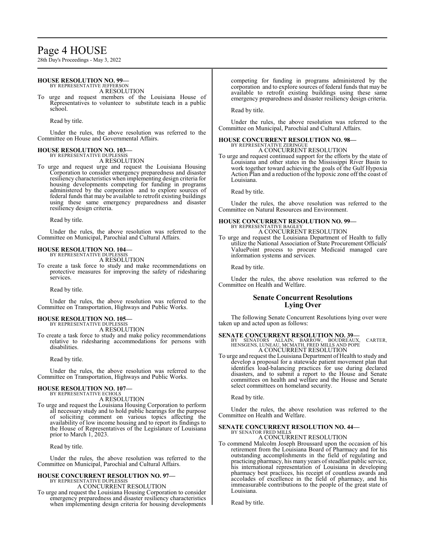# Page 4 HOUSE

28th Day's Proceedings - May 3, 2022

#### **HOUSE RESOLUTION NO. 99—** BY REPRESENTATIVE JEFFERSON

A RESOLUTION

To urge and request members of the Louisiana House of Representatives to volunteer to substitute teach in a public school.

Read by title.

Under the rules, the above resolution was referred to the Committee on House and Governmental Affairs.

### **HOUSE RESOLUTION NO. 103—**

BY REPRESENTATIVE DUPLESSIS A RESOLUTION

To urge and request urge and request the Louisiana Housing Corporation to consider emergency preparedness and disaster resiliency characteristics when implementing design criteria for housing developments competing for funding in programs administered by the corporation and to explore sources of federal funds that may be available to retrofit existing buildings using these same emergency preparedness and disaster resiliency design criteria.

Read by title.

Under the rules, the above resolution was referred to the Committee on Municipal, Parochial and Cultural Affairs.

# **HOUSE RESOLUTION NO. 104—**

BY REPRESENTATIVE DUPLESSIS A RESOLUTION

To create a task force to study and make recommendations on protective measures for improving the safety of ridesharing services.

Read by title.

Under the rules, the above resolution was referred to the Committee on Transportation, Highways and Public Works.

#### **HOUSE RESOLUTION NO. 105—** BY REPRESENTATIVE DUPLESSIS

A RESOLUTION

To create a task force to study and make policy recommendations relative to ridesharing accommodations for persons with disabilities.

Read by title.

Under the rules, the above resolution was referred to the Committee on Transportation, Highways and Public Works.

### **HOUSE RESOLUTION NO. 107—** BY REPRESENTATIVE ECHOLS

A RESOLUTION

To urge and request the Louisiana Housing Corporation to perform all necessary study and to hold public hearings for the purpose of soliciting comment on various topics affecting the availability of low income housing and to report its findings to the House of Representatives of the Legislature of Louisiana prior to March 1, 2023.

Read by title.

Under the rules, the above resolution was referred to the Committee on Municipal, Parochial and Cultural Affairs.

#### **HOUSE CONCURRENT RESOLUTION NO. 97—** BY REPRESENTATIVE DUPLESSIS

A CONCURRENT RESOLUTION

To urge and request the Louisiana Housing Corporation to consider emergency preparedness and disaster resiliency characteristics when implementing design criteria for housing developments competing for funding in programs administered by the corporation and to explore sources of federal funds that may be available to retrofit existing buildings using these same emergency preparedness and disaster resiliency design criteria.

Read by title.

Under the rules, the above resolution was referred to the Committee on Municipal, Parochial and Cultural Affairs.

# **HOUSE CONCURRENT RESOLUTION NO. 98—** BY REPRESENTATIVE ZERINGUE

A CONCURRENT RESOLUTION

To urge and request continued support for the efforts by the state of Louisiana and other states in the Mississippi River Basin to work together toward achieving the goals of the Gulf Hypoxia Action Plan and a reduction of the hypoxic zone off the coast of Louisiana.

Read by title.

Under the rules, the above resolution was referred to the Committee on Natural Resources and Environment.

#### **HOUSE CONCURRENT RESOLUTION NO. 99—** BY REPRESENTATIVE BAGLEY

A CONCURRENT RESOLUTION

To urge and request the Louisiana Department of Health to fully utilize the National Association of State Procurement Officials' ValuePoint process to procure Medicaid managed care information systems and services.

Read by title.

Under the rules, the above resolution was referred to the Committee on Health and Welfare.

# **Senate Concurrent Resolutions Lying Over**

The following Senate Concurrent Resolutions lying over were taken up and acted upon as follows:

**SENATE CONCURRENT RESOLUTION NO. 39—**<br>BY SENATORS ALLAIN, BARROW, BOUDREAUX, CARTER,<br>HENSGENS, LUNEAU, MCMATH, FRED MILLS AND POPE A CONCURRENT RESOLUTION

To urge and request the Louisiana Department of Health to study and develop a proposal for a statewide patient movement plan that identifies load-balancing practices for use during declared disasters, and to submit a report to the House and Senate committees on health and welfare and the House and Senate select committees on homeland security.

Read by title.

Under the rules, the above resolution was referred to the Committee on Health and Welfare.

### **SENATE CONCURRENT RESOLUTION NO. 44—** BY SENATOR FRED MILLS

A CONCURRENT RESOLUTION

To commend Malcolm Joseph Broussard upon the occasion of his retirement from the Louisiana Board of Pharmacy and for his outstanding accomplishments in the field of regulating and practicing pharmacy, his many years of steadfast public service, his international representation of Louisiana in developing pharmacy best practices, his receipt of countless awards and accolades of excellence in the field of pharmacy, and his immeasurable contributions to the people of the great state of Louisiana.

Read by title.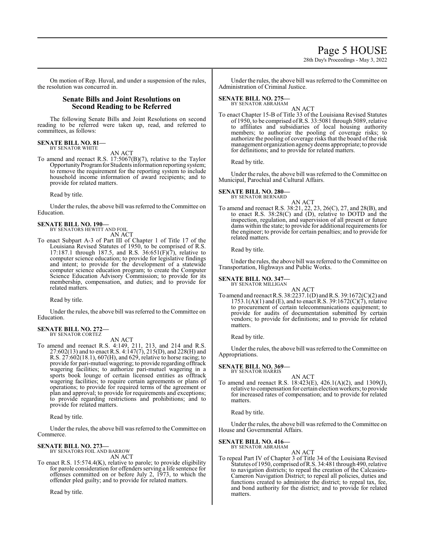# Page 5 HOUSE

28th Day's Proceedings - May 3, 2022

On motion of Rep. Huval, and under a suspension of the rules, the resolution was concurred in.

# **Senate Bills and Joint Resolutions on Second Reading to be Referred**

The following Senate Bills and Joint Resolutions on second reading to be referred were taken up, read, and referred to committees, as follows:

#### **SENATE BILL NO. 81—** BY SENATOR WHITE

AN ACT

To amend and reenact R.S. 17:5067(B)(7), relative to the Taylor Opportunity Program for Students information reporting system; to remove the requirement for the reporting system to include household income information of award recipients; and to provide for related matters.

Read by title.

Under the rules, the above bill was referred to the Committee on Education.

# **SENATE BILL NO. 190—** BY SENATORS HEWITT AND FOIL

- AN ACT
- To enact Subpart A-3 of Part III of Chapter 1 of Title 17 of the Louisiana Revised Statutes of 1950, to be comprised of R.S. 17:187.1 through 187.5, and R.S.  $36:651(F)(7)$ , relative to computer science education; to provide for legislative findings and intent; to provide for the development of a statewide computer science education program; to create the Computer Science Education Advisory Commission; to provide for its membership, compensation, and duties; and to provide for related matters.

Read by title.

Under the rules, the above bill was referred to the Committee on Education.

#### **SENATE BILL NO. 272—** BY SENATOR CORTEZ

AN ACT

To amend and reenact R.S. 4:149, 211, 213, and 214 and R.S. 27:602(13) and to enact R.S. 4:147(7), 215(D), and 228(H) and R.S. 27:602(18.1), 607(H), and 629, relative to horse racing; to provide for pari-mutuel wagering; to provide regarding offtrack wagering facilities; to authorize pari-mutuel wagering in a sports book lounge of certain licensed entities as offtrack wagering facilities; to require certain agreements or plans of operations; to provide for required terms of the agreement or plan and approval; to provide for requirements and exceptions; to provide regarding restrictions and prohibitions; and to provide for related matters.

Read by title.

Under the rules, the above bill was referred to theCommittee on Commerce.

# **SENATE BILL NO. 273—** BY SENATORS FOIL AND BARROW

AN ACT

To enact R.S. 15:574.4(K), relative to parole; to provide eligibility for parole consideration for offenders serving a life sentence for offenses committed on or before July 2, 1973, to which the offender pled guilty; and to provide for related matters.

Read by title.

Under the rules, the above bill was referred to the Committee on Administration of Criminal Justice.

#### **SENATE BILL NO. 275—** BY SENATOR ABRAHAM

AN ACT

To enact Chapter 15-B of Title 33 of the Louisiana Revised Statutes of 1950, to be comprised ofR.S. 33:5081 through 5089, relative to affiliates and subsidiaries of local housing authority members; to authorize the pooling of coverage risks; to authorize the pooling of coverage risks that the board of the risk management organization agencydeems appropriate; to provide for definitions; and to provide for related matters.

Read by title.

Under the rules, the above bill was referred to the Committee on Municipal, Parochial and Cultural Affairs.

# **SENATE BILL NO. 280—**

BY SENATOR BERNARD

AN ACT To amend and reenact R.S. 38:21, 22, 23, 26(C), 27, and 28(B), and to enact R.S. 38:28(C) and (D), relative to DOTD and the inspection, regulation, and supervision of all present or future dams within the state; to provide for additional requirements for the engineer; to provide for certain penalties; and to provide for related matters.

Read by title.

Under the rules, the above bill was referred to the Committee on Transportation, Highways and Public Works.

# **SENATE BILL NO. 347—**

BY SENATOR MILLIGAN

AN ACT To amend and reenact R.S. 38:2237.1(D) and R.S. 39:1672(C)(2) and 1753.1(A)(1) and (E), and to enact R.S. 39:1672(C)(7), relative to procurement of certain telecommunications equipment; to provide for audits of documentation submitted by certain vendors; to provide for definitions; and to provide for related matters.

Read by title.

Under the rules, the above bill was referred to the Committee on Appropriations.

#### **SENATE BILL NO. 369—** BY SENATOR HARRIS

AN ACT

To amend and reenact R.S. 18:423(E), 426.1(A)(2), and 1309(J), relative to compensation for certain election workers; to provide for increased rates of compensation; and to provide for related matters.

Read by title.

Under the rules, the above bill was referred to the Committee on House and Governmental Affairs.

# **SENATE BILL NO. 416—**

BY SENATOR ABRAHAM AN ACT

To repeal Part IV of Chapter 3 of Title 34 of the Louisiana Revised Statutes of 1950, comprised ofR.S. 34:481 through 490, relative to navigation districts; to repeal the creation of the Calcasieu-Cameron Navigation District; to repeal all policies, duties and functions created to administer the district; to repeal tax, fee, and bond authority for the district; and to provide for related matters.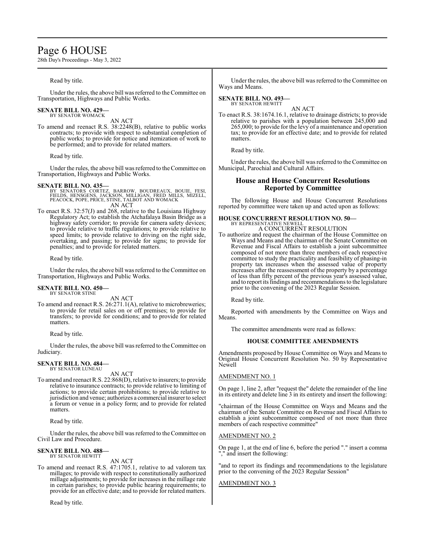# Page 6 HOUSE

28th Day's Proceedings - May 3, 2022

# Read by title.

Under the rules, the above bill was referred to the Committee on Transportation, Highways and Public Works.

# **SENATE BILL NO. 429—** BY SENATOR WOMACK

AN ACT

To amend and reenact R.S. 38:2248(B), relative to public works contracts; to provide with respect to substantial completion of public works; to provide for notice and itemization of work to be performed; and to provide for related matters.

Read by title.

Under the rules, the above bill was referred to the Committee on Transportation, Highways and Public Works.

- **SENATE BILL NO. 435—**<br>BY SENATORS CORTEZ, BARROW, BOUDREAUX, BOUIE, FESI,<br>FIELDS, HENSGENS, JACKSON, MILLIGAN, FRED MILLS, MIZELL,<br>PEACOCK, POPE, PRICE, STINE, TALBOT AND WOMACK AN ACT
- To enact R.S. 32:57(J) and 268, relative to the Louisiana Highway Regulatory Act; to establish the Atchafalaya Basin Bridge as a highway safety corridor; to provide for camera safety devices; to provide relative to traffic regulations; to provide relative to speed limits; to provide relative to driving on the right side, overtaking, and passing; to provide for signs; to provide for penalties; and to provide for related matters.

Read by title.

Under the rules, the above bill was referred to the Committee on Transportation, Highways and Public Works.

#### **SENATE BILL NO. 450—** BY SENATOR STINE

AN ACT

To amend and reenact R.S. 26:271.1(A), relative to microbreweries; to provide for retail sales on or off premises; to provide for transfers; to provide for conditions; and to provide for related matters.

Read by title.

Under the rules, the above bill was referred to the Committee on Judiciary.

# **SENATE BILL NO. 484—** BY SENATOR LUNEAU

AN ACT

To amend and reenact R.S. 22:868(D), relative to insurers; to provide relative to insurance contracts; to provide relative to limiting of actions; to provide certain prohibitions; to provide relative to jurisdiction and venue; authorizes a commercial insurer to select a forum or venue in a policy form; and to provide for related matters.

Read by title.

Under the rules, the above bill was referred to the Committee on Civil Law and Procedure.

#### **SENATE BILL NO. 488—** BY SENATOR HEWITT

AN ACT

To amend and reenact R.S. 47:1705.1, relative to ad valorem tax millages; to provide with respect to constitutionally authorized millage adjustments; to provide for increases in the millage rate in certain parishes; to provide public hearing requirements; to provide for an effective date; and to provide for related matters.

Read by title.

Under the rules, the above bill was referred to the Committee on Ways and Means.

#### **SENATE BILL NO. 493—** BY SENATOR HEWITT

AN ACT To enact R.S. 38:1674.16.1, relative to drainage districts; to provide relative to parishes with a population between  $245,000$  and 265,000; to provide for the levy of a maintenance and operation tax; to provide for an effective date; and to provide for related matters.

Read by title.

Under the rules, the above bill was referred to the Committee on Municipal, Parochial and Cultural Affairs.

# **House and House Concurrent Resolutions Reported by Committee**

The following House and House Concurrent Resolutions reported by committee were taken up and acted upon as follows:

#### **HOUSE CONCURRENT RESOLUTION NO. 50—** BY REPRESENTATIVE NEWELL

A CONCURRENT RESOLUTION

To authorize and request the chairman of the House Committee on Ways and Means and the chairman of the Senate Committee on Revenue and Fiscal Affairs to establish a joint subcommittee composed of not more than three members of each respective committee to study the practicality and feasibility of phasing-in property tax increases when the assessed value of property increases after the reassessment of the property by a percentage of less than fifty percent of the previous year's assessed value, and to report its findings and recommendations to the legislature prior to the convening of the 2023 Regular Session.

Read by title.

Reported with amendments by the Committee on Ways and Means.

The committee amendments were read as follows:

### **HOUSE COMMITTEE AMENDMENTS**

Amendments proposed by House Committee on Ways and Means to Original House Concurrent Resolution No. 50 by Representative Newell

### AMENDMENT NO. 1

On page 1, line 2, after "request the" delete the remainder of the line in its entirety and delete line 3 in its entirety and insert the following:

"chairman of the House Committee on Ways and Means and the chairman of the Senate Committee on Revenue and Fiscal Affairs to establish a joint subcommittee composed of not more than three members of each respective committee"

### AMENDMENT NO. 2

On page 1, at the end of line 6, before the period "." insert a comma "," and insert the following:

"and to report its findings and recommendations to the legislature prior to the convening of the 2023 Regular Session"

### AMENDMENT NO. 3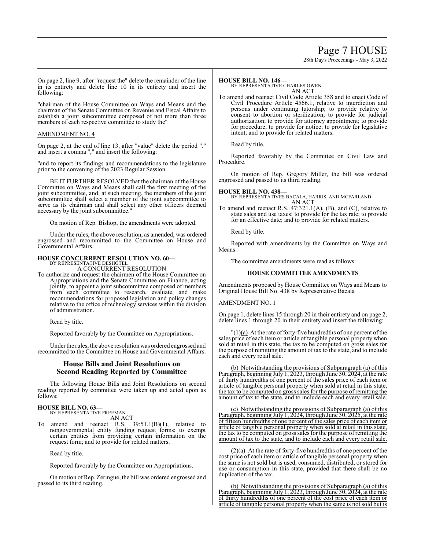# Page 7 HOUSE

28th Day's Proceedings - May 3, 2022

On page 2, line 9, after "request the" delete the remainder of the line in its entirety and delete line 10 in its entirety and insert the following:

"chairman of the House Committee on Ways and Means and the chairman of the Senate Committee on Revenue and Fiscal Affairs to establish a joint subcommittee composed of not more than three members of each respective committee to study the"

# AMENDMENT NO. 4

On page 2, at the end of line 13, after "value" delete the period "." and insert a comma "," and insert the following:

"and to report its findings and recommendations to the legislature prior to the convening of the 2023 Regular Session.

BE IT FURTHER RESOLVED that the chairman of the House Committee on Ways and Means shall call the first meeting of the joint subcommittee, and, at such meeting, the members of the joint subcommittee shall select a member of the joint subcommittee to serve as its chairman and shall select any other officers deemed necessary by the joint subcommittee."

On motion of Rep. Bishop, the amendments were adopted.

Under the rules, the above resolution, as amended, was ordered engrossed and recommitted to the Committee on House and Governmental Affairs.

## **HOUSE CONCURRENT RESOLUTION NO. 60—**

BY REPRESENTATIVE DESHOTEL A CONCURRENT RESOLUTION

To authorize and request the chairmen of the House Committee on Appropriations and the Senate Committee on Finance, acting jointly, to appoint a joint subcommittee composed of members from each committee to research, evaluate, and make recommendations for proposed legislation and policy changes relative to the office of technology services within the division of administration.

Read by title.

Reported favorably by the Committee on Appropriations.

Under the rules, the above resolution was ordered engrossed and recommitted to the Committee on House and Governmental Affairs.

# **House Bills and Joint Resolutions on Second Reading Reported by Committee**

The following House Bills and Joint Resolutions on second reading reported by committee were taken up and acted upon as follows:

# **HOUSE BILL NO. 63—** BY REPRESENTATIVE FREEMAN

AN ACT

To amend and reenact R.S.  $39:51.1(B)(1)$ , relative to nongovernmental entity funding request forms; to exempt certain entities from providing certain information on the request form; and to provide for related matters.

Read by title.

Reported favorably by the Committee on Appropriations.

On motion of Rep. Zeringue, the bill was ordered engrossed and passed to its third reading.

## **HOUSE BILL NO. 146—**

BY REPRESENTATIVE CHARLES OWEN AN ACT

To amend and reenact Civil Code Article 358 and to enact Code of Civil Procedure Article 4566.1, relative to interdiction and persons under continuing tutorship; to provide relative to consent to abortion or sterilization; to provide for judicial authorization; to provide for attorney appointment; to provide for procedure; to provide for notice; to provide for legislative intent; and to provide for related matters.

Read by title.

Reported favorably by the Committee on Civil Law and Procedure.

On motion of Rep. Gregory Miller, the bill was ordered engrossed and passed to its third reading.

**HOUSE BILL NO. 438—** BY REPRESENTATIVES BACALA, HARRIS, AND MCFARLAND AN ACT

To amend and reenact R.S. 47:321.1(A), (B), and (C), relative to state sales and use taxes; to provide for the tax rate; to provide for an effective date; and to provide for related matters.

Read by title.

Reported with amendments by the Committee on Ways and Means.

The committee amendments were read as follows:

### **HOUSE COMMITTEE AMENDMENTS**

Amendments proposed by House Committee on Ways and Means to Original House Bill No. 438 by Representative Bacala

### AMENDMENT NO. 1

On page 1, delete lines 15 through 20 in their entirety and on page 2, delete lines 1 through 20 in their entirety and insert the following:

 $''(1)(a)$  At the rate of forty-five hundredths of one percent of the sales price of each item or article of tangible personal property when sold at retail in this state, the tax to be computed on gross sales for the purpose of remitting the amount of tax to the state, and to include each and every retail sale.

(b) Notwithstanding the provisions of Subparagraph (a) of this Paragraph, beginning July 1, 2023, through June 30, 2024, at the rate of thirty hundredths of one percent of the sales price of each item or article of tangible personal property when sold at retail in this state, the tax to be computed on gross sales for the purpose of remitting the amount of tax to the state, and to include each and every retail sale.

(c) Notwithstanding the provisions of Subparagraph (a) of this Paragraph, beginning July 1, 2024, through June 30, 2025, at the rate of fifteen hundredths of one percent of the sales price of each item or article of tangible personal property when sold at retail in this state, the tax to be computed on gross sales for the purpose of remitting the amount of tax to the state, and to include each and every retail sale.

 $(2)(a)$  At the rate of forty-five hundredths of one percent of the cost price of each item or article of tangible personal property when the same is not sold but is used, consumed, distributed, or stored for use or consumption in this state, provided that there shall be no duplication of the tax.

(b) Notwithstanding the provisions of Subparagraph (a) of this Paragraph, beginning July 1, 2023, through June 30, 2024, at the rate of thirty hundredths of one percent of the cost price of each item or article of tangible personal property when the same is not sold but is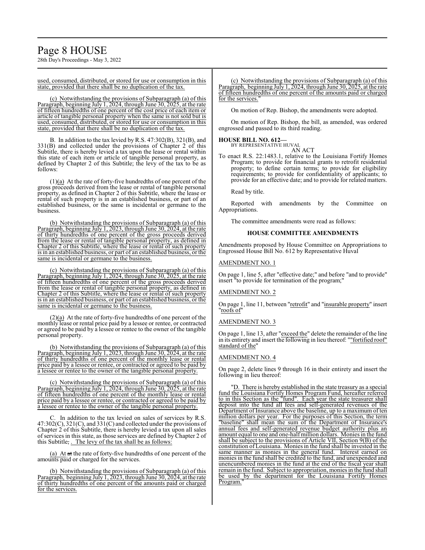28th Day's Proceedings - May 3, 2022

### used, consumed, distributed, or stored for use or consumption in this state, provided that there shall be no duplication of the tax.

(c) Notwithstanding the provisions of Subparagraph (a) of this Paragraph, beginning July 1, 2024, through June 30, 2025, at the rate of fifteen hundredths of one percent of the cost price of each item or article of tangible personal property when the same is not sold but is used, consumed, distributed, or stored for use or consumption in this state, provided that there shall be no duplication of the tax.

B. In addition to the tax levied by R.S. 47:302(B), 321(B), and 331(B) and collected under the provisions of Chapter 2 of this Subtitle, there is hereby levied a tax upon the lease or rental within this state of each item or article of tangible personal property, as defined by Chapter 2 of this Subtitle; the levy of the tax to be as follows:

(1)(a) At the rate of forty-five hundredths of one percent of the gross proceeds derived from the lease or rental of tangible personal property, as defined in Chapter 2 of this Subtitle, where the lease or rental of such property is in an established business, or part of an established business, or the same is incidental or germane to the business.

(b) Notwithstanding the provisions of Subparagraph (a) of this Paragraph, beginning July 1, 2023, through June 30, 2024, at the rate of thirty hundredths of one percent of the gross proceeds derived from the lease or rental of tangible personal property, as defined in Chapter 2 of this Subtitle, where the lease or rental of such property is in an established business, or part of an established business, or the same is incidental or germane to the business.

(c) Notwithstanding the provisions of Subparagraph (a) of this Paragraph, beginning July 1, 2024, through June 30, 2025, at the rate of fifteen hundredths of one percent of the gross proceeds derived from the lease or rental of tangible personal property, as defined in Chapter 2 of this Subtitle, where the lease or rental of such property is in an established business, or part of an established business, or the same is incidental or germane to the business.

(2)(a) At the rate of forty-five hundredths of one percent of the monthly lease or rental price paid by a lessee or rentee, or contracted or agreed to be paid by a lessee or rentee to the owner of the tangible personal property.

(b) Notwithstanding the provisions of Subparagraph (a) of this Paragraph, beginning July 1, 2023, through June 30, 2024, at the rate of thirty hundredths of one percent of the monthly lease or rental price paid by a lessee or rentee, or contracted or agreed to be paid by a lessee or rentee to the owner of the tangible personal property.

(c) Notwithstanding the provisions of Subparagraph (a) of this Paragraph, beginning July 1, 2024, through June 30, 2025, at the rate of fifteen hundredths of one percent of the monthly lease or rental price paid by a lessee or rentee, or contracted or agreed to be paid by a lessee or rentee to the owner of the tangible personal property.

C. In addition to the tax levied on sales of services by R.S.  $47:302(C)$ ,  $321(C)$ , and  $331(C)$  and collected under the provisions of Chapter 2 of this Subtitle, there is hereby levied a tax upon all sales of services in this state, as those services are defined by Chapter 2 of this Subtitle, . The levy of the tax shall be as follows:

(a) At  $at$  the rate of forty-five hundredths of one percent of the amounts paid or charged for the services.

(b) Notwithstanding the provisions of Subparagraph (a) of this Paragraph, beginning July 1, 2023, through June 30, 2024, at the rate of thirty hundredths of one percent of the amounts paid or charged for the services.

(c) Notwithstanding the provisions of Subparagraph (a) of this Paragraph, beginning July 1, 2024, through June 30, 2025, at the rate of fifteen hundredths of one percent of the amounts paid or charged for the services.

On motion of Rep. Bishop, the amendments were adopted.

On motion of Rep. Bishop, the bill, as amended, was ordered engrossed and passed to its third reading.

# **HOUSE BILL NO. 612—** BY REPRESENTATIVE HUVAL

AN ACT

To enact R.S. 22:1483.1, relative to the Louisiana Fortify Homes Program; to provide for financial grants to retrofit residential property; to define certain terms; to provide for eligibility requirements; to provide for confidentiality of applicants; to provide for an effective date; and to provide for related matters.

Read by title.

Reported with amendments by the Committee on Appropriations.

The committee amendments were read as follows:

# **HOUSE COMMITTEE AMENDMENTS**

Amendments proposed by House Committee on Appropriations to Engrossed House Bill No. 612 by Representative Huval

# AMENDMENT NO. 1

On page 1, line 5, after "effective date;" and before "and to provide" insert "to provide for termination of the program;"

# AMENDMENT NO. 2

On page 1, line 11, between "retrofit" and "insurable property" insert "roofs of"

### AMENDMENT NO. 3

On page 1, line 13, after "exceed the" delete the remainder of the line in its entirety and insert the following in lieu thereof: ""fortified roof" standard of the"

### AMENDMENT NO. 4

On page 2, delete lines 9 through 16 in their entirety and insert the following in lieu thereof:

"D. There is hereby established in the state treasury as a special fund the Louisiana Fortify Homes Program Fund, hereafter referred to in this Section as the "fund". Each year the state treasurer shall deposit into the fund all fees and self-generated revenues of the Department of Insurance above the baseline, up to a maximum of ten million dollars per year. For the purposes of this Section, the term "baseline" shall mean the sum of the Department of Insurance's annual fees and self-generated revenue budget authority plus an amount equal to one and one-half million dollars. Monies in the fund shall be subject to the provisions of Article VII, Section 9(B) of the constitution of Louisiana. Monies in the fund shall be invested in the same manner as monies in the general fund. Interest earned on monies in the fund shall be credited to the fund, and unexpended and unencumbered monies in the fund at the end of the fiscal year shall remain in the fund. Subject to appropriation, monies in the fund shall be used by the department for the Louisiana Fortify Homes Program."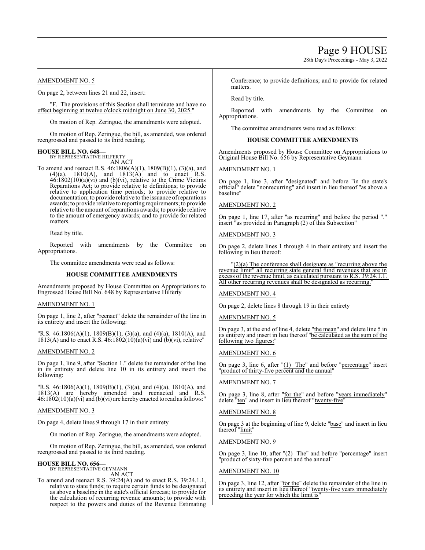# Page 9 HOUSE

28th Day's Proceedings - May 3, 2022

# AMENDMENT NO. 5

On page 2, between lines 21 and 22, insert:

"F. The provisions of this Section shall terminate and have no effect beginning at twelve o'clock midnight on June 30, 2025.

On motion of Rep. Zeringue, the amendments were adopted.

On motion of Rep. Zeringue, the bill, as amended, was ordered reengrossed and passed to its third reading.

# **HOUSE BILL NO. 648—** BY REPRESENTATIVE HILFERTY

AN ACT

To amend and reenact R.S. 46:1806(A)(1), 1809(B)(1), (3)(a), and  $(4)(a)$ ,  $1810(A)$ , and  $1813(A)$  and to enact R.S.  $46:1802(10)(a)(vi)$  and (b)(vi), relative to the Crime Victims Reparations Act; to provide relative to definitions; to provide relative to application time periods; to provide relative to documentation; to provide relative to the issuance ofreparations awards; to provide relative to reporting requirements; to provide relative to the amount of reparations awards; to provide relative to the amount of emergency awards; and to provide for related matters.

Read by title.

Reported with amendments by the Committee on Appropriations.

The committee amendments were read as follows:

### **HOUSE COMMITTEE AMENDMENTS**

Amendments proposed by House Committee on Appropriations to Engrossed House Bill No. 648 by Representative Hilferty

## AMENDMENT NO. 1

On page 1, line 2, after "reenact" delete the remainder of the line in its entirety and insert the following:

"R.S. 46:1806(A)(1), 1809(B)(1), (3)(a), and (4)(a), 1810(A), and 1813(A) and to enact R.S.  $46:1802(10)(a)(vi)$  and  $(b)(vi)$ , relative"

### AMENDMENT NO. 2

On page 1, line 9, after "Section 1." delete the remainder of the line in its entirety and delete line 10 in its entirety and insert the following:

"R.S. 46:1806(A)(1), 1809(B)(1), (3)(a), and (4)(a), 1810(A), and 1813(A) are hereby amended and reenacted and R.S.  $46:1802(10)(a)(vi)$  and (b)(vi) are hereby enacted to read as follows:"

### AMENDMENT NO. 3

On page 4, delete lines 9 through 17 in their entirety

On motion of Rep. Zeringue, the amendments were adopted.

On motion of Rep. Zeringue, the bill, as amended, was ordered reengrossed and passed to its third reading.

#### **HOUSE BILL NO. 656—** BY REPRESENTATIVE GEYMANN

AN ACT

To amend and reenact R.S. 39:24(A) and to enact R.S. 39:24.1.1, relative to state funds; to require certain funds to be designated as above a baseline in the state's official forecast; to provide for the calculation of recurring revenue amounts; to provide with respect to the powers and duties of the Revenue Estimating Conference; to provide definitions; and to provide for related matters.

Read by title.

Reported with amendments by the Committee on Appropriations.

The committee amendments were read as follows:

### **HOUSE COMMITTEE AMENDMENTS**

Amendments proposed by House Committee on Appropriations to Original House Bill No. 656 by Representative Geymann

### AMENDMENT NO. 1

On page 1, line 3, after "designated" and before "in the state's official" delete "nonrecurring" and insert in lieu thereof "as above a baseline"

### AMENDMENT NO. 2

On page 1, line 17, after "as recurring" and before the period "." insert "as provided in Paragraph (2) of this Subsection"

### AMENDMENT NO. 3

On page 2, delete lines 1 through 4 in their entirety and insert the following in lieu thereof:

 $'(2)(a)$  The conference shall designate as "recurring above the revenue limit" all recurring state general fund revenues that are in excess of the revenue limit, as calculated pursuant to R.S. 39:24.1.1. All other recurring revenues shall be designated as recurring.

### AMENDMENT NO. 4

On page 2, delete lines 8 through 19 in their entirety

### AMENDMENT NO. 5

On page 3, at the end of line 4, delete "the mean" and delete line 5 in its entirety and insert in lieu thereof "be calculated as the sum of the following two figures:"

### AMENDMENT NO. 6

On page 3, line 6, after "(1) The" and before "percentage" insert "product of thirty-five percent and the annual"

#### AMENDMENT NO. 7

On page 3, line 8, after "for the" and before "years immediately" delete "ten" and insert in lieu thereof "twenty-five"

### AMENDMENT NO. 8

On page 3 at the beginning of line 9, delete "base" and insert in lieu thereof "limit"

### AMENDMENT NO. 9

On page 3, line 10, after "(2) The" and before "percentage" insert "product of sixty-five percent and the annual"

### AMENDMENT NO. 10

On page 3, line 12, after "for the" delete the remainder of the line in its entirety and insert in lieu thereof "twenty-five years immediately preceding the year for which the limit is"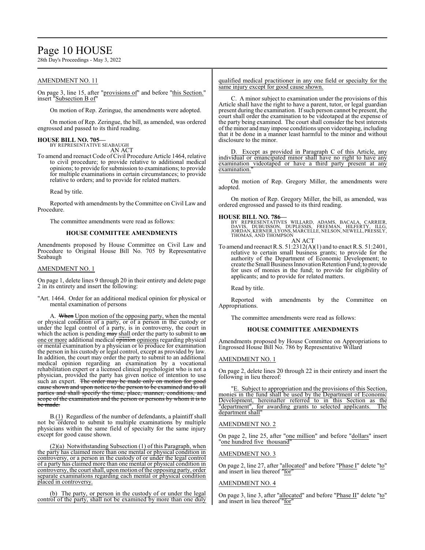# Page 10 HOUSE

28th Day's Proceedings - May 3, 2022

# AMENDMENT NO. 11

On page 3, line 15, after "provisions of" and before "this Section." insert "Subsection B of"

On motion of Rep. Zeringue, the amendments were adopted.

On motion of Rep. Zeringue, the bill, as amended, was ordered engrossed and passed to its third reading.

# **HOUSE BILL NO. 705—** BY REPRESENTATIVE SEABAUGH

AN ACT

To amend and reenact Code of Civil Procedure Article 1464, relative to civil procedure; to provide relative to additional medical opinions; to provide for submission to examinations; to provide for multiple examinations in certain circumstances; to provide relative to orders; and to provide for related matters.

Read by title.

Reported with amendments by the Committee on Civil Law and Procedure.

The committee amendments were read as follows:

# **HOUSE COMMITTEE AMENDMENTS**

Amendments proposed by House Committee on Civil Law and Procedure to Original House Bill No. 705 by Representative Seabaugh

#### AMENDMENT NO. 1

On page 1, delete lines 9 through 20 in their entirety and delete page 2 in its entirety and insert the following:

"Art. 1464. Order for an additional medical opinion for physical or mental examination of persons

A. When Upon motion of the opposing party, when the mental or physical condition of a party, or of a person in the custody or under the legal control of a party, is in controversy, the court in which the action is pending may shall order the party to submit to an one or more additional medical opinion opinions regarding physical or mental examination by a physician or to produce for examination the person in his custody or legal control, except as provided by law. In addition, the court may order the party to submit to an additional medical opinion regarding an examination by a vocational rehabilitation expert or a licensed clinical psychologist who is not a physician, provided the party has given notice of intention to use such an expert. The order may be made only on motion for good cause shown and upon notice to the person to be examined and to all parties and shall specify the time, place, manner, conditions, and scope of the examination and the person or persons by whom it is to be made.

B.(1) Regardless of the number of defendants, a plaintiff shall not be ordered to submit to multiple examinations by multiple physicians within the same field of specialty for the same injury except for good cause shown.

(2)(a) Notwithstanding Subsection (1) of this Paragraph, when the party has claimed more than one mental or physical condition in controversy, or a person in the custody of or under the legal control of a party has claimed more than one mental or physical condition in controversy, the court shall, upon motion of the opposing party, order separate examinations regarding each mental or physical condition placed in controversy.

(b) The party, or person in the custody of or under the legal control of the party, shall not be examined by more than one duly qualified medical practitioner in any one field or specialty for the same injury except for good cause shown.

C. A minor subject to examination under the provisions of this Article shall have the right to have a parent, tutor, or legal guardian present during the examination. Ifsuch person cannot be present, the court shall order the examination to be videotaped at the expense of the party being examined. The court shall consider the best interests ofthe minor and may impose conditions upon videotaping, including that it be done in a manner least harmful to the minor and without disclosure to the minor.

D. Except as provided in Paragraph C of this Article, any individual or emancipated minor shall have no right to have any examination videotaped or have a third party present at any examination.

On motion of Rep. Gregory Miller, the amendments were adopted.

On motion of Rep. Gregory Miller, the bill, as amended, was ordered engrossed and passed to its third reading.

### **HOUSE BILL NO. 786—**

BY REPRESENTATIVES WILLARD, ADAMS, BACALA, CARRIER,<br>DAVIS, DUBUISSON, DUPLESSIS, FREEMAN, HILFERTY, ILLG,<br>JORDAN,KERNER,LYONS,MARCELLE,NELSON,NEWELL,PRESSLY,<br>THOMAS,AND THOMPSON

AN ACT

To amend and reenact R.S. 51:2312(A)(1) and to enact R.S. 51:2401, relative to certain small business grants; to provide for the authority of the Department of Economic Development; to create the Small Business Innovation Retention Fund; to provide for uses of monies in the fund; to provide for eligibility of applicants; and to provide for related matters.

Read by title.

Reported with amendments by the Committee on Appropriations.

The committee amendments were read as follows:

### **HOUSE COMMITTEE AMENDMENTS**

Amendments proposed by House Committee on Appropriations to Engrossed House Bill No. 786 by Representative Willard

### AMENDMENT NO. 1

On page 2, delete lines 20 through 22 in their entirety and insert the following in lieu thereof:

"E. Subject to appropriation and the provisions of this Section, monies in the fund shall be used by the Department of Economic Development, hereinafter referred to in this Section as the "department", for awarding grants to selected applicants. The department shall"

### AMENDMENT NO. 2

On page 2, line 25, after "one million" and before "dollars" insert 'one hundred five thousand"

### AMENDMENT NO. 3

On page 2, line 27, after "allocated" and before "Phase I" delete "to" and insert in lieu thereof "for"

### AMENDMENT NO. 4

On page 3, line 3, after "allocated" and before "Phase II" delete "to" and insert in lieu thereof "for"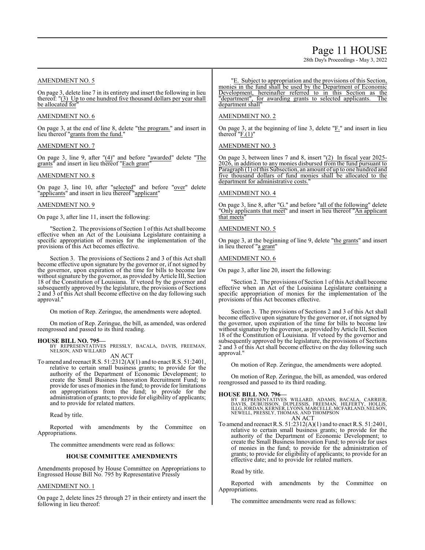# Page 11 HOUSE

28th Day's Proceedings - May 3, 2022

# AMENDMENT NO. 5

On page 3, delete line 7 in its entirety and insert the following in lieu thereof: "(3) Up to one hundred five thousand dollars per year shall be allocated for

### AMENDMENT NO. 6

On page 3, at the end of line 8, delete "the program." and insert in lieu thereof "grants from the fund."

## AMENDMENT NO. 7

On page 3, line 9, after "(4)" and before "awarded" delete "The grants" and insert in lieu thereof "Each grant"

### AMENDMENT NO. 8

On page 3, line 10, after "selected" and before "over" delete "applicants" and insert in lieu thereof "applicant"

# AMENDMENT NO. 9

On page 3, after line 11, insert the following:

"Section 2. The provisions of Section 1 ofthis Act shall become effective when an Act of the Louisiana Legislature containing a specific appropriation of monies for the implementation of the provisions of this Act becomes effective.

Section 3. The provisions of Sections 2 and 3 of this Act shall become effective upon signature by the governor or, if not signed by the governor, upon expiration of the time for bills to become law without signature by the governor, as provided by Article III, Section 18 of the Constitution of Louisiana. If vetoed by the governor and subsequently approved by the legislature, the provisions of Sections 2 and 3 of this Act shall become effective on the day following such approval."

On motion of Rep. Zeringue, the amendments were adopted.

On motion of Rep. Zeringue, the bill, as amended, was ordered reengrossed and passed to its third reading.

### **HOUSE BILL NO. 795—**

BY REPRESENTATIVES PRESSLY, BACALA, DAVIS, FREEMAN, NELSON, AND WILLARD AN ACT

To amend and reenact R.S. 51:2312(A)(1) and to enact R.S. 51:2401, relative to certain small business grants; to provide for the authority of the Department of Economic Development; to create the Small Business Innovation Recruitment Fund; to provide for uses of monies in the fund; to provide for limitations on appropriations from the fund; to provide for the administration of grants; to provide for eligibility of applicants; and to provide for related matters.

Read by title.

Reported with amendments by the Committee on Appropriations.

The committee amendments were read as follows:

#### **HOUSE COMMITTEE AMENDMENTS**

Amendments proposed by House Committee on Appropriations to Engrossed House Bill No. 795 by Representative Pressly

# AMENDMENT NO. 1

On page 2, delete lines 25 through 27 in their entirety and insert the following in lieu thereof:

"E. Subject to appropriation and the provisions of this Section, monies in the fund shall be used by the Department of Economic Development, hereinafter referred to in this Section as the "department", for awarding grants to selected applicants. The "department", for awarding grants to selected applicants. department shall"

## AMENDMENT NO. 2

On page 3, at the beginning of line 3, delete " $E$ ." and insert in lieu thereof  $"F(1)"$ 

AMENDMENT NO. 3

On page 3, between lines 7 and 8, insert "(2) In fiscal year 2025- 2026, in addition to any monies disbursed from the fund pursuant to Paragraph (1) of this Subsection, an amount of up to one hundred and five thousand dollars of fund monies shall be allocated to the department for administrative costs.

# AMENDMENT NO. 4

On page 3, line 8, after " $G$ ." and before "all of the following" delete "Only applicants that meet" and insert in lieu thereof "An applicant that meets

### AMENDMENT NO. 5

On page 3, at the beginning of line 9, delete "the grants" and insert in lieu thereof "a grant"

### AMENDMENT NO. 6

On page 3, after line 20, insert the following:

Section 2. The provisions of Section 1 of this Act shall become effective when an Act of the Louisiana Legislature containing a specific appropriation of monies for the implementation of the provisions of this Act becomes effective.

Section 3. The provisions of Sections 2 and 3 of this Act shall become effective upon signature by the governor or, if not signed by the governor, upon expiration of the time for bills to become law without signature by the governor, as provided by Article III, Section 18 of the Constitution of Louisiana. If vetoed by the governor and subsequently approved by the legislature, the provisions of Sections 2 and 3 of this Act shall become effective on the day following such approval."

On motion of Rep. Zeringue, the amendments were adopted.

On motion of Rep. Zeringue, the bill, as amended, was ordered reengrossed and passed to its third reading.

### **HOUSE BILL NO. 796—**

BY REPRESENTATIVES WILLARD, ADAMS, BACALA, CARRIER,<br>DAVIS, DUBUISSON, DUPLESSIS, FREEMAN, HILFERTY, HOLLIS,<br>ILLG,JORDAN,KERNER,LYONS,MARCELLE,MCFARLAND,NELSON,<br>NEWELL,PRESSLY,THOMAS,ANDTHOMPSON AN ACT

To amend and reenact R.S. 51:2312(A)(1) and to enact R.S. 51:2401, relative to certain small business grants; to provide for the authority of the Department of Economic Development; to create the Small Business Innovation Fund; to provide for uses of monies in the fund; to provide for the administration of grants; to provide for eligibility of applicants; to provide for an effective date; and to provide for related matters.

Read by title.

Reported with amendments by the Committee on Appropriations.

The committee amendments were read as follows: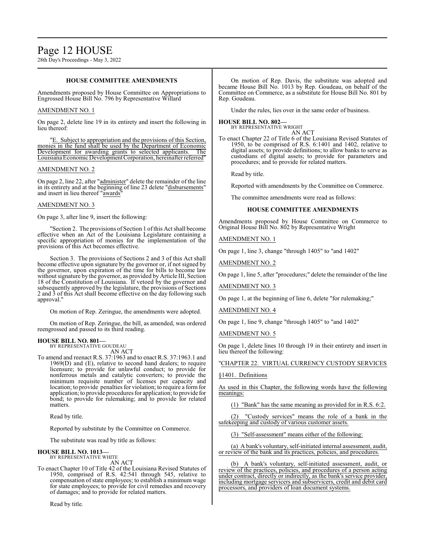### **HOUSE COMMITTEE AMENDMENTS**

Amendments proposed by House Committee on Appropriations to Engrossed House Bill No. 796 by Representative Willard

### AMENDMENT NO. 1

On page 2, delete line 19 in its entirety and insert the following in lieu thereof:

"E. Subject to appropriation and the provisions of this Section, monies in the fund shall be used by the Department of Economic Development for awarding grants to selected applicants. The Louisiana Economic Development Corporation, hereinafter referred"

### AMENDMENT NO. 2

On page 2, line 22, after "administer" delete the remainder of the line in its entirety and at the beginning of line 23 delete "disbursements" and insert in lieu thereof "awards"

# AMENDMENT NO. 3

On page 3, after line 9, insert the following:

"Section 2. The provisions of Section 1 ofthis Act shall become effective when an Act of the Louisiana Legislature containing a specific appropriation of monies for the implementation of the provisions of this Act becomes effective.

Section 3. The provisions of Sections 2 and 3 of this Act shall become effective upon signature by the governor or, if not signed by the governor, upon expiration of the time for bills to become law without signature by the governor, as provided by Article III, Section 18 of the Constitution of Louisiana. If vetoed by the governor and subsequently approved by the legislature, the provisions of Sections 2 and 3 of this Act shall become effective on the day following such approval."

On motion of Rep. Zeringue, the amendments were adopted.

On motion of Rep. Zeringue, the bill, as amended, was ordered reengrossed and passed to its third reading.

#### **HOUSE BILL NO. 801—** BY REPRESENTATIVE GOUDEAU

AN ACT

To amend and reenact R.S. 37:1963 and to enact R.S. 37:1963.1 and 1969(D) and (E), relative to second hand dealers; to require licensure; to provide for unlawful conduct; to provide for nonferrous metals and catalytic converters; to provide the minimum requisite number of licenses per capacity and location; to provide penalties for violation; to require a form for application; to provide procedures for application; to provide for bond; to provide for rulemaking; and to provide for related matters.

Read by title.

Reported by substitute by the Committee on Commerce.

The substitute was read by title as follows:

#### **HOUSE BILL NO. 1013—** BY REPRESENTATIVE WHITE

AN ACT

To enact Chapter 10 of Title 42 of the Louisiana Revised Statutes of 1950, comprised of R.S. 42:541 through 545, relative to compensation of state employees; to establish a minimum wage for state employees; to provide for civil remedies and recovery of damages; and to provide for related matters.

Read by title.

On motion of Rep. Davis, the substitute was adopted and became House Bill No. 1013 by Rep. Goudeau, on behalf of the Committee on Commerce, as a substitute for House Bill No. 801 by Rep. Goudeau.

Under the rules, lies over in the same order of business.

# **HOUSE BILL NO. 802—** BY REPRESENTATIVE WRIGHT

AN ACT

To enact Chapter 22 of Title 6 of the Louisiana Revised Statutes of 1950, to be comprised of R.S. 6:1401 and 1402, relative to digital assets; to provide definitions; to allow banks to serve as custodians of digital assets; to provide for parameters and procedures; and to provide for related matters.

Read by title.

Reported with amendments by the Committee on Commerce.

The committee amendments were read as follows:

# **HOUSE COMMITTEE AMENDMENTS**

Amendments proposed by House Committee on Commerce to Original House Bill No. 802 by Representative Wright

AMENDMENT NO. 1

On page 1, line 3, change "through 1405" to "and 1402"

AMENDMENT NO. 2

On page 1, line 5, after "procedures;" delete the remainder of the line

AMENDMENT NO. 3

On page 1, at the beginning of line 6, delete "for rulemaking;"

AMENDMENT NO. 4

On page 1, line 9, change "through 1405" to "and 1402"

AMENDMENT NO. 5

On page 1, delete lines 10 through 19 in their entirety and insert in lieu thereof the following:

"CHAPTER 22. VIRTUAL CURRENCY CUSTODY SERVICES

# §1401. Definitions

As used in this Chapter, the following words have the following meanings:

(1) "Bank" has the same meaning as provided for in R.S. 6:2.

(2) "Custody services" means the role of a bank in the safekeeping and custody of various customer assets.

(3) "Self-assessment" means either of the following:

(a) A bank's voluntary, self-initiated internal assessment, audit, or review of the bank and its practices, policies, and procedures.

(b) A bank's voluntary, self-initiated assessment, audit, or review of the practices, policies, and procedures of a person acting under contract, directly or indirectly, as the bank's service provider, including mortgage servicers and subservicers, credit and debit card processors, and providers of loan document systems.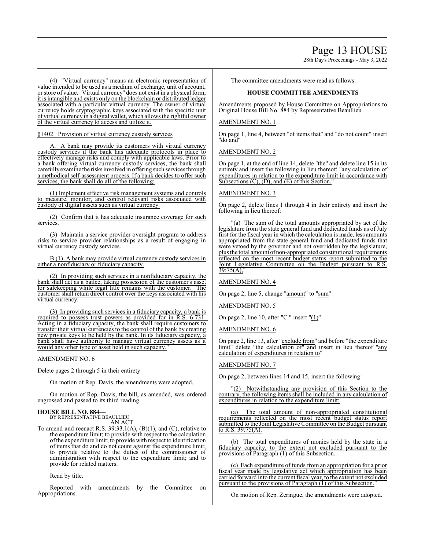# Page 13 HOUSE

28th Day's Proceedings - May 3, 2022

(4) "Virtual currency" means an electronic representation of value intended to be used as a medium of exchange, unit of account, or store of value. "Virtual currency" does not exist in a physical form; it is intangible and exists only on the blockchain or distributed ledger associated with a particular virtual currency. The owner of virtual currency holds cryptographic keys associated with the specific unit of virtual currency in a digital wallet, which allows the rightful owner of the virtual currency to access and utilize it.

§1402. Provision of virtual currency custody services

A. A bank may provide its customers with virtual currency custody services if the bank has adequate protocols in place to effectively manage risks and comply with applicable laws. Prior to a bank offering virtual currency custody services, the bank shall carefullyexamine the risksinvolved in offering such services through a methodical self-assessment process. If a bank decides to offer such services, the bank shall do all of the following:

(1) Implement effective risk management systems and controls to measure, monitor, and control relevant risks associated with custody of digital assets such as virtual currency.

(2) Confirm that it has adequate insurance coverage for such services.

(3) Maintain a service provider oversight program to address risks to service provider relationships as a result of engaging in virtual currency custody services.

B.(1) A bank may provide virtual currency custody services in either a nonfiduciary or fiduciary capacity.

(2) In providing such services in a nonfiduciary capacity, the bank shall act as a bailee, taking possession of the customer's asset for safekeeping while legal title remains with the customer. The customer shall retain direct control over the keys associated with his virtual currency.

(3) In providing such services in a fiduciary capacity, a bank is required to possess trust powers as provided for in R.S. 6:731. Acting in a fiduciary capacity, the bank shall require customers to transfer their virtual currencies to the control of the bank by creating new private keys to be held by the bank. In its fiduciary capacity, a bank shall have authority to manage virtual currency assets as it would any other type of asset held in such capacity.

### AMENDMENT NO. 6

Delete pages 2 through 5 in their entirety

On motion of Rep. Davis, the amendments were adopted.

On motion of Rep. Davis, the bill, as amended, was ordered engrossed and passed to its third reading.

### **HOUSE BILL NO. 884—** BY REPRESENTATIVE BEAULLIEU

AN ACT

To amend and reenact R.S. 39:33.1(A), (B)(1), and (C), relative to the expenditure limit; to provide with respect to the calculation ofthe expenditure limit; to provide with respect to identification of items that do and do not count against the expenditure limit; to provide relative to the duties of the commissioner of administration with respect to the expenditure limit; and to provide for related matters.

Read by title.

Reported with amendments by the Committee on Appropriations.

The committee amendments were read as follows:

# **HOUSE COMMITTEE AMENDMENTS**

Amendments proposed by House Committee on Appropriations to Original House Bill No. 884 by Representative Beaullieu

# AMENDMENT NO. 1

On page 1, line 4, between "of items that" and "do not count" insert "do and"

# AMENDMENT NO. 2

On page 1, at the end of line 14, delete "the" and delete line 15 in its entirety and insert the following in lieu thereof: "any calculation of expenditures in relation to the expenditure limit in accordance with Subsections (C), (D), and (E) of this Section.

# AMENDMENT NO. 3

On page 2, delete lines 1 through 4 in their entirety and insert the following in lieu thereof:

"(a) The sum of the total amounts appropriated by act of the legislature from the state general fund and dedicated funds as of July first for the fiscal year in which the calculation is made, less amounts appropriated from the state general fund and dedicated funds that were vetoed by the governor and not overridden by the legislature, plus the total amount ofnon-appropriated constitutional requirements reflected on the most recent budget status report submitted to the Joint Legislative Committee on the Budget pursuant to R.S. 39:75(A),"

AMENDMENT NO. 4

On page 2, line 5, change "amount" to "sum"

AMENDMENT NO. 5

On page 2, line 10, after "C." insert "(1)"

# AMENDMENT NO. 6

On page 2, line 13, after "exclude from" and before "the expenditure limit" delete "the calculation of" and insert in lieu thereof "any calculation of expenditures in relation to"

# AMENDMENT NO. 7

On page 2, between lines 14 and 15, insert the following:

"(2) Notwithstanding any provision of this Section to the contrary, the following items shall be included in any calculation of expenditures in relation to the expenditure limit:

(a) The total amount of non-appropriated constitutional requirements reflected on the most recent budget status report submitted to the Joint Legislative Committee on the Budget pursuant to R.S. 39:75(A).

(b) The total expenditures of monies held by the state in a fiduciary capacity, to the extent not excluded pursuant to the provisions of Paragraph (1) of this Subsection.

(c) Each expenditure of funds from an appropriation for a prior fiscal year made by legislative act which appropriation has been carried forward into the current fiscal year, to the extent not excluded pursuant to the provisions of Paragraph (1) of this Subsection.

On motion of Rep. Zeringue, the amendments were adopted.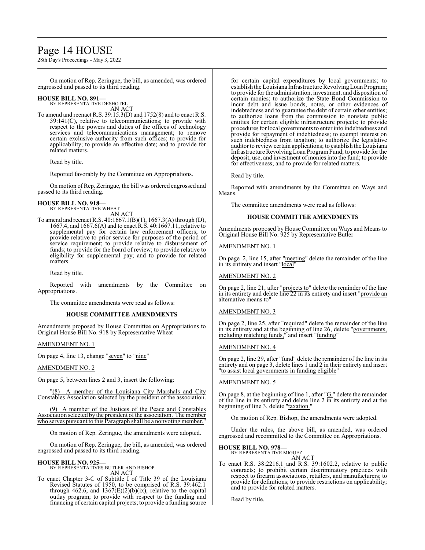# Page 14 HOUSE

28th Day's Proceedings - May 3, 2022

On motion of Rep. Zeringue, the bill, as amended, was ordered engrossed and passed to its third reading.

# **HOUSE BILL NO. 891—** BY REPRESENTATIVE DESHOTEL

AN ACT

To amend and reenact R.S. 39:15.3(D) and 1752(8) and to enact R.S. 39:141(C), relative to telecommunications; to provide with respect to the powers and duties of the offices of technology services and telecommunications management; to remove certain exclusive authority from such offices; to provide for applicability; to provide an effective date; and to provide for related matters.

Read by title.

Reported favorably by the Committee on Appropriations.

On motion ofRep. Zeringue, the bill was ordered engrossed and passed to its third reading.

#### **HOUSE BILL NO. 918—** BY REPRESENTATIVE WHEAT

AN ACT

To amend and reenact R.S. 40:1667.1(B)(1), 1667.3(A) through (D), 1667.4, and 1667.6(A) and to enact R.S. 40:1667.11, relative to supplemental pay for certain law enforcement officers; to provide relative to prior service for purposes of the period of service requirement; to provide relative to disbursement of funds; to provide for the board of review; to provide relative to eligibility for supplemental pay; and to provide for related matters.

Read by title.

Reported with amendments by the Committee on Appropriations.

The committee amendments were read as follows:

### **HOUSE COMMITTEE AMENDMENTS**

Amendments proposed by House Committee on Appropriations to Original House Bill No. 918 by Representative Wheat

# AMENDMENT NO. 1

On page 4, line 13, change "seven" to "nine"

### AMENDMENT NO. 2

On page 5, between lines 2 and 3, insert the following:

A member of the Louisiana City Marshals and City Constables Association selected by the president of the association.

A member of the Justices of the Peace and Constables Association selected by the president of the association. The member who serves pursuant to this Paragraph shall be a nonvoting member.

On motion of Rep. Zeringue, the amendments were adopted.

On motion of Rep. Zeringue, the bill, as amended, was ordered engrossed and passed to its third reading.

### **HOUSE BILL NO. 925—**

BY REPRESENTATIVES BUTLER AND BISHOP AN ACT

To enact Chapter 3-C of Subtitle I of Title 39 of the Louisiana Revised Statutes of 1950, to be comprised of R.S. 39:462.1 through 462.6, and  $1367(E)(2)(b)(ix)$ , relative to the capital outlay program; to provide with respect to the funding and financing of certain capital projects; to provide a funding source

for certain capital expenditures by local governments; to establish the Louisiana Infrastructure Revolving Loan Program; to provide for the administration, investment, and disposition of certain monies; to authorize the State Bond Commission to incur debt and issue bonds, notes, or other evidences of indebtedness and to guarantee the debt of certain other entities; to authorize loans from the commission to nonstate public entities for certain eligible infrastructure projects; to provide procedures for local governments to enter into indebtedness and provide for repayment of indebtedness; to exempt interest on such indebtedness from taxation; to authorize the legislative auditor to review certain applications; to establish the Louisiana Infrastructure Revolving Loan Program Fund; to provide for the deposit, use, and investment of monies into the fund; to provide for effectiveness; and to provide for related matters.

Read by title.

Reported with amendments by the Committee on Ways and Means.

The committee amendments were read as follows:

# **HOUSE COMMITTEE AMENDMENTS**

Amendments proposed by House Committee on Ways and Means to Original House Bill No. 925 by Representative Butler

# AMENDMENT NO. 1

On page 2, line 15, after "meeting" delete the remainder of the line in its entirety and insert "local"

# AMENDMENT NO. 2

On page 2, line 21, after "projects to" delete the reminder of the line in its entirety and delete line 22 in its entirety and insert "provide an alternative means to"

# AMENDMENT NO. 3

On page 2, line 25, after "required" delete the remainder of the line in its entirety and at the beginning of line 26, delete "governments, including matching funds," and insert "funding"

# AMENDMENT NO. 4

On page 2, line 29, after "fund" delete the remainder of the line in its entirety and on page 3, delete lines 1 and 2 in their entirety and insert "to assist local governments in funding eligible"

# AMENDMENT NO. 5

On page 8, at the beginning of line 1, after "G." delete the remainder of the line in its entirety and delete line 2 in its entirety and at the beginning of line 3, delete "taxation."

On motion of Rep. Bishop, the amendments were adopted.

Under the rules, the above bill, as amended, was ordered engrossed and recommitted to the Committee on Appropriations.

### **HOUSE BILL NO. 978—**

BY REPRESENTATIVE MIGUEZ AN ACT

To enact R.S. 38:2216.1 and R.S. 39:1602.2, relative to public contracts; to prohibit certain discriminatory practices with respect to firearm associations, retailers, and manufacturers; to provide for definitions; to provide restrictions on applicability; and to provide for related matters.

Read by title.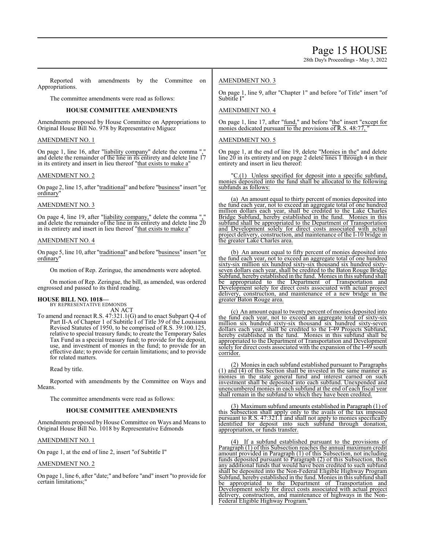28th Day's Proceedings - May 3, 2022

Reported with amendments by the Committee on Appropriations.

The committee amendments were read as follows:

# **HOUSE COMMITTEE AMENDMENTS**

Amendments proposed by House Committee on Appropriations to Original House Bill No. 978 by Representative Miguez

# AMENDMENT NO. 1

On page 1, line 16, after "liability company" delete the comma "," and delete the remainder of the line in its entirety and delete line 17 in its entirety and insert in lieu thereof "that exists to make a"

# AMENDMENT NO. 2

On page 2, line 15, after "traditional" and before "business" insert "or ordinary"

# AMENDMENT NO. 3

On page 4, line 19, after "liability company," delete the comma "," and delete the remainder of the line in its entirety and delete line 20 in its entirety and insert in lieu thereof "that exists to make a"

# AMENDMENT NO. 4

On page 5, line 10, after "traditional" and before "business" insert "or ordinary"

On motion of Rep. Zeringue, the amendments were adopted.

On motion of Rep. Zeringue, the bill, as amended, was ordered engrossed and passed to its third reading.

# **HOUSE BILL NO. 1018—**

BY REPRESENTATIVE EDMONDS AN ACT

To amend and reenact R.S. 47:321.1(G) and to enact Subpart Q-4 of Part II-A of Chapter 1 of Subtitle I of Title 39 of the Louisiana Revised Statutes of 1950, to be comprised of R.S. 39:100.125, relative to special treasury funds; to create the Temporary Sales Tax Fund as a special treasury fund; to provide for the deposit, use, and investment of monies in the fund; to provide for an effective date; to provide for certain limitations; and to provide for related matters.

Read by title.

Reported with amendments by the Committee on Ways and Means.

The committee amendments were read as follows:

# **HOUSE COMMITTEE AMENDMENTS**

Amendments proposed by House Committee on Ways and Means to Original House Bill No. 1018 by Representative Edmonds

# AMENDMENT NO. 1

On page 1, at the end of line 2, insert "of Subtitle I"

# AMENDMENT NO. 2

On page 1, line 6, after "date;" and before "and" insert "to provide for certain limitations;"

# AMENDMENT NO. 3

On page 1, line 9, after "Chapter 1" and before "of Title" insert "of Subtitle I"

# AMENDMENT NO. 4

On page 1, line 17, after "fund," and before "the" insert "except for monies dedicated pursuant to the provisions of R.S. 48:77,

# AMENDMENT NO. 5

On page 1, at the end of line 19, delete "Monies in the" and delete line 20 in its entirety and on page 2 delete lines 1 through 4 in their entirety and insert in lieu thereof:

C.(1) Unless specified for deposit into a specific subfund, monies deposited into the fund shall be allocated to the following subfunds as follows:

(a) An amount equal to thirty percent of monies deposited into the fund each year, not to exceed an aggregate total of one hundred million dollars each year, shall be credited to the Lake Charles Bridge Subfund, hereby established in the fund. Monies in this subfund shall be appropriated to the Department of Transportation and Development solely for direct costs associated with actual project delivery, construction, and maintenance of the I-10 bridge in the greater Lake Charles area.

(b) An amount equal to fifty percent of monies deposited into the fund each year, not to exceed an aggregate total of one hundred sixty-six million six hundred sixty-six thousand six hundred sixtyseven dollars each year, shall be credited to the Baton Rouge Bridge Subfund, hereby established in the fund. Monies in this subfund shall be appropriated to the Department of Transportation and Development solely for direct costs associated with actual project delivery, construction, and maintenance of a new bridge in the greater Baton Rouge area.

(c) An amount equal to twenty percent of monies deposited into the fund each year, not to exceed an aggregate total of sixty-six million six hundred sixty-six thousand six hundred sixty-seven dollars each year, shall be credited to the I-49 Projects Subfund, hereby established in the fund. Monies in this subfund shall be appropriated to the Department of Transportation and Development solely for direct costs associated with the expansion of the I-49 south corridor.

(2) Monies in each subfund established pursuant to Paragraphs (1) and (4) of this Section shall be invested in the same manner as monies in the state general fund and interest earned on such investment shall be deposited into each subfund. Unexpended and unencumbered monies in each subfund at the end of each fiscal year shall remain in the subfund to which they have been credited.

(3) Maximum subfund amounts established in Paragraph (1) of this Subsection shall apply only to the avails of the tax imposed pursuant to R.S. 47:321.1 and shall not apply to monies specifically identified for deposit into such subfund through donation, appropriation, or funds transfer.

(4) If a subfund established pursuant to the provisions of Paragraph (1) of this Subsection reaches the annual maximum credit amount provided in Paragraph (1) of this Subsection, not including funds deposited pursuant to Paragraph (2) of this Subsection, then any additional funds that would have been credited to such subfund shall be deposited into the Non-Federal Eligible Highway Program Subfund, hereby established in the fund. Monies in this subfund shall be appropriated to the Department of Transportation and Development solely for direct costs associated with actual project delivery, construction, and maintenance of highways in the Non-Federal Eligible Highway Program.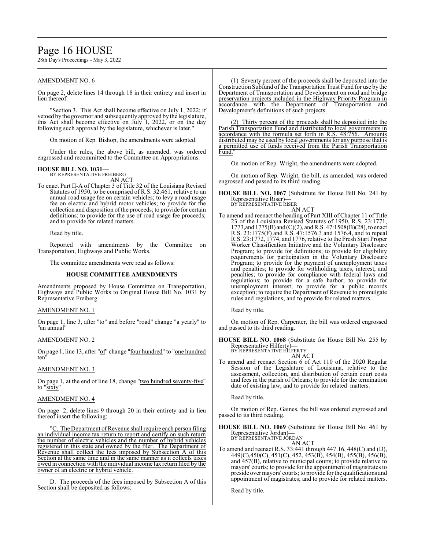# Page 16 HOUSE

28th Day's Proceedings - May 3, 2022

# AMENDMENT NO. 6

On page 2, delete lines 14 through 18 in their entirety and insert in lieu thereof:

Section 3. This Act shall become effective on July 1, 2022; if vetoed by the governor and subsequently approved by the legislature, this Act shall become effective on July 1, 2022, or on the day following such approval by the legislature, whichever is later."

On motion of Rep. Bishop, the amendments were adopted.

Under the rules, the above bill, as amended, was ordered engrossed and recommitted to the Committee on Appropriations.

# **HOUSE BILL NO. 1031—**

BY REPRESENTATIVE FREIBERG AN ACT

To enact Part II-A of Chapter 3 of Title 32 of the Louisiana Revised Statutes of 1950, to be comprised of R.S. 32:461, relative to an annual road usage fee on certain vehicles; to levy a road usage fee on electric and hybrid motor vehicles; to provide for the collection and disposition of the proceeds; to provide for certain definitions; to provide for the use of road usage fee proceeds; and to provide for related matters.

Read by title.

Reported with amendments by the Committee on Transportation, Highways and Public Works.

The committee amendments were read as follows:

### **HOUSE COMMITTEE AMENDMENTS**

Amendments proposed by House Committee on Transportation, Highways and Public Works to Original House Bill No. 1031 by Representative Freiberg

# AMENDMENT NO. 1

On page 1, line 3, after "to" and before "road" change "a yearly" to "an annual"

### AMENDMENT NO. 2

On page 1, line 13, after "of" change "four hundred" to "one hundred ten"

### AMENDMENT NO. 3

On page 1, at the end of line 18, change "two hundred seventy-five" to "sixty"

### AMENDMENT NO. 4

On page 2, delete lines 9 through 20 in their entirety and in lieu thereof insert the following:

"C. The Department of Revenue shall require each person filing an individual income tax return to report and certify on such return the number of electric vehicles and the number of hybrid vehicles registered in this state and owned by the filer. The Department of Revenue shall collect the fees imposed by Subsection A of this Section at the same time and in the same manner as it collects taxes owed in connection with the individual income tax return filed by the owner of an electric or hybrid vehicle.

D. The proceeds of the fees imposed by Subsection A of this Section shall be deposited as follows:

(1) Seventy percent of the proceeds shall be deposited into the Construction Subfund ofthe Transportation Trust Fund for use by the Department of Transportation and Development on road and bridge preservation projects included in the Highway Priority Program in accordance with the Department of Transportation and Development's definitions of such projects.

(2) Thirty percent of the proceeds shall be deposited into the Parish Transportation Fund and distributed to local governments in accordance with the formula set forth in R.S. 48:756. Amounts distributed may be used by local governments for any purpose that is a permitted use of funds received from the Parish Transportation Fund."

On motion of Rep. Wright, the amendments were adopted.

On motion of Rep. Wright, the bill, as amended, was ordered engrossed and passed to its third reading.

**HOUSE BILL NO. 1067** (Substitute for House Bill No. 241 by Representative Riser)**—** BY REPRESENTATIVE RISER

AN ACT

To amend and reenact the heading of Part XIII of Chapter 11 of Title 23 of the Louisiana Revised Statutes of 1950, R.S. 23:1771, 1773, and 1775(B) and (C)(2), and R.S. 47:1508(B)(28), to enact R.S. 23:1775(F) and R.S. 47:1576.3 and 1576.4, and to repeal R.S. 23:1772, 1774, and 1776, relative to the Fresh Start Proper Worker Classification Initiative and the Voluntary Disclosure Program; to provide for definitions; to provide for eligibility requirements for participation in the Voluntary Disclosure Program; to provide for the payment of unemployment taxes and penalties; to provide for withholding taxes, interest, and penalties; to provide for compliance with federal laws and regulations; to provide for a safe harbor; to provide for unemployment interest; to provide for a public records exception; to require the Department of Revenue to promulgate rules and regulations; and to provide for related matters.

Read by title.

On motion of Rep. Carpenter, the bill was ordered engrossed and passed to its third reading.

**HOUSE BILL NO. 1068** (Substitute for House Bill No. 255 by Representative Hilferty)**—** BY REPRESENTATIVE HILFERTY

AN ACT

To amend and reenact Section 6 of Act 110 of the 2020 Regular Session of the Legislature of Louisiana, relative to the assessment, collection, and distribution of certain court costs and fees in the parish of Orleans; to provide for the termination date of existing law; and to provide for related matters.

Read by title.

On motion of Rep. Gaines, the bill was ordered engrossed and passed to its third reading.

**HOUSE BILL NO. 1069** (Substitute for House Bill No. 461 by Representative Jordan)**—** BY REPRESENTATIVE JORDAN

AN ACT

To amend and reenact R.S. 33:441 through 447.16, 448(C) and (D), 449(C),450(C), 451(C), 452, 453(B), 454(B), 455(B), 456(B), and 457(B), relative to municipal courts; to provide relative to mayors' courts; to provide for the appointment of magistrates to preside over mayors' courts; to provide for the qualifications and appointment of magistrates; and to provide for related matters.

Read by title.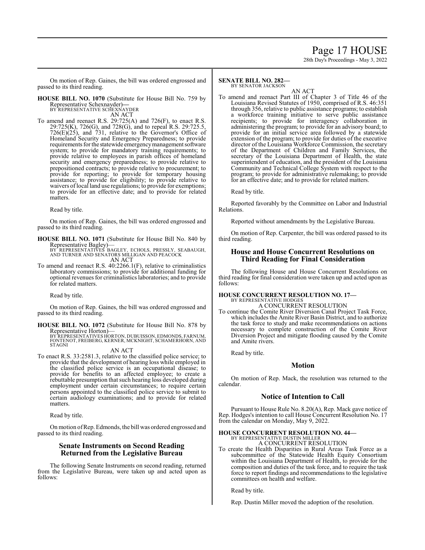# Page 17 HOUSE

28th Day's Proceedings - May 3, 2022

On motion of Rep. Gaines, the bill was ordered engrossed and passed to its third reading.

**HOUSE BILL NO. 1070** (Substitute for House Bill No. 759 by Representative Schexnayder)**—** BY REPRESENTATIVE SCHEXNAYDER

AN ACT

To amend and reenact R.S. 29:725(A) and 726(F), to enact R.S. 29:725(K), 726(G), and 728(G), and to repeal R.S. 29:725.5, 726(E)(25), and 731, relative to the Governor's Office of Homeland Security and Emergency Preparedness; to provide requirements for the statewide emergencymanagement software system; to provide for mandatory training requirements; to provide relative to employees in parish offices of homeland security and emergency preparedness; to provide relative to prepositioned contracts; to provide relative to procurement; to provide for reporting; to provide for temporary housing assistance; to provide for eligibility; to provide relative to waivers of local land use regulations; to provide for exemptions; to provide for an effective date; and to provide for related matters.

Read by title.

On motion of Rep. Gaines, the bill was ordered engrossed and passed to its third reading.

**HOUSE BILL NO. 1071** (Substitute for House Bill No. 840 by Representative Bagley)—

BY^REPRESENTATIVES ́BAGLEY, ECHOLS, PRESSLY, SEABAUGH,<br>AND TURNER AND SENATORS MILLIGAN AND PEACOCK AN ACT

To amend and reenact R.S. 40:2266.1(F), relative to criminalistics laboratory commissions; to provide for additional funding for optional revenues for criminalistics laboratories; and to provide for related matters.

Read by title.

On motion of Rep. Gaines, the bill was ordered engrossed and passed to its third reading.

**HOUSE BILL NO. 1072** (Substitute for House Bill No. 878 by Representative Horton)— BY REPRESENTATIVES HORTON, DUBUISSON, EDMONDS, FARNUM,

FONTENOT, FREIBERG, KERNER, MCKNIGHT, SCHAMERHORN, AND STAGNI

# AN ACT

To enact R.S. 33:2581.3, relative to the classified police service; to provide that the development of hearing loss while employed in the classified police service is an occupational disease; to provide for benefits to an affected employee; to create a rebuttable presumption that such hearing loss developed during employment under certain circumstances; to require certain persons appointed to the classified police service to submit to certain audiology examinations; and to provide for related matters.

Read by title.

On motion ofRep. Edmonds, the bill was ordered engrossed and passed to its third reading.

# **Senate Instruments on Second Reading Returned from the Legislative Bureau**

The following Senate Instruments on second reading, returned from the Legislative Bureau, were taken up and acted upon as follows:

#### **SENATE BILL NO. 282—** BY SENATOR JACKSON

AN ACT

To amend and reenact Part III of Chapter 3 of Title 46 of the Louisiana Revised Statutes of 1950, comprised of R.S. 46:351 through 356, relative to public assistance programs; to establish a workforce training initiative to serve public assistance recipients; to provide for interagency collaboration in administering the program; to provide for an advisory board; to provide for an initial service area followed by a statewide extension of the program; to provide for duties of the executive director of the Louisiana Workforce Commission, the secretary of the Department of Children and Family Services, the secretary of the Louisiana Department of Health, the state superintendent of education, and the president of the Louisiana Community and Technical College System with respect to the program; to provide for administrative rulemaking; to provide for an effective date; and to provide for related matters.

Read by title.

Reported favorably by the Committee on Labor and Industrial Relations.

Reported without amendments by the Legislative Bureau.

On motion of Rep. Carpenter, the bill was ordered passed to its third reading.

# **House and House Concurrent Resolutions on Third Reading for Final Consideration**

The following House and House Concurrent Resolutions on third reading for final consideration were taken up and acted upon as follows:

#### **HOUSE CONCURRENT RESOLUTION NO. 17—** BY REPRESENTATIVE HODGES A CONCURRENT RESOLUTION

To continue the Comite River Diversion Canal Project Task Force, which includes the Amite River Basin District, and to authorize the task force to study and make recommendations on actions necessary to complete construction of the Comite River Diversion Project and mitigate flooding caused by the Comite and Amite rivers.

Read by title.

# **Motion**

On motion of Rep. Mack, the resolution was returned to the calendar.

# **Notice of Intention to Call**

Pursuant to House Rule No. 8.20(A), Rep. Mack gave notice of Rep. Hodges's intention to call House Concurrent Resolution No. 17 from the calendar on Monday, May 9, 2022.

#### **HOUSE CONCURRENT RESOLUTION NO. 44—** BY REPRESENTATIVE DUSTIN MILLER A CONCURRENT RESOLUTION

To create the Health Disparities in Rural Areas Task Force as a subcommittee of the Statewide Health Equity Consortium within the Louisiana Department of Health, to provide for the composition and duties of the task force, and to require the task force to report findings and recommendations to the legislative committees on health and welfare.

Read by title.

Rep. Dustin Miller moved the adoption of the resolution.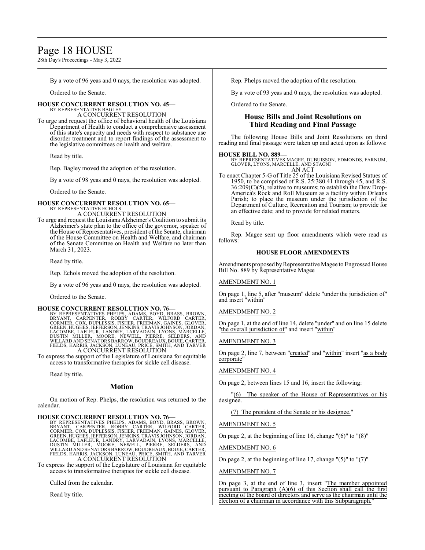# Page 18 HOUSE

28th Day's Proceedings - May 3, 2022

By a vote of 96 yeas and 0 nays, the resolution was adopted.

Ordered to the Senate.

## **HOUSE CONCURRENT RESOLUTION NO. 45—**

BY REPRESENTATIVE BAGLEY A CONCURRENT RESOLUTION

To urge and request the office of behavioral health of the Louisiana Department of Health to conduct a comprehensive assessment of this state's capacity and needs with respect to substance use disorder treatment and to report findings of the assessment to the legislative committees on health and welfare.

Read by title.

Rep. Bagley moved the adoption of the resolution.

By a vote of 98 yeas and 0 nays, the resolution was adopted.

Ordered to the Senate.

### **HOUSE CONCURRENT RESOLUTION NO. 65—** BY REPRESENTATIVE ECHOLS

A CONCURRENT RESOLUTION

To urge and request theLouisiana Alzheimer's Coalition to submit its Alzheimer's state plan to the office of the governor, speaker of the House of Representatives, president of the Senate, chairman of the House Committee on Health and Welfare, and chairman of the Senate Committee on Health and Welfare no later than March 31, 2023.

Read by title.

Rep. Echols moved the adoption of the resolution.

By a vote of 96 yeas and 0 nays, the resolution was adopted.

Ordered to the Senate.

HOUSE CONCURRENT RESOLUTION NO. 76<br>BY REPRESENTATIVES PHELPS, ADAMS, BOYD, BRASS, BROWN, BRYANT, CARPENTER, ROBBY CARTER, WILFORD CARTER,<br>CORMIER, COX, DUPLESSIS, FISHER, FREEMAN, GAINES, GLOVER,<br>GREEN, HUGHES, JEFFERSON,

To express the support of the Legislature of Louisiana for equitable access to transformative therapies for sickle cell disease.

Read by title.

### **Motion**

On motion of Rep. Phelps, the resolution was returned to the calendar.

HOUSE CONCURRENT RESOLUTION NO. 76—<br>BY REPRESENTATIVES PHELPS, ADAMS, BOYD, BRASS, BROWN,<br>BRYANT, CARPENTER, ROBBY CARTER, WILFORD CARTER,<br>CORMIER, COX, DUPLESSIS, FISHER, FREEMAN, GAINES, GLOVER,<br>GREEN, HUGHES, JEFFERSON,

To express the support of the Legislature of Louisiana for equitable access to transformative therapies for sickle cell disease.

Called from the calendar.

Read by title.

Rep. Phelps moved the adoption of the resolution.

By a vote of 93 yeas and 0 nays, the resolution was adopted.

Ordered to the Senate.

# **House Bills and Joint Resolutions on Third Reading and Final Passage**

The following House Bills and Joint Resolutions on third reading and final passage were taken up and acted upon as follows:

**HOUSE BILL NO. 889—** BY REPRESENTATIVES MAGEE, DUBUISSON, EDMONDS, FARNUM, GLOVER, LYONS, MARCELLE, AND STAGNI AN ACT

To enact Chapter 5-G of Title 25 of the Louisiana Revised Statues of 1950, to be comprised of R.S. 25:380.41 through 45, and R.S. 36:209(C)(5), relative to museums; to establish the Dew Drop-America's Rock and Roll Museum as a facility within Orleans Parish; to place the museum under the jurisdiction of the Department of Culture, Recreation and Tourism; to provide for an effective date; and to provide for related matters.

Read by title.

Rep. Magee sent up floor amendments which were read as follows:

## **HOUSE FLOOR AMENDMENTS**

Amendments proposed by Representative Magee to Engrossed House Bill No. 889 by Representative Magee

# AMENDMENT NO. 1

On page 1, line 5, after "museum" delete "under the jurisdiction of" and insert "within"

### AMENDMENT NO. 2

On page 1, at the end of line 14, delete "under" and on line 15 delete 'the overall jurisdiction of" and insert "within'

### AMENDMENT NO. 3

On page 2, line 7, between "created" and "within" insert "as a body corporate"

### AMENDMENT NO. 4

On page 2, between lines 15 and 16, insert the following:

"(6) The speaker of the House of Representatives or his designee.

(7) The president of the Senate or his designee."

### AMENDMENT NO. 5

On page 2, at the beginning of line 16, change "(6)" to "(8)"

AMENDMENT NO. 6

On page 2, at the beginning of line 17, change  $"(5)"$  to  $"(7)"$ 

### AMENDMENT NO. 7

On page 3, at the end of line 3, insert "The member appointed pursuant to Paragraph (A)(6) of this Section shall call the first meeting of the board of directors and serve as the chairman until the election of a chairman in accordance with this Subparagraph.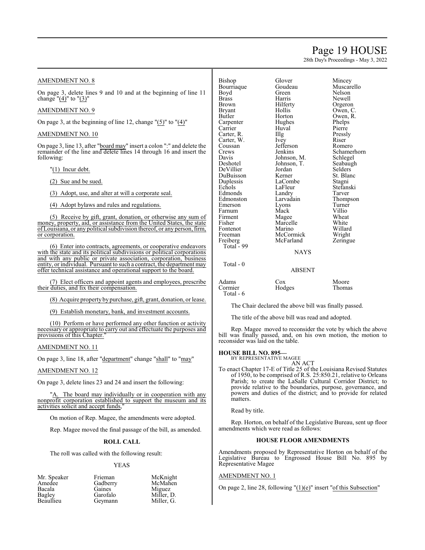# Page 19 HOUSE

28th Day's Proceedings - May 3, 2022

# AMENDMENT NO. 8

On page 3, delete lines 9 and 10 and at the beginning of line 11 change " $(4)$ " to " $(3)$ "

# AMENDMENT NO. 9

On page 3, at the beginning of line 12, change " $(5)$ " to " $(4)$ "

## AMENDMENT NO. 10

On page 3, line 13, after "board may" insert a colon ":" and delete the remainder of the line and delete lines 14 through 16 and insert the following:

"(1) Incur debt.

(2) Sue and be sued.

(3) Adopt, use, and alter at will a corporate seal.

(4) Adopt bylaws and rules and regulations.

(5) Receive by gift, grant, donation, or otherwise any sum of money, property, aid, or assistance from the United States, the state ofLouisiana, or any political subdivision thereof, or any person, firm, or corporation.

(6) Enter into contracts, agreements, or cooperative endeavors with the state and its political subdivisions or political corporations and with any public or private association, corporation, business entity, or individual. Pursuant to such a contract, the department may offer technical assistance and operational support to the board.

(7) Elect officers and appoint agents and employees, prescribe their duties, and fix their compensation.

(8) Acquire property by purchase, gift, grant, donation, or lease.

(9) Establish monetary, bank, and investment accounts.

(10) Perform or have performed any other function or activity necessary or appropriate to carry out and effectuate the purposes and provisions of this Chapter."

### AMENDMENT NO. 11

On page 3, line 18, after "department" change "shall" to "may"

### AMENDMENT NO. 12

On page 3, delete lines 23 and 24 and insert the following:

The board may individually or in cooperation with any nonprofit corporation established to support the museum and its activities solicit and accept funds,"

On motion of Rep. Magee, the amendments were adopted.

Rep. Magee moved the final passage of the bill, as amended.

### **ROLL CALL**

The roll was called with the following result:

### YEAS

| Friemai |
|---------|
| Gadber  |
| Gaines  |
| Garofal |
| Geyman  |
|         |

n McKnight<br>Try McMahen McMahen Miguez<br>
Miller I Miller, D. nn Miller, G.

Bishop Glover Mincey<br>Bourriague Goudeau Muscarello Bourriaque Goude<br>Boyd Green Boyd Green Nelson<br>Brass Harris Newell Brass Harris Newell Brown Hilferty Orgeron<br>Bryant Hollis Owen, C Butler Horton Owen, R.<br>
Carpenter Hughes Phelps Carpenter Hughes Phelps<br>Carrier Huval Pierre Carrier Huval Pierre<br>Carter, R. Illg Pressly Carter, R. Illg Pressl<br>Carter, W. Ivey Riser Carter, W. Ivey Riser Coussan Jefferson Romero Coussan Jefferson<br>Crews Jenkins Crews Jenkins Schamerhorn<br>
Davis Johnson, M. Schlegel Davis Johnson, M.<br>Deshotel Johnson, T. DeVillier Jordan Selders DuBuisson Kerner St. Blanc<br>Duplessis LaCombe Stagni Duplessis LaCombe<br>
Echols LaFleur Edmonds Landry Tarver<br>Edmonston Larvadain Thompson Edmonston Larvadain Thomp<br>Emerson Lyons Turner Emerson Lyons Turner<br>
Farnum Mack Villio Farnum Mack Villio<br>Firment Magee Wheat Firment Magee Wheat<br>
Fisher Marcelle White Fontenot Marino Willard<br>
Freeman McCormick Wright Freiberg McFarland Zeringue Total - 99

Total - 0

Owen, C. Johnson, T. Seabaugh<br>Jordan Selders LaFleur Stefanski<br>Landry Tarver Marcelle White<br>
Marino Willard McCormick Wright<br>
McFarland Zeringue

# **NAYS**

### ABSENT

| Adams     | Cox    | Moore         |
|-----------|--------|---------------|
| Cormier   | Hodges | <b>Thomas</b> |
| Total - 6 |        |               |

The Chair declared the above bill was finally passed.

The title of the above bill was read and adopted.

Rep. Magee moved to reconsider the vote by which the above bill was finally passed, and, on his own motion, the motion to reconsider was laid on the table.

### **HOUSE BILL NO. 895—**

BY REPRESENTATIVE MAGEE AN ACT

To enact Chapter 17-E of Title 25 of the Louisiana Revised Statutes of 1950, to be comprised of R.S. 25:850.21, relative to Orleans Parish; to create the LaSalle Cultural Corridor District; to provide relative to the boundaries, purpose, governance, and powers and duties of the district; and to provide for related matters.

Read by title.

Rep. Horton, on behalf of the Legislative Bureau, sent up floor amendments which were read as follows:

### **HOUSE FLOOR AMENDMENTS**

Amendments proposed by Representative Horton on behalf of the Legislative Bureau to Engrossed House Bill No. 895 by Representative Magee

### AMENDMENT NO. 1

On page 2, line 28, following "(1)(e)" insert "of this Subsection"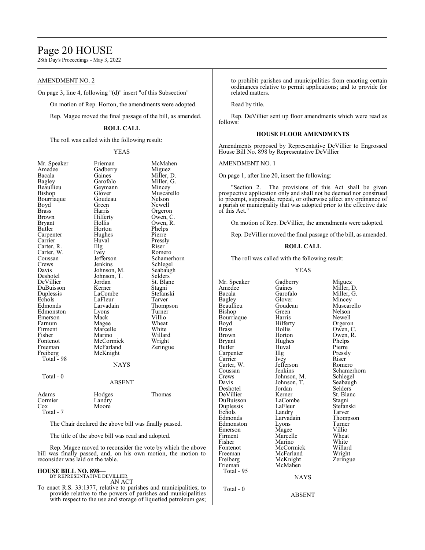# Page 20 HOUSE

28th Day's Proceedings - May 3, 2022

# AMENDMENT NO. 2

On page 3, line 4, following "(d)" insert "of this Subsection"

On motion of Rep. Horton, the amendments were adopted.

Rep. Magee moved the final passage of the bill, as amended.

### **ROLL CALL**

The roll was called with the following result:

### YEAS

| Mr. Speaker | Frieman       | McMahen    |
|-------------|---------------|------------|
| Amedee      | Gadberry      | Miguez     |
| Bacala      | Gaines        | Miller, D. |
| Bagley      | Garofalo      | Miller, G. |
| Beaullieu   | Geymann       | Mincey     |
| Bishop      | Glover        | Muscarello |
| Bourriaque  | Goudeau       | Nelson     |
| Boyd        | Green         | Newell     |
| Brass       | Harris        | Orgeron    |
| Brown       | Hilferty      | Owen, C.   |
| Bryant      | Hollis        | Owen, R.   |
| Butler      | Horton        | Phelps     |
| Carpenter   | Hughes        | Pierre     |
| Carrier     | Huval         | Pressly    |
| Carter, R.  | Illg          | Riser      |
| Carter, W.  | Ivey          | Romero     |
| Coussan     | Jefferson     | Schamerho: |
| Crews       | Jenkins       | Schlegel   |
| Davis       | Johnson, M.   | Seabaugh   |
| Deshotel    | Johnson, T.   | Selders    |
| DeVillier   | Jordan        | St. Blanc  |
| DuBuisson   | Kerner        | Stagni     |
| Duplessis   | LaCombe       | Stefanski  |
| Echols      | LaFleur       | Tarver     |
| Edmonds     | Larvadain     | Thompson   |
| Edmonston   | Lyons         | Turner     |
| Emerson     | Mack          | Villio     |
| Farnum      | Magee         | Wheat      |
| Firment     | Marcelle      | White      |
| Fisher      | Marino        | Willard    |
| Fontenot    | McCormick     | Wright     |
| Freeman     | McFarland     | Zeringue   |
| Freiberg    | McKnight      |            |
| Total - 98  |               |            |
|             | <b>NAYS</b>   |            |
| Total - 0   |               |            |
|             | <b>ABSENT</b> |            |
| Adams       | Hodges        | Thomas     |
| Cormier     | Landry        |            |
| Cox         | Moore         |            |

val Pressly<br>
Pressly<br>
Riser y Romero<br>
ferson Schamer ferson Schamerhorn<br>kins Schlegel kins Schlegel<br>
1991 - Seabaugh<br>
Seabaugh inson, T.<br>dan Combe Stefanski<br>Fleur Tarver Edmonds Thompson<br>
Turner<br>
Turner edmonstrated by Turner<br>Turner<br>Villio Exercelle Wheat<br>
Firment Marcelle<br>
Firment Millar :Cormick<br>:Farland

|                                      | ADSEN I                   |        |
|--------------------------------------|---------------------------|--------|
| Adams<br>Cormier<br>Cox<br>Total - 7 | Hodges<br>Landry<br>Moore | Thomas |

The Chair declared the above bill was finally passed.

The title of the above bill was read and adopted.

Rep. Magee moved to reconsider the vote by which the above bill was finally passed, and, on his own motion, the motion to reconsider was laid on the table.

### **HOUSE BILL NO. 898—**

BY REPRESENTATIVE DEVILLIER AN ACT

To enact R.S. 33:1377, relative to parishes and municipalities; to provide relative to the powers of parishes and municipalities with respect to the use and storage of liquefied petroleum gas; to prohibit parishes and municipalities from enacting certain ordinances relative to permit applications; and to provide for related matters.

Read by title.

Rep. DeVillier sent up floor amendments which were read as follows:

# **HOUSE FLOOR AMENDMENTS**

Amendments proposed by Representative DeVillier to Engrossed House Bill No. 898 by Representative DeVillier

### AMENDMENT NO. 1

On page 1, after line 20, insert the following:

"Section 2. The provisions of this Act shall be given prospective application only and shall not be deemed nor construed to preempt, supersede, repeal, or otherwise affect any ordinance of a parish or municipality that was adopted prior to the effective date of this Act."

On motion of Rep. DeVillier, the amendments were adopted.

Rep. DeVillier moved the final passage of the bill, as amended.

### **ROLL CALL**

The roll was called with the following result:

### YEAS

Mr. Speaker Gadberry Miguez<br>Amedee Gaines Miller, 1 Bagley Glover Mincey Boyd Hilferty<br>Brass Hollis Carter, W. Jefferso<br>Coussan Jenkins Total - 95 Total - 0

Bourriaque Harris Newell<br>Boyd Hilferty Orgeron Brass Hollis Owen, C.<br>Brown Horton Owen, R. Brown Horton Owen, R.<br>Bryant Hughes Phelps Bryant Hughes Phelps<br>Butler Huyal Pierre Carpenter Illg Pressl<br>Carrier Ivey Riser Carrier Ivey Riser<br>Carter, W. Jefferson Romero Deshotel Jordan Selders DeVillier Kerner St. Blanch<br>DuBuisson LaCombe Stagni DuBuisson LaCombe Stagni<br>
Duplessis LaFleur Stefanski Duplessis LaFleur Stefans<br>Echols Landry Tarver Echols Landry<br>Edmonds Larvadain Edmonston Lyons Turner<br>
Emerson Magee Villio Emerson Magee Villio<br>Firment Marcelle Wheat Firment Marcelle Wheat<br>Fisher Marino White Fisher Marino White<br>Fontenot McCormick Willard Fontenot McCormick Willard Freeman McFarland Wright<br>Freiberg McKnight Zeringue Freiberg McKnight<br>Frieman McMahen McMahen

Amedee Gaines Miller, D.<br>Bacala Garofalo Miller, G. Miller, G. Beaullieu Goudeau Muscarello<br>Bishop Green Nelson Green Nelson<br>Harris Newell Huval Pierre<br>Illg Pressly Coussan Jenkins Schamerhorn<br>Crews Johnson, M. Schlegel Crews Johnson, M. Schlegel<br>Davis Johnson, T. Seabaugh Johnson, T. Seabaughters<br>Selders Larvadain Thompson<br>Lyons Turner

NAYS

#### ABSENT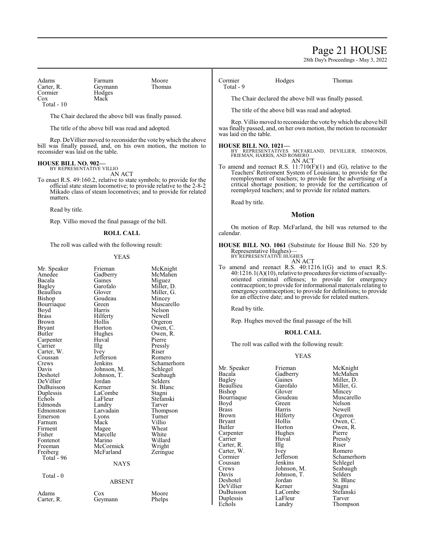# Page 21 HOUSE

28th Day's Proceedings - May 3, 2022

Adams Farnum Moore<br>Carter. R. Geymann Thomas Carter, R. Geymann<br>Cormier Hodges Cormier Hodges<br>Cox Mack Total - 10

The Chair declared the above bill was finally passed.

The title of the above bill was read and adopted.

Mack

Rep. DeVillier moved to reconsider the vote by which the above bill was finally passed, and, on his own motion, the motion to reconsider was laid on the table.

#### **HOUSE BILL NO. 902—** BY REPRESENTATIVE VILLIO

AN ACT

To enact R.S. 49:160.2, relative to state symbols; to provide for the official state steam locomotive; to provide relative to the 2-8-2 Mikado class of steam locomotives; and to provide for related matters.

Read by title.

Rep. Villio moved the final passage of the bill.

### **ROLL CALL**

The roll was called with the following result:

### YEAS

| Mr. Speaker<br>Amedee<br>Bacala<br><b>Bagley</b><br>Beaullieu<br>Bishop<br>Bourriaque<br>Boyd<br>Brass<br>Brown<br>Bryant<br>Butler<br>Carpenter<br>Carrier<br>Carter, W.<br>Coussan<br>Crews<br>Davis<br>Deshotel<br>DeVillier<br>DuBuisson<br>Duplessis<br>Echols<br>Edmonds<br>Edmonston<br>Emerson<br>Farnum<br>Firment<br>Fisher<br>Fontenot<br>Freeman | Frieman<br>Gadberry<br>Gaines<br>Garofalo<br>Glover<br>Goudeau<br>Green<br>Harris<br>Hilferty<br>Hollis<br>Horton<br>Hughes<br>Huval<br>Illg<br><i>lvey</i><br>Jefferson<br>Jenkins<br>Johnson, M.<br>Johnson, T.<br>Jordan<br>Kerner<br>LaCombe<br>LaFleur<br>Landry<br>Larvadain<br>Lyons<br>Mack<br>Magee<br>Marcelle<br>Marino<br>McCormick | McKnight<br>McMahen<br>Miguez<br>Miller, D.<br>Miller, G.<br>Mincey<br>Muscarello<br><b>Nelson</b><br>Newell<br>Orgeron<br>Owen, C.<br>Owen, R.<br>Pierre<br>Pressly<br>Riser<br>Romero<br>Schamerhorn<br>Schlegel<br>Seabaugh<br>Selders<br>St. Blanc<br>Stagni<br>Stefanski<br>Tarver<br>Thompson<br>Turner<br>Villio<br>Wheat<br>White<br>Willard<br>Wright |
|--------------------------------------------------------------------------------------------------------------------------------------------------------------------------------------------------------------------------------------------------------------------------------------------------------------------------------------------------------------|-------------------------------------------------------------------------------------------------------------------------------------------------------------------------------------------------------------------------------------------------------------------------------------------------------------------------------------------------|----------------------------------------------------------------------------------------------------------------------------------------------------------------------------------------------------------------------------------------------------------------------------------------------------------------------------------------------------------------|
| Freiberg                                                                                                                                                                                                                                                                                                                                                     | McFarland                                                                                                                                                                                                                                                                                                                                       | Zeringue                                                                                                                                                                                                                                                                                                                                                       |
| Total - 96                                                                                                                                                                                                                                                                                                                                                   |                                                                                                                                                                                                                                                                                                                                                 |                                                                                                                                                                                                                                                                                                                                                                |
|                                                                                                                                                                                                                                                                                                                                                              | <b>NAYS</b>                                                                                                                                                                                                                                                                                                                                     |                                                                                                                                                                                                                                                                                                                                                                |
| Total - 0                                                                                                                                                                                                                                                                                                                                                    |                                                                                                                                                                                                                                                                                                                                                 |                                                                                                                                                                                                                                                                                                                                                                |
|                                                                                                                                                                                                                                                                                                                                                              | <b>ABSENT</b>                                                                                                                                                                                                                                                                                                                                   |                                                                                                                                                                                                                                                                                                                                                                |
| Adams                                                                                                                                                                                                                                                                                                                                                        | Cox                                                                                                                                                                                                                                                                                                                                             | Moore                                                                                                                                                                                                                                                                                                                                                          |
| Carter, R.                                                                                                                                                                                                                                                                                                                                                   | Geymann                                                                                                                                                                                                                                                                                                                                         | Phelps                                                                                                                                                                                                                                                                                                                                                         |

Cormier Hodges Thomas Total - 9

The Chair declared the above bill was finally passed.

The title of the above bill was read and adopted.

Rep. Villio moved to reconsider the vote bywhich the above bill was finally passed, and, on her own motion, the motion to reconsider was laid on the table.

### **HOUSE BILL NO. 1021—**

BY REPRESENTATIVES MCFARLAND, DEVILLIER, EDMONDS, FRIEMAN, HARRIS, AND ROMERO AN ACT

To amend and reenact R.S. 11:710(F)(1) and (G), relative to the Teachers' Retirement System of Louisiana; to provide for the reemployment of teachers; to provide for the advertising of a critical shortage position; to provide for the certification of reemployed teachers; and to provide for related matters.

Read by title.

### **Motion**

On motion of Rep. McFarland, the bill was returned to the calendar.

**HOUSE BILL NO. 1061** (Substitute for House Bill No. 520 by Representative Hughes)— BY REPRESENTATIVE HUGHES

AN ACT

To amend and reenact R.S. 40:1216.1(G) and to enact R.S.  $40:1216.1(A)(10)$ , relative to procedures for victims of sexuallyoriented criminal offenses; to provide for emergency contraception; to provide for informational materials relating to emergency contraception; to provide for definitions; to provide for an effective date; and to provide for related matters.

Read by title.

Rep. Hughes moved the final passage of the bill.

### **ROLL CALL**

The roll was called with the following result:

### YEAS

Bishop Glover Mincey<br>Bourriaque Goudeau Muscar Boyd Green Nelson<br>Brass Harris Newell Brass Harris Newell<br>Brown Hilferty Orgerou Brown Hilferty Orgeron<br>Bryant Hollis Owen, C Bryant Hollis Owen, C.<br>Butler Horton Owen, R. Carpenter Hughe<br>Carrier Huval Carter, R. Illg Riser<br>Carter, W. Ivey Romero Carter, W. Ivey<br>Cormier Jefferson Crews Johnson, M. Seabaughter Seabaughter Seabaughter Seabaughter Seabaughter Seabaughter Seabaughter Seabaughter Seabaughter Seabaughter Seabaughter Seabaughter Seabaughter Seabaughter Seabaughter Seabaughter Seabaughter Davis Johnson, T.<br>Deshotel Jordan Duplessis LaFleur<br>Echols Landry

Huval Pressly<br>
Illg Riser LaCombe Stefans<br>LaFleur Tarver

Mr. Speaker Frieman McKnight<br>Bacala Gadberry McMahen Bacala Gadberry McMahen Bagley Gaines Miller, D.<br>Beaullieu Garofalo Miller, G. Beaullieu Garofalo Miller, G.<br>Bishop Glover Mincey Bourriaque Goudeau Muscarello<br>
Boyd Green Nelson Horton Owen, R.<br>Hughes Pierre Cormier Jefferson Schamerhorn<br>
Coussan Jenkins Schlegel Coussan Jenkins Schlegel<br>Crews Johnson, M. Seabaugh Jordan St. Blanc<br>Kerner Stagni DeVillier Kerner Stagni Thompson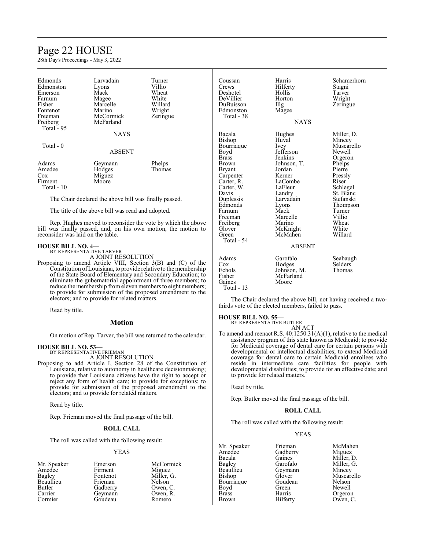# Page 22 HOUSE

28th Day's Proceedings - May 3, 2022

| Edmonds<br>Edmonston<br>Emerson<br>Farnum<br>Fisher<br>Fontenot<br>Freeman | Larvadain<br>Lyons<br>Mack<br>Magee<br>Marcelle<br>Marino<br>McCormick | Turner<br>Villio<br>Wheat<br>White<br>Willard<br>Wright<br>Zeringue | Coussan<br>Crews<br>Deshotel<br>DeVillier<br>DuBuisson<br>Edmonston<br>Total - 38 | Harris<br>Hilferty<br>Hollis<br>Horton<br>$\prod$ llg<br>Magee | Schamerl<br>Stagni<br>Tarver<br>Wright<br>Zeringue |
|----------------------------------------------------------------------------|------------------------------------------------------------------------|---------------------------------------------------------------------|-----------------------------------------------------------------------------------|----------------------------------------------------------------|----------------------------------------------------|
| Freiberg<br>Total - 95                                                     | McFarland                                                              |                                                                     |                                                                                   | <b>NAYS</b>                                                    |                                                    |
|                                                                            | <b>NAYS</b>                                                            |                                                                     | Bacala<br>Bishop                                                                  | Hughes<br>Huval                                                | Miller, D<br>Mincey                                |
| Total - 0                                                                  | <b>ABSENT</b>                                                          |                                                                     | Bourriaque<br>Boyd<br>Brass                                                       | Ivey<br>Jefferson<br>Jenkins                                   | Muscarel<br>Newell<br>Orgeron                      |
| Adams                                                                      | Geymann                                                                | Phelps                                                              | Brown                                                                             | Johnson, T.                                                    | Phelps                                             |
| Amedee                                                                     | Hodges                                                                 | Thomas                                                              | <b>Bryant</b>                                                                     | Jordan                                                         | Pierre                                             |
| $\cos$                                                                     | Miguez                                                                 |                                                                     | Carpenter                                                                         | Kerner                                                         | Pressly                                            |
| Firment                                                                    | Moore                                                                  |                                                                     | Carter, R.                                                                        | LaCombe                                                        | Riser                                              |
| Total - 10                                                                 |                                                                        |                                                                     | Carter, W.                                                                        | LaFleur                                                        | Schlegel                                           |
|                                                                            |                                                                        |                                                                     | Davis                                                                             | Landry                                                         | St. Blanc                                          |
|                                                                            | The Chair declared the above bill was finally passed.                  |                                                                     | Duplessis                                                                         | Larvadain                                                      | Stefanski                                          |
|                                                                            |                                                                        |                                                                     | <b>Edmonds</b>                                                                    | $V\Omega$ ns                                                   | Thomnsc                                            |

The title of the above bill was read and adopted.

Rep. Hughes moved to reconsider the vote by which the above bill was finally passed, and, on his own motion, the motion to reconsider was laid on the table.

### **HOUSE BILL NO. 4—**

BY REPRESENTATIVE TARVER

A JOINT RESOLUTION

Proposing to amend Article VIII, Section 3(B) and (C) of the Constitution ofLouisiana, to provide relative to the membership of the State Board of Elementary and Secondary Education; to eliminate the gubernatorial appointment of three members; to reduce the membership from eleven members to eight members; to provide for submission of the proposed amendment to the electors; and to provide for related matters.

Read by title.

## **Motion**

On motion of Rep. Tarver, the bill was returned to the calendar.

### **HOUSE BILL NO. 53—**

BY REPRESENTATIVE FRIEMAN A JOINT RESOLUTION

Proposing to add Article I, Section 28 of the Constitution of Louisiana, relative to autonomy in healthcare decisionmaking; to provide that Louisiana citizens have the right to accept or reject any form of health care; to provide for exceptions; to provide for submission of the proposed amendment to the electors; and to provide for related matters.

Read by title.

Rep. Frieman moved the final passage of the bill.

### **ROLL CALL**

The roll was called with the following result:

#### YEAS

| Mr. Speaker | Emerson  | McCormick  |
|-------------|----------|------------|
| Amedee      | Firment  | Miguez     |
| Bagley      | Fontenot | Miller, G. |
| Beaullieu   | Frieman  | Nelson     |
| Butler      | Gadberry | Owen, C.   |
| Carrier     | Geymann  | Owen, R.   |
| Cormier     | Goudeau  | Romero     |

Farnum Mack Turner<br>Freeman Marcelle Villio Freiberg Marino Wheat<br>
Glover McKnight White Glover McKnight White<br>
Green McMahen Willard McMahen

chamerhorn<br>tagni eringue

filler, D. Iincey Iuscarello<br>Iewell chlegel<br>t. Blanc tefanski Lyons Thompson<br>Mack Turner Marcelle Villio<br>
Marino Wheat

#### ABSENT

Adams Garofalo Seabaugh<br>Cox Hodges Selders Cox Hodges Selders<br>Echols Johnson, M. Thomas Echols Johnson, M.<br>Fisher McFarland Fisher McFarland<br>Gaines Moore Moore

The Chair declared the above bill, not having received a twothirds vote of the elected members, failed to pass.

# **HOUSE BILL NO. 55—**

Total - 54

Total - 13

BY REPRESENTATIVE BUTLER AN ACT

To amend and reenact R.S. 40:1250.31(A)(1), relative to the medical assistance program of this state known as Medicaid; to provide for Medicaid coverage of dental care for certain persons with developmental or intellectual disabilities; to extend Medicaid coverage for dental care to certain Medicaid enrollees who reside in intermediate care facilities for people with developmental disabilities; to provide for an effective date; and to provide for related matters.

Read by title.

Rep. Butler moved the final passage of the bill.

### **ROLL CALL**

The roll was called with the following result:

### YEAS

Mr. Speaker Frieman McMahen<br>Amedee Gadberry Miguez Amedee Gadberry<br>Bacala Gaines Bacala Gaines Miller, D.<br>Bagley Garofalo Miller, G. Bagley Garofalo Miller, G.<br>Beaullieu Geymann Mincey Beaullieu Geymann<br>Bishop Glover Bourriaque Goude<br>Boyd Green Boyd Green Newell<br>Brass Harris Orgerou Brass Harris Orgeron

Glover Muscarello<br>Goudeau Nelson Owen, C.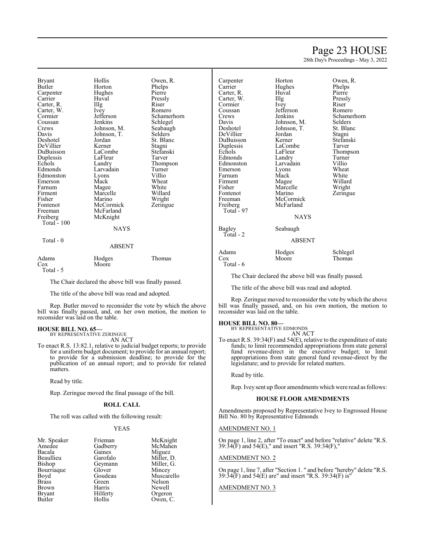# Page 23 HOUSE

28th Day's Proceedings - May 3, 2022

| <b>Bryant</b> | Hollis        | Owen, R.       | Carpenter  | Horton        | Owen, R.    |
|---------------|---------------|----------------|------------|---------------|-------------|
| Butler        | Horton        | Phelps         | Carrier    | Hughes        | Phelps      |
| Carpenter     | Hughes        | Pierre         | Carter, R. | Huval         | Pierre      |
| Carrier       | Huval         | Pressly        | Carter, W. | Illg          | Pressly     |
| Carter, R.    | Illg          | Riser          | Cormier    | Ivey          | Riser       |
| Carter, W.    | Ivey          | Romero         | Coussan    | Jefferson     | Romero      |
| Cormier       | Jefferson     | Schamerhorn    | Crews      | Jenkins       | Schamerhorn |
| Coussan       | Jenkins       | Schlegel       | Davis      | Johnson, M.   | Selders     |
| Crews         | Johnson, M.   | Seabaugh       | Deshotel   | Johnson, T.   | St. Blanc   |
| Davis         | Johnson, T.   | <b>Selders</b> | DeVillier  | Jordan        | Stagni      |
| Deshotel      | Jordan        | St. Blanc      | DuBuisson  | Kerner        | Stefanski   |
| DeVillier     | Kerner        | Stagni         | Duplessis  | LaCombe       | Tarver      |
| DuBuisson     | LaCombe       | Stefanski      | Echols     | LaFleur       | Thompson    |
| Duplessis     | LaFleur       | Tarver         | Edmonds    | Landry        | Turner      |
| Echols        | Landry        | Thompson       | Edmonston  | Larvadain     | Villio      |
| Edmonds       | Larvadain     | Turner         | Emerson    | Lyons         | Wheat       |
| Edmonston     | Lyons         | Villio         | Farnum     | Mack          | White       |
| Emerson       | Mack          | Wheat          | Firment    | Magee         | Willard     |
| Farnum        | Magee         | White          | Fisher     | Marcelle      | Wright      |
| Firment       | Marcelle      | Willard        | Fontenot   | Marino        | Zeringue    |
| Fisher        | Marino        | Wright         | Freeman    | McCormick     |             |
| Fontenot      | McCormick     | Zeringue       | Freiberg   | McFarland     |             |
| Freeman       | McFarland     |                | Total - 97 |               |             |
| Freiberg      | McKnight      |                |            | <b>NAYS</b>   |             |
| Total $-100$  |               |                |            |               |             |
|               | <b>NAYS</b>   |                | Bagley     | Seabaugh      |             |
|               |               |                | Total - 2  |               |             |
| Total - 0     |               |                |            | <b>ABSENT</b> |             |
|               | <b>ABSENT</b> |                |            |               |             |
|               |               |                | Adams      | Hodges        | Schlegel    |
| Adams         | Hodges        | Thomas         | Cox        | Moore         | Thomas      |
| Cox           | Moore         |                | Total - 6  |               |             |

Total - 5

The Chair declared the above bill was finally passed.

The title of the above bill was read and adopted.

Rep. Butler moved to reconsider the vote by which the above bill was finally passed, and, on her own motion, the motion to reconsider was laid on the table.

# **HOUSE BILL NO. 65—** BY REPRESENTATIVE ZERINGUE

AN ACT

To enact R.S. 13:82.1, relative to judicial budget reports; to provide for a uniform budget document; to provide for an annual report; to provide for a submission deadline; to provide for the publication of an annual report; and to provide for related matters.

Read by title.

Rep. Zeringue moved the final passage of the bill.

### **ROLL CALL**

The roll was called with the following result:

#### YEAS

| Mr. Speaker<br>Amedee<br>Bacala<br>Beaullieu<br>Bishop<br>Bourriague<br>Boyd<br><b>Brass</b><br><b>Brown</b><br><b>Bryant</b> | Frieman<br>Gadberry<br>Gaines<br>Garofalo<br>Geymann<br>Glover<br>Goudeau<br>Green<br>Harris<br>Hilferty | McKnight<br>McMahen<br>Miguez<br>Miller, D.<br>Miller, G.<br>Mincey<br>Muscarello<br>Nelson<br>Newell<br>Orgeron |
|-------------------------------------------------------------------------------------------------------------------------------|----------------------------------------------------------------------------------------------------------|------------------------------------------------------------------------------------------------------------------|
| Butler                                                                                                                        | Hollis                                                                                                   | Owen, C.                                                                                                         |
|                                                                                                                               |                                                                                                          |                                                                                                                  |

The Chair declared the above bill was finally passed.

The title of the above bill was read and adopted.

Rep. Zeringue moved to reconsider the vote by which the above bill was finally passed, and, on his own motion, the motion to reconsider was laid on the table.

# **HOUSE BILL NO. 80—** BY REPRESENTATIVE EDMONDS

AN ACT

To enact R.S.  $39:34(F)$  and  $54(E)$ , relative to the expenditure of state funds; to limit recommended appropriations from state general fund revenue-direct in the executive budget; to limit appropriations from state general fund revenue-direct by the legislature; and to provide for related matters.

Read by title.

Rep. Ivey sent up floor amendments which were read as follows:

### **HOUSE FLOOR AMENDMENTS**

Amendments proposed by Representative Ivey to Engrossed House Bill No. 80 by Representative Edmonds

### AMENDMENT NO. 1

On page 1, line 2, after "To enact" and before "relative" delete "R.S. 39:34(F) and 54(E)," and insert "R.S. 39:34(F),"

# AMENDMENT NO. 2

On page 1, line 7, after "Section 1. " and before "hereby" delete "R.S. 39:34(F) and 54(E) are" and insert "R.S. 39:34(F) is"

# AMENDMENT NO. 3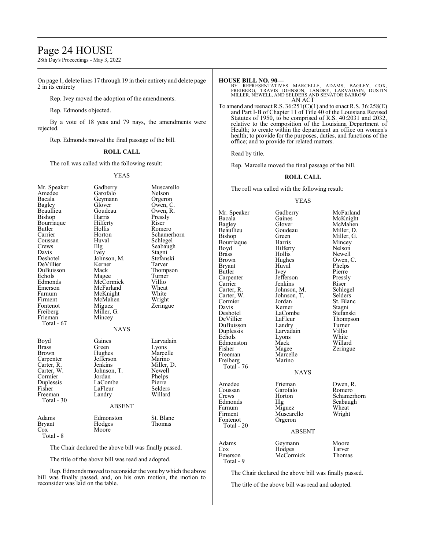# Page 24 HOUSE

28th Day's Proceedings - May 3, 2022

On page 1, delete lines 17 through 19 in their entirety and delete page 2 in its entirety

Rep. Ivey moved the adoption of the amendments.

# Rep. Edmonds objected.

By a vote of 18 yeas and 79 nays, the amendments were rejected.

Rep. Edmonds moved the final passage of the bill.

### **ROLL CALL**

The roll was called with the following result:

### YEAS

| Mr. Speaker<br>Amedee<br>Bacala<br>Bagley | Gadberry<br>Garofalo<br>Geymann<br>Glover | Muscarello<br>Nelson<br>Orgeron<br>Owen, C. |
|-------------------------------------------|-------------------------------------------|---------------------------------------------|
| Beaullieu                                 | Goudeau                                   | Owen, R.                                    |
| Bishop                                    | Harris                                    | Pressly                                     |
| Bourriaque                                | Hilferty                                  | Riser                                       |
| Butler                                    | Hollis                                    | Romero                                      |
| Carrier                                   | Horton                                    | Schamerhorn                                 |
| Coussan                                   | Huval                                     | Schlegel                                    |
| Crews                                     | Illg                                      | Seabaugh                                    |
| Davis                                     | Ivey                                      | Stagni                                      |
| Deshotel                                  | Johnson, M.                               | Stefanski                                   |
| DeVillier                                 | Kerner                                    | Tarver                                      |
| DuBuisson                                 | Mack                                      | Thompson                                    |
| Echols                                    | Magee                                     | Turner                                      |
| Edmonds                                   | McCormick                                 | Villio                                      |
| Emerson                                   | McFarland                                 | Wheat                                       |
| Farnum                                    | McKnight                                  | White                                       |
| Firment                                   | McMahen                                   | Wright                                      |
| Fontenot                                  | Miguez                                    | Zeringue                                    |
| Freiberg                                  | Miller, G.                                |                                             |
| Frieman                                   | Mincey                                    |                                             |
| Total - 67                                |                                           |                                             |
|                                           | <b>NAYS</b>                               |                                             |
| Boyd                                      | Gaines                                    | Larvadain                                   |
| <b>Brass</b>                              | Green                                     | Lyons                                       |
| Brown                                     | Hughes                                    | Marcelle                                    |
| Carpenter                                 | Jefferson                                 | Marino                                      |
| Carter, R.                                | Jenkins                                   | Miller, D.                                  |
| Carter, W.                                | Johnson, T.                               | Newell                                      |
| Cormier                                   | Jordan                                    | Phelps                                      |
| Duplessis                                 | LaCombe                                   | Pierre                                      |
| Fisher                                    | LaFleur                                   | Selders                                     |
| Freeman                                   | Landry                                    | Willard                                     |
| Total - 30                                | <b>ABSENT</b>                             |                                             |
|                                           |                                           |                                             |
| Adams<br>Bryant<br>Cox<br>Total - 8       | Edmonston<br>Hodges<br>Moore              | St. Blanc<br>Thomas                         |
|                                           |                                           |                                             |

The Chair declared the above bill was finally passed.

The title of the above bill was read and adopted.

Rep. Edmondsmoved to reconsider the vote by which the above bill was finally passed, and, on his own motion, the motion to reconsider was laid on the table.

### **HOUSE BILL NO. 90—**

BY REPRESENTATIVES MARCELLE, ADAMS, BAGLEY, COX,<br>FREIBERG, TRAVIS JOHNSON, LANDRY, LARVADAIN, DUSTIN<br>MILLER,NEWELL,AND SELDERS AND SENATOR BARROW AN ACT

To amend and reenact R.S.  $36:251(C)(1)$  and to enact R.S.  $36:258(E)$ and Part I-B of Chapter 11 of Title 40 of the Louisiana Revised Statutes of 1950, to be comprised of R.S. 40:2031 and 2032, relative to the composition of the Louisiana Department of Health; to create within the department an office on women's health; to provide for the purposes, duties, and functions of the office; and to provide for related matters.

Read by title.

Rep. Marcelle moved the final passage of the bill.

### **ROLL CALL**

The roll was called with the following result:

### YEAS

| Mr. Speaker<br>Bacala<br>Bagley<br>Beaullieu<br>Bishop<br>Bourriaque<br>Boyd<br>Brass<br><b>Brown</b><br>Bryant<br>Butler<br>Carpenter<br>Carrier<br>Carter, R.<br>Carter, W.<br>Cormier<br>Davis<br>Deshotel<br>DeVillier<br>DuBuisson<br>Duplessis<br>Echols<br>Edmonston<br>Fisher<br>Freeman<br>Freiberg<br>Total - 76 | Gadberry<br>Gaines<br>Glover<br>Goudeau<br>Green<br>Harris<br>Hilferty<br>Hollis<br>Hughes<br>Huval<br>Ivey<br>Jefferson<br>Jenkins<br>Johnson, M.<br>Johnson, T.<br>Jordan<br>Kerner<br>LaCombe<br>LaFleur<br>Landry<br>Larvadain<br>Lyons<br>Mack<br>Magee<br>Marcelle<br>Marino | McFarland<br>McKnight<br>McMahen<br>Miller, D.<br>Miller, G.<br>Mincey<br>Nelson<br>Newell<br>Owen, C.<br>Phelps<br>Pierre<br>Pressly<br>Riser<br>Schlegel<br>Selders<br>St. Blanc<br>Stagni<br>Stefanski<br>Thompson<br>Turner<br>Villio<br>White<br>Willard<br>Zeringue |
|----------------------------------------------------------------------------------------------------------------------------------------------------------------------------------------------------------------------------------------------------------------------------------------------------------------------------|------------------------------------------------------------------------------------------------------------------------------------------------------------------------------------------------------------------------------------------------------------------------------------|---------------------------------------------------------------------------------------------------------------------------------------------------------------------------------------------------------------------------------------------------------------------------|
|                                                                                                                                                                                                                                                                                                                            | <b>NAYS</b>                                                                                                                                                                                                                                                                        |                                                                                                                                                                                                                                                                           |
| Amedee<br>Coussan<br>Crews<br>Edmonds<br>Farnum<br>Firment<br>Fontenot<br>Total - 20                                                                                                                                                                                                                                       | Frieman<br>Garofalo<br>Horton<br>Illg<br>Miguez<br>Muscarello<br>Orgeron<br><b>ABSENT</b>                                                                                                                                                                                          | Owen, R.<br>Romero<br>Schamerhorn<br>Seabaugh<br>Wheat<br>Wright                                                                                                                                                                                                          |
| Adams<br>Cox<br>Emerson<br>Total - 9                                                                                                                                                                                                                                                                                       | Geymann<br>Hodges<br>McCormick                                                                                                                                                                                                                                                     | Moore<br>Tarver<br>Thomas                                                                                                                                                                                                                                                 |

The Chair declared the above bill was finally passed.

The title of the above bill was read and adopted.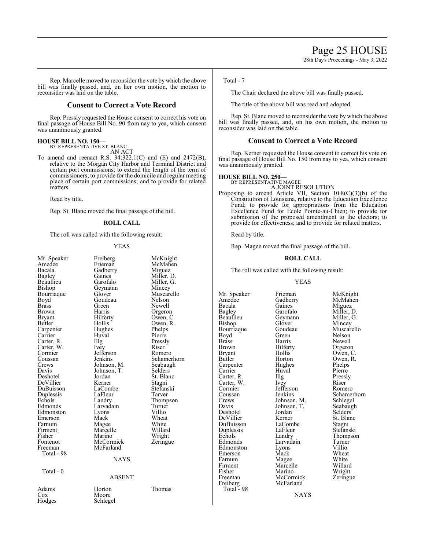Rep. Marcelle moved to reconsider the vote by which the above bill was finally passed, and, on her own motion, the motion to reconsider was laid on the table.

# **Consent to Correct a Vote Record**

Rep. Pressly requested the House consent to correct his vote on final passage of House Bill No. 90 from nay to yea, which consent was unanimously granted.

# **HOUSE BILL NO. 150—**

BY REPRESENTATIVE ST. BLANC

AN ACT To amend and reenact R.S. 34:322.1(C) and (E) and 2472(B), relative to the Morgan City Harbor and Terminal District and certain port commissions; to extend the length of the term of commissioners; to provide for the domicile and regular meeting place of certain port commissions; and to provide for related matters.

Read by title.

Rep. St. Blanc moved the final passage of the bill.

### **ROLL CALL**

The roll was called with the following result:

#### YEAS

| Mr. Speaker<br>Amedee<br>Bacala<br>Bagley<br>Beaullieu<br>Bishop<br>Bourriaque<br>Boyd | Freiberg<br>Frieman<br>Gadberry<br>Gaines<br>Garofalo<br>Geymann<br>Glover<br>Goudeau | McKnight<br>McMahen<br>Miguez<br>Miller, D.<br>Miller, G.<br>Mincey<br>Muscarello<br>Nelson |
|----------------------------------------------------------------------------------------|---------------------------------------------------------------------------------------|---------------------------------------------------------------------------------------------|
| Brass                                                                                  | Green                                                                                 | Newell                                                                                      |
| Brown                                                                                  | Harris                                                                                | Orgeron                                                                                     |
| Bryant                                                                                 | Hilferty                                                                              | Owen, C.                                                                                    |
| Butler                                                                                 | Hollis                                                                                | Owen, R.                                                                                    |
| Carpenter<br>Carrier                                                                   | Hughes<br>Huval                                                                       | Phelps<br>Pierre                                                                            |
| Carter, R.                                                                             | Illg                                                                                  | Pressly                                                                                     |
| Carter, W.                                                                             | Ivey                                                                                  | Riser                                                                                       |
| Cormier                                                                                | Jefferson                                                                             | Romero                                                                                      |
| Coussan                                                                                | Jenkins                                                                               | Schamerhorn                                                                                 |
| Crews                                                                                  | Johnson, M.                                                                           | Seabaugh                                                                                    |
| Davis                                                                                  | Johnson, T.                                                                           | Selders                                                                                     |
| Deshotel                                                                               | Jordan                                                                                | St. Blanc                                                                                   |
| DeVillier                                                                              | Kerner                                                                                | Stagni                                                                                      |
| DuBuisson                                                                              | LaCombe                                                                               | Stefanski                                                                                   |
| Duplessis                                                                              | LaFleur                                                                               | Tarver                                                                                      |
| Echols                                                                                 | Landry                                                                                | Thompson                                                                                    |
| Edmonds                                                                                | Larvadain                                                                             | Turner                                                                                      |
| Edmonston                                                                              | Lyons                                                                                 | Villio                                                                                      |
| Emerson                                                                                | Mack                                                                                  | Wheat<br>White                                                                              |
| Farnum                                                                                 | Magee                                                                                 | Willard                                                                                     |
| Firment<br>Fisher                                                                      | Marcelle<br>Marino                                                                    |                                                                                             |
| Fontenot                                                                               | McCormick                                                                             | Wright<br>Zeringue                                                                          |
| Freeman                                                                                | McFarland                                                                             |                                                                                             |
| Total - 98                                                                             |                                                                                       |                                                                                             |
|                                                                                        | <b>NAYS</b>                                                                           |                                                                                             |
|                                                                                        |                                                                                       |                                                                                             |
| Total $-0$                                                                             |                                                                                       |                                                                                             |
|                                                                                        | <b>ABSENT</b>                                                                         |                                                                                             |
| Adams                                                                                  | Horton                                                                                | Thomas                                                                                      |
| Cox                                                                                    | Moore                                                                                 |                                                                                             |
| Hodges                                                                                 | Schlegel                                                                              |                                                                                             |

### Total - 7

The Chair declared the above bill was finally passed.

The title of the above bill was read and adopted.

Rep. St. Blanc moved to reconsider the vote by which the above bill was finally passed, and, on his own motion, the motion to reconsider was laid on the table.

## **Consent to Correct a Vote Record**

Rep. Kerner requested the House consent to correct his vote on final passage of House Bill No. 150 from nay to yea, which consent was unanimously granted.

# **HOUSE BILL NO. 250—** BY REPRESENTATIVE MAGEE

- A JOINT RESOLUTION
- Proposing to amend Article VII, Section 10.8(C)(3)(b) of the Constitution of Louisiana, relative to the Education Excellence Fund; to provide for appropriations from the Education Excellence Fund for École Pointe-au-Chien; to provide for submission of the proposed amendment to the electors; to provide for effectiveness; and to provide for related matters.

Read by title.

Rep. Magee moved the final passage of the bill.

### **ROLL CALL**

The roll was called with the following result:

### YEAS

Beaullieu Geymann<br>Bishop Glover Bourriaque Goude<br>Boyd Green Carpenter Hughe<br>
Carrier Huval Carter, R. Illg Pressl<br>Carter, W. Ivey Riser Cormier Jefferson<br>Coussan Jenkins DeVillier Kerner St. Blanch<br>DuBuisson LaCombe Stagni DuBuisson LaComb<br>
Duplessis LaFleur Edmonston Lyons<br>Emerson Mack Emerson Mack Wheat<br>
Farnum Magee White Fisher Marino<br>Freeman McCormick Freiberg Total - 98

Mr. Speaker Frieman McKnight<br>Amedee Gadberry McMahen Amedee Gadberry McMahen<br>Bacala Gaines Miguez Bacala Gaines Miguez Bagley Garofalo Miller, D.<br>Beaullieu Geymann Miller, G. Glover Mincey<br>Goudeau Muscarello Boyd Green Nelson<br>Brass Harris Newell Brass Harris Newell<br>Brown Hilferty Orgeron Brown Hilferty Orgeron<br>Bryant Hollis Owen, C Bryant Hollis Owen, C.<br>Butler Horton Owen, R. Horton Owen, R.<br>Hughes Phelps Huval Pierre<br>Illg Pressly Carter, W. Ivey Riser Cormier Jefferson Romero Coussan Jenkins Schamerhorn<br>Crews Johnson, M. Schlegel Crews Johnson, M. Schlegel<br>Davis Johnson, T. Seabaugh Johnson, T. Seabaughters<br>Selders Deshotel Jordan Selders<br>DeVillier Kerner St. Blanc Duplessis LaFleur Stefanski<br>Echols Landry Thompson Echols Landry Thompson<br>Edmonds Larvadain Turner Larvadain Turner<br>Lyons Villio Farnum Magee White<br>
Firment Marcelle Willard Firment Marcelle Willard<br>
Fisher Marino Wright McCormick Zeringue<br>McFarland

**NAYS**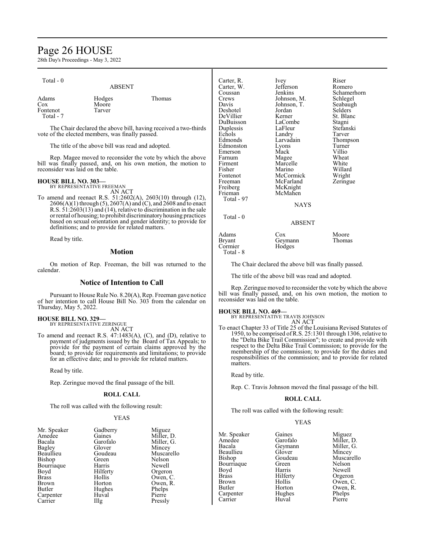# Page 26 HOUSE

28th Day's Proceedings - May 3, 2022

| Total - 0                   | <b>ABSENT</b>             |        |
|-----------------------------|---------------------------|--------|
| Adams<br>$\cos$<br>Fontenot | Hodges<br>Moore<br>Tarver | Thomas |

The Chair declared the above bill, having received a two-thirds vote of the elected members, was finally passed.

The title of the above bill was read and adopted.

Rep. Magee moved to reconsider the vote by which the above bill was finally passed, and, on his own motion, the motion to reconsider was laid on the table.

### **HOUSE BILL NO. 303—**

BY REPRESENTATIVE FREEMAN AN ACT

To amend and reenact R.S. 51:2602(A), 2603(10) through (12), 2606(A)(1) through (5), 2607(A) and (C), and 2608 and to enact R.S. 51:2603(13) and (14), relative to discrimination in the sale orrental of housing; to prohibit discriminatoryhousing practices based on sexual orientation and gender identity; to provide for definitions; and to provide for related matters.

Read by title.

# **Motion**

On motion of Rep. Freeman, the bill was returned to the calendar.

# **Notice of Intention to Call**

Pursuant to House Rule No. 8.20(A), Rep. Freeman gave notice of her intention to call House Bill No. 303 from the calendar on Thursday, May 5, 2022.

# **HOUSE BILL NO. 329—** BY REPRESENTATIVE ZERINGUE

AN ACT

To amend and reenact R.S. 47:1483(A), (C), and (D), relative to payment of judgments issued by the Board of Tax Appeals; to provide for the payment of certain claims approved by the board; to provide for requirements and limitations; to provide for an effective date; and to provide for related matters.

Read by title.

Rep. Zeringue moved the final passage of the bill.

# **ROLL CALL**

The roll was called with the following result:

### YEAS

| Mr. Speaker  | Gadberry    | Miguez     |
|--------------|-------------|------------|
| Amedee       | Gaines      | Miller, D. |
| Bacala       | Garofalo    | Miller, G. |
| Bagley       | Glover      | Mincey     |
| Beaullieu    | Goudeau     | Muscarello |
| Bishop       | Green       | Nelson     |
| Bourriaque   | Harris      | Newell     |
| Boyd         | Hilferty    | Orgeron    |
| <b>Brass</b> | Hollis      | Owen, C.   |
| Brown        | Horton      | Owen, R.   |
| Butler       | Hughes      | Phelps     |
| Carpenter    | Huval       | Pierre     |
| Carrier      | $\prod$ llg | Pressly    |

| Carter, R. | Ivey        | Riser       |
|------------|-------------|-------------|
| Carter, W. | Jefferson   | Romero      |
| Coussan    | Jenkins     | Schamerhorn |
| Crews      | Johnson, M. | Schlegel    |
| Davis      | Johnson, T. | Seabaugh    |
| Deshotel   | Jordan      | Selders     |
| DeVillier  | Kerner      | St. Blanc   |
| DuBuisson  | LaCombe     | Stagni      |
| Duplessis  | LaFleur     | Stefanski   |
| Echols     | Landry      | Tarver      |
| Edmonds    | Larvadain   | Thompson    |
| Edmonston  | Lyons       | Turner      |
| Emerson    | Mack        | Villio      |
| Farnum     | Magee       | Wheat       |
| Firment    | Marcelle    | White       |
| Fisher     | Marino      | Willard     |
| Fontenot   | McCormick   | Wright      |
| Freeman    | McFarland   | Zeringue    |
| Freiberg   | McKnight    |             |
| Frieman    | McMahen     |             |
| Total - 97 |             |             |
|            | <b>NAYS</b> |             |
| Total - 0  |             |             |
|            | ABSENT      |             |
| Adams      | Cox         | Moore       |
| Bryant     | Geymann     | Thomas      |
| Cormier    | Hodges      |             |

The Chair declared the above bill was finally passed.

The title of the above bill was read and adopted.

Rep. Zeringue moved to reconsider the vote by which the above bill was finally passed, and, on his own motion, the motion to reconsider was laid on the table.

Total - 8

**HOUSE BILL NO. 469—** BY REPRESENTATIVE TRAVIS JOHNSON

AN ACT To enact Chapter 33 of Title 25 of the Louisiana Revised Statutes of 1950, to be comprised ofR.S. 25:1301 through 1306, relative to the "Delta Bike Trail Commission"; to create and provide with respect to the Delta Bike Trail Commission; to provide for the membership of the commission; to provide for the duties and responsibilities of the commission; and to provide for related matters.

Read by title.

Rep. C. Travis Johnson moved the final passage of the bill.

### **ROLL CALL**

The roll was called with the following result:

### YEAS

| Gaines   | Miguez     |
|----------|------------|
| Garofalo | Miller, D. |
| Geymann  | Miller, G. |
| Glover   | Mincey     |
| Goudeau  | Muscarello |
| Green    | Nelson     |
| Harris   | Newell     |
| Hilferty | Orgeron    |
| Hollis   | Owen, C.   |
| Horton   | Owen, R.   |
| Hughes   | Phelps     |
| Huval    | Pierre     |
|          |            |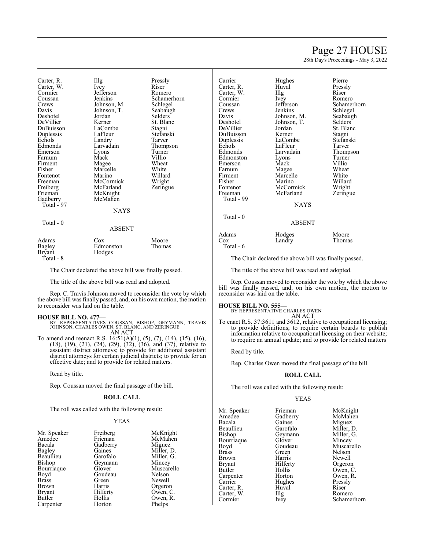# Page 27 HOUSE

28th Day's Proceedings - May 3, 2022

Schlegel

St. Blanc<br>Stagni

Stefanski<br>Tarver

Thompson<br>Turner

Zeringue

| Carter, R.       | Illg          | Pressly        |
|------------------|---------------|----------------|
| Carter, W.       | Ivey          | Riser          |
| Cormier          | Jefferson     | Romero         |
| Coussan          | Jenkins       | Schamerhorn    |
| Crews            | Johnson, M.   | Schlegel       |
| Davis            | Johnson, T.   | Seabaugh       |
| Deshotel         | Jordan        | <b>Selders</b> |
| DeVillier        | Kerner        | St. Blanc      |
| DuBuisson        | LaCombe       | Stagni         |
| Duplessis        | LaFleur       | Stefanski      |
| Echols           | Landry        | Tarver         |
| Edmonds          | Larvadain     | Thompson       |
| Emerson          | Lyons         | Turner         |
| Farnum           | Mack          | Villio         |
| Firment          | Magee         | Wheat          |
| Fisher           | Marcelle      | White          |
| Fontenot         | Marino        | Willard        |
| Freeman          | McCormick     | Wright         |
| Freiberg         | McFarland     | Zeringue       |
| Frieman          | McKnight      |                |
| Gadberry         | McMahen       |                |
| Total - 97       |               |                |
|                  | <b>NAYS</b>   |                |
| Total - 0        |               |                |
|                  | <b>ABSENT</b> |                |
| Adams            | $\cos$        | Moore          |
|                  | Edmonston     | Thomas         |
| Bagley<br>Bryant | Hodges        |                |

Total - 8

The Chair declared the above bill was finally passed.

The title of the above bill was read and adopted.

Rep. C. Travis Johnson moved to reconsider the vote by which the above bill was finally passed, and, on his own motion, the motion to reconsider was laid on the table.

### **HOUSE BILL NO. 477—**

BY REPRESENTATIVES COUSSAN, BISHOP, GEYMANN, TRAVIS JOHNSON, CHARLES OWEN, ST. BLANC, AND ZERINGUE AN ACT

To amend and reenact R.S. 16:51(A)(1), (5), (7), (14), (15), (16), (18), (19), (21), (24), (29), (32), (36), and (37), relative to assistant district attorneys; to provide for additional assistant district attorneys for certain judicial districts; to provide for an effective date; and to provide for related matters.

Read by title.

Rep. Coussan moved the final passage of the bill.

### **ROLL CALL**

The roll was called with the following result:

### YEAS

| Mr. Speaker   | Freiberg |
|---------------|----------|
| Amedee        | Frieman  |
| Bacala        | Gadberry |
| Bagley        | Gaines   |
| Beaullieu     | Garofalo |
| <b>Bishop</b> | Geymann  |
| Bourriaque    | Glover   |
| Boyd          | Goudeau  |
| <b>Brass</b>  | Green    |
| Brown         | Harris   |
| <b>Bryant</b> | Hilferty |
| Butler        | Hollis   |
| Carpenter     | Horton   |

McKnight McMahen Miguez Miller, D. Miller, G. Mincey Muscarello Nelson Newell Orgeron Owen, C. Owen, R. Phelps

| Carrier<br>Carter, R.<br>Carter, W.<br>Cormier<br>Coussan<br>Crews<br>Davis<br>Deshotel<br>DeVillier<br>DuBuisson<br>Duplessis<br>Echols<br>Edmonds<br>Edmonston<br>Emerson<br>Farnum<br>Firment<br>Fisher<br>Fontenot<br>Freeman<br>Total - 99 | Hughes<br>Huval<br>Illg<br>Ivey<br>Jefferson<br>Jenkins<br>Johnson, M.<br>Johnson, T.<br>Jordan<br>Kerner<br>LaCombe<br>LaFleur<br>Larvadain<br>Lyons<br>Mack<br>Magee<br>Marcelle<br>Marino<br>McCormick<br>McFarland<br><b>NAYS</b> | Pierre<br>Pressly<br>Riser<br>Romero<br>Schame<br>Schlege<br>Seabau<br>Selders<br>St. Blar<br>Stagni<br>Stefans<br>Tarver<br><b>Thomps</b><br>Turner<br>Villio<br>Wheat<br>White<br>Willard<br>Wright<br>Zeringu |
|-------------------------------------------------------------------------------------------------------------------------------------------------------------------------------------------------------------------------------------------------|---------------------------------------------------------------------------------------------------------------------------------------------------------------------------------------------------------------------------------------|------------------------------------------------------------------------------------------------------------------------------------------------------------------------------------------------------------------|
| Total - 0                                                                                                                                                                                                                                       | ABSENT                                                                                                                                                                                                                                |                                                                                                                                                                                                                  |
| Adams                                                                                                                                                                                                                                           |                                                                                                                                                                                                                                       |                                                                                                                                                                                                                  |

Total - 6

Huval Pressly<br>
Illg Riser Ivey Romero<br>Jefferson Schame Jefferson Schamerhorn<br>Jenkins Schlegel Johnson, M. Seabaugh<br>Johnson, T. Selders Johnson, T.<br>Jordan Kerner<br>LaCombe LaFleur<br>Larvadain Lyons Turner<br>
Mack Villio Magee Wheat<br>Marcelle White Marcelle White<br>
Marino Willard NAYS

# ABSENT

| Adams | Hodges | Moore  |
|-------|--------|--------|
| Cox   | Landry | Thomas |

The Chair declared the above bill was finally passed.

The title of the above bill was read and adopted.

Rep. Coussan moved to reconsider the vote by which the above bill was finally passed, and, on his own motion, the motion to reconsider was laid on the table.

### **HOUSE BILL NO. 555—**

BY REPRESENTATIVE CHARLES OWEN AN ACT

To enact R.S. 37:3611 and 3612, relative to occupational licensing; to provide definitions; to require certain boards to publish information relative to occupational licensing on their website; to require an annual update; and to provide for related matters

Read by title.

Rep. Charles Owen moved the final passage of the bill.

### **ROLL CALL**

The roll was called with the following result:

#### YEAS

| Mr. Speaker   | Frieman           | McKnight   |
|---------------|-------------------|------------|
| Amedee        | Gadberry          | McMahen    |
| Bacala        | Gaines            | Miguez     |
| Beaullieu     | Garofalo          | Miller, D. |
| Bishop        | Geymann           | Miller, G. |
| Bourriaque    | Glover            | Mincey     |
| Boyd          | Goudeau           | Muscarello |
| <b>Brass</b>  | Green             | Nelson     |
| Brown         | Harris            | Newell     |
| <b>Bryant</b> | Hilferty          | Orgeron    |
| Butler        | Hollis            | Owen, C.   |
| Carpenter     | Horton            | Owen, R.   |
| Carrier       | Hughes            | Pressly    |
| Carter, R.    | Huval             | Riser      |
| Carter, W.    | $\prod_{i=1}^{n}$ | Romero     |
| Cormier       | Ivey              | Schamerho  |

Filferty Orgeron<br>Filis Owen Schamerhorn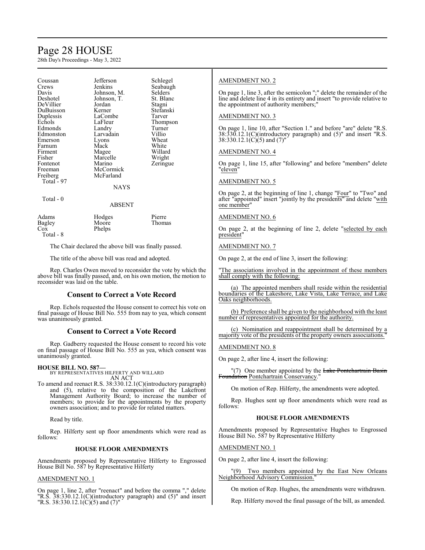# Page 28 HOUSE

28th Day's Proceedings - May 3, 2022

| Coussan<br>Crews<br>Davis<br>Deshotel<br>DeVillier<br>DuBuisson<br>Duplessis<br>Echols<br>Edmonds<br>Edmonston<br>Emerson<br>Farnum<br>Firment<br>Fisher<br>Fontenot<br>Freeman<br>Freiberg<br>Total - 97 | Jefferson<br>Jenkins<br>Johnson, M.<br>Johnson, T.<br>Jordan<br>Kerner<br>LaCombe<br>LaFleur<br>Landry<br>Larvadain<br>Lyons<br>Mack<br>Magee<br>Marcelle<br>Marino<br>McCormick<br>McFarland<br><b>NAYS</b> | Schlegel<br>Seabaugh<br>Selders<br>St. Blanc<br>Stagni<br>Stefanski<br>Tarver<br>Thompson<br>Turner<br>Villio<br>Wheat<br>White<br>Willard<br>Wright<br>Zeringue |  |
|-----------------------------------------------------------------------------------------------------------------------------------------------------------------------------------------------------------|--------------------------------------------------------------------------------------------------------------------------------------------------------------------------------------------------------------|------------------------------------------------------------------------------------------------------------------------------------------------------------------|--|
| Total - 0                                                                                                                                                                                                 | <b>ABSENT</b>                                                                                                                                                                                                |                                                                                                                                                                  |  |
| Adams<br>Bagley<br>Cox<br>Total - 8                                                                                                                                                                       | Hodges<br>Moore<br>Phelps                                                                                                                                                                                    | Pierre<br>Thomas                                                                                                                                                 |  |

The Chair declared the above bill was finally passed.

The title of the above bill was read and adopted.

Rep. Charles Owen moved to reconsider the vote by which the above bill was finally passed, and, on his own motion, the motion to reconsider was laid on the table.

# **Consent to Correct a Vote Record**

Rep. Echols requested the House consent to correct his vote on final passage of House Bill No. 555 from nay to yea, which consent was unanimously granted.

### **Consent to Correct a Vote Record**

Rep. Gadberry requested the House consent to record his vote on final passage of House Bill No. 555 as yea, which consent was unanimously granted.

# **HOUSE BILL NO. 587—**

BY REPRESENTATIVES HILFERTY AND WILLARD AN ACT

To amend and reenact R.S. 38:330.12.1(C)(introductory paragraph) and (5), relative to the composition of the Lakefront Management Authority Board; to increase the number of members; to provide for the appointments by the property owners association; and to provide for related matters.

Read by title.

Rep. Hilferty sent up floor amendments which were read as follows:

### **HOUSE FLOOR AMENDMENTS**

Amendments proposed by Representative Hilferty to Engrossed House Bill No. 587 by Representative Hilferty

### AMENDMENT NO. 1

On page 1, line 2, after "reenact" and before the comma "," delete "R.S. 38:330.12.1(C)(introductory paragraph) and (5)" and insert "R.S. 38:330.12.1( $\tilde{C}$ )(5) and (7)"

## AMENDMENT NO. 2

On page 1, line 3, after the semicolon ";" delete the remainder of the line and delete line 4 in its entirety and insert "to provide relative to the appointment of authority members;"

### AMENDMENT NO. 3

On page 1, line 10, after "Section 1." and before "are" delete "R.S. 38:330.12.1(C)(introductory paragraph) and (5)" and insert "R.S. 38:330.12.1(C)(5) and  $(7)$ "

# AMENDMENT NO. 4

On page 1, line 15, after "following" and before "members" delete "eleven"

### AMENDMENT NO. 5

On page 2, at the beginning of line 1, change "Four" to "Two" and after "appointed" insert "jointly by the presidents" and delete "with one member"

# AMENDMENT NO. 6

On page 2, at the beginning of line 2, delete "selected by each president"

### AMENDMENT NO. 7

On page 2, at the end of line 3, insert the following:

The associations involved in the appointment of these members shall comply with the following:

(a) The appointed members shall reside within the residential boundaries of the Lakeshore, Lake Vista, Lake Terrace, and Lake Oaks neighborhoods.

(b) Preference shall be given to the neighborhood with the least number of representatives appointed for the authority.

(c) Nomination and reappointment shall be determined by a majority vote of the presidents of the property owners associations."

### AMENDMENT NO. 8

On page 2, after line 4, insert the following:

"(7) One member appointed by the Lake Pontchartrain Basin Foundation Pontchartrain Conservancy."

On motion of Rep. Hilferty, the amendments were adopted.

Rep. Hughes sent up floor amendments which were read as follows:

### **HOUSE FLOOR AMENDMENTS**

Amendments proposed by Representative Hughes to Engrossed House Bill No. 587 by Representative Hilferty

### AMENDMENT NO. 1

On page 2, after line 4, insert the following:

"(9) Two members appointed by the East New Orleans Neighborhood Advisory Commission."

On motion of Rep. Hughes, the amendments were withdrawn.

Rep. Hilferty moved the final passage of the bill, as amended.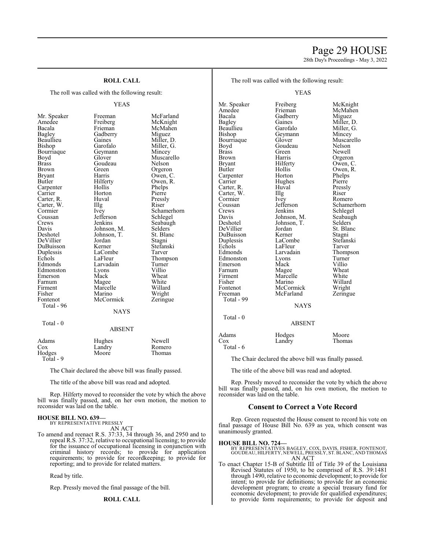# Page 29 HOUSE

28th Day's Proceedings - May 3, 2022

# **ROLL CALL**

The roll was called with the following result:

Bagley Gadberry<br>Beaullieu Gaines Bourriaque Geymann Geymann Geymann Mincey<br>Boyd Glover Carter, W. Illg<br>Cormier Ivey Duplessis LaComb<br>Echols LaFleur Firment Marcelle<br>Fisher Marino Total - 96  $Total - 0$ 

YEAS Mr. Speaker Freeman McFarland<br>Amedee Freiberg McKnight Amedee Freiberg McKnight<br>Bacala Frieman McMahen Bacala Frieman McMahen Beaullieu Gaines Miller, D.<br>Bishop Garofalo Miller, G. Garofalo Miller, G.<br>Geymann Mincey Boyd Glover Muscarello<br>Brass Goudeau Nelson Goudeau Brown Green Orgeron<br>Bryant Harris Owen, C Bryant Harris Owen, C. Hilferty Owen, R.<br>Hollis Phelps Carpenter Hollis Phelps<br>
Carrier Horton Pierre Carrier Horton Pierre<br>Carter, R. Huval Pressly Carter, R. Huval Pressl<br>Carter, W. Illg Riser Cormier Ivey Schamerhorn<br>
Coussan Iefferson Schlegel Coussan Jefferson Schlegel<br>Crews Jenkins Seabaugl Crews Jenkins Seabaugh<br>
Davis Johnson, M. Selders Davis Johnson, M. Selders Johnson, T. Selders Johnson, T. St. Blanch<br>Jordan Stagni DeVillier Jordan Stagni<br>DuBuisson Kerner Stefanski DuBuisson Kerner Stefans<br>Duplessis LaCombe Tarver Echols LaFleur Thompson<br>Edmonds Larvadain Turner Larvadain Turner<br>Lyons Villio Edmonston Lyons Villio<br>
Emerson Mack Wheat Emerson Mack Wheat Farnum Magee White<br>
Firment Marcelle Willard Fisher Marino Wright<br>Fontenot McCormick Zeringu McCormick Zeringue **NAYS** ABSENT

| Adams     | Hughes | Newell |
|-----------|--------|--------|
| Cox       | Landry | Romero |
| Hodges    | Moore  | Thomas |
| Total - 9 |        |        |

The Chair declared the above bill was finally passed.

The title of the above bill was read and adopted.

Rep. Hilferty moved to reconsider the vote by which the above bill was finally passed, and, on her own motion, the motion to reconsider was laid on the table.

#### **HOUSE BILL NO. 639—** BY REPRESENTATIVE PRESSLY

AN ACT

To amend and reenact R.S. 37:33, 34 through 36, and 2950 and to repeal R.S. 37:32, relative to occupational licensing; to provide for the issuance of occupational licensing in conjunction with criminal history records; to provide for application requirements; to provide for recordkeeping; to provide for reporting; and to provide for related matters.

Read by title.

Rep. Pressly moved the final passage of the bill.

### **ROLL CALL**

| The roll was called with the following result: |  |  |  |  |  |  |  |
|------------------------------------------------|--|--|--|--|--|--|--|
|------------------------------------------------|--|--|--|--|--|--|--|

YEAS

Mr. Speaker Freiberg McKnight<br>Amedee Frieman McMahen Amedee Frieman McMahen<br>Bacala Gadberry Miguez Bacala Gadberry Miguez Bagley Gaines Miller, D. Beaullieu Garofalo Miller, G. Bourriaque Glover Muscarello<br>Boyd Goudeau Nelson Boyd Goudeau<br>Brass Green Brass Green Newell<br>Brown Harris Orgerol Brown Harris Orgeron<br>Bryant Hilferty Owen, C Butler Hollis Owen, R.<br>
Carpenter Horton Phelps Carpenter Horton Phelps<br>
Carrier Hughes Pierre Carter, R. Huval Press.<br>Carter, W. Illg. Riser Carter, W. Illg<br>Cormier Ivey Cormier Ivey Romero<br>
Coussan Jefferson Schamer Coussan Jefferson Schamerhorn<br>Crews Jenkins Schlegel Crews Jenkins Schlegel<br>Davis Johnson, M. Seabaugh Davis Johnson, M. Seabaughter Seabaughter Seabaughter Selders<br>
Johnson, T. Selders DeVillier Jordan St. Blanc<br>DuBuisson Kerner Stagni DuBuisson Kerner<br>Duplessis LaCombe Duplessis LaCombe Stefanski Echols LaFleur<br>Edmonds Larvadain Edmonston Lyons Turner<br>
Emerson Mack Villio Emerson Mack Villio<br>
Farnum Magee Wheat Farnum Magee Wheat<br>Firment Marcelle White Firment Marcelle White<br>
Fisher Marino Willard Fisher Marino Willard<br>Fontenot McCormick Wright Fontenot McCormick Wright<br>
Freeman McFarland Zeringue Total - 99

Geymann Mincey<br>Glover Muscarello Hilferty Owen, C.<br>Hollis Owen, R. Hughes Pierre<br>Huval Pressly Johnson, T. Selders<br>Jordan St. Blanc Larvadain Thompson<br>
Lyons Turner McFarland NAYS

Total - 0

|                           | <b>ABSENT</b>    |                 |
|---------------------------|------------------|-----------------|
| Adams<br>Cox<br>Total - 6 | Hodges<br>Landry | Moore<br>Thomas |

The Chair declared the above bill was finally passed.

The title of the above bill was read and adopted.

Rep. Pressly moved to reconsider the vote by which the above bill was finally passed, and, on his own motion, the motion to reconsider was laid on the table.

### **Consent to Correct a Vote Record**

Rep. Green requested the House consent to record his vote on final passage of House Bill No. 639 as yea, which consent was unanimously granted.

**HOUSE BILL NO. 724—** BY REPRESENTATIVES BAGLEY, COX, DAVIS, FISHER, FONTENOT, GOUDEAU, HILFERTY, NEWELL, PRESSLY, ST.BLANC, AND THOMAS AN ACT

To enact Chapter 15-B of Subtitle III of Title 39 of the Louisiana Revised Statutes of 1950, to be comprised of R.S. 39:1481 through 1490, relative to economic development; to provide for intent; to provide for definitions; to provide for an economic development program; to create a special treasury fund for economic development; to provide for qualified expenditures; to provide form requirements; to provide for deposit and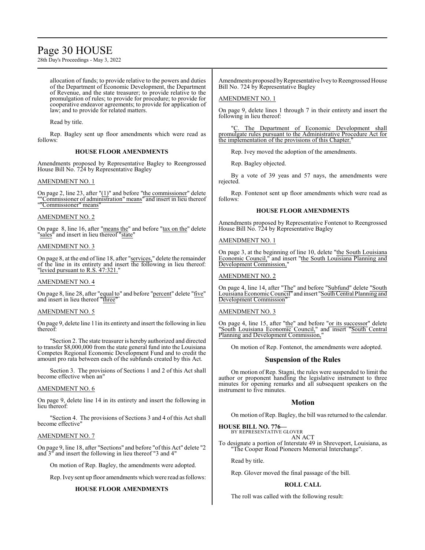# Page 30 HOUSE

28th Day's Proceedings - May 3, 2022

allocation of funds; to provide relative to the powers and duties of the Department of Economic Development, the Department of Revenue, and the state treasurer; to provide relative to the promulgation of rules; to provide for procedure; to provide for cooperative endeavor agreements; to provide for application of law; and to provide for related matters.

Read by title.

Rep. Bagley sent up floor amendments which were read as follows:

## **HOUSE FLOOR AMENDMENTS**

Amendments proposed by Representative Bagley to Reengrossed House Bill No. 724 by Representative Bagley

## AMENDMENT NO. 1

On page 2, line 23, after " $(1)$ " and before "the commissioner" delete ""Commissioner of administration" means" and insert in lieu thereof ""Commissioner" means"

## AMENDMENT NO. 2

On page 8, line 16, after "means the" and before "tax on the" delete "sales" and insert in lieu thereof "state"

## AMENDMENT NO. 3

On page 8, at the end of line 18, after "services," delete the remainder of the line in its entirety and insert the following in lieu thereof: "levied pursuant to R.S. 47:321."

### AMENDMENT NO. 4

On page 8, line 28, after "equal to" and before "percent" delete "five" and insert in lieu thereof "three"

### AMENDMENT NO. 5

On page 9, delete line 11in its entirety and insert the following in lieu thereof:

"Section 2. The state treasurer is hereby authorized and directed to transfer \$8,000,000 from the state general fund into the Louisiana Competes Regional Economic Development Fund and to credit the amount pro rata between each of the subfunds created by this Act.

Section 3. The provisions of Sections 1 and 2 of this Act shall become effective when an"

### AMENDMENT NO. 6

On page 9, delete line 14 in its entirety and insert the following in lieu thereof:

"Section 4. The provisions of Sections 3 and 4 of this Act shall become effective"

### AMENDMENT NO. 7

On page 9, line 18, after "Sections" and before "of this Act" delete "2 and 3" and insert the following in lieu thereof "3 and 4"

On motion of Rep. Bagley, the amendments were adopted.

Rep. Ivey sent up floor amendments which were read as follows:

# **HOUSE FLOOR AMENDMENTS**

Amendments proposed by Representative Ivey to Reengrossed House Bill No. 724 by Representative Bagley

# AMENDMENT NO. 1

On page 9, delete lines 1 through 7 in their entirety and insert the following in lieu thereof:

"C. The Department of Economic Development shall promulgate rules pursuant to the Administrative Procedure Act for the implementation of the provisions of this Chapter.

Rep. Ivey moved the adoption of the amendments.

Rep. Bagley objected.

By a vote of 39 yeas and 57 nays, the amendments were rejected.

Rep. Fontenot sent up floor amendments which were read as follows:

## **HOUSE FLOOR AMENDMENTS**

Amendments proposed by Representative Fontenot to Reengrossed House Bill No. 724 by Representative Bagley

## AMENDMENT NO. 1

On page 3, at the beginning of line 10, delete "the South Louisiana Economic Council," and insert "the South Louisiana Planning and Development Commission,"

# AMENDMENT NO. 2

On page 4, line 14, after "The" and before "Subfund" delete "South Louisiana Economic Council" and insert "South Central Planning and Development Commission"

### AMENDMENT NO. 3

On page 4, line 15, after "the" and before "or its successor" delete "South Louisiana Economic Council," and insert "South Central Planning and Development Commission,"

On motion of Rep. Fontenot, the amendments were adopted.

# **Suspension of the Rules**

On motion of Rep. Stagni, the rules were suspended to limit the author or proponent handling the legislative instrument to three minutes for opening remarks and all subsequent speakers on the instrument to five minutes.

# **Motion**

On motion of Rep. Bagley, the bill was returned to the calendar.

**HOUSE BILL NO. 776—** BY REPRESENTATIVE GLOVER

AN ACT

To designate a portion of Interstate 49 in Shreveport, Louisiana, as "The Cooper Road Pioneers Memorial Interchange".

Read by title.

Rep. Glover moved the final passage of the bill.

# **ROLL CALL**

The roll was called with the following result: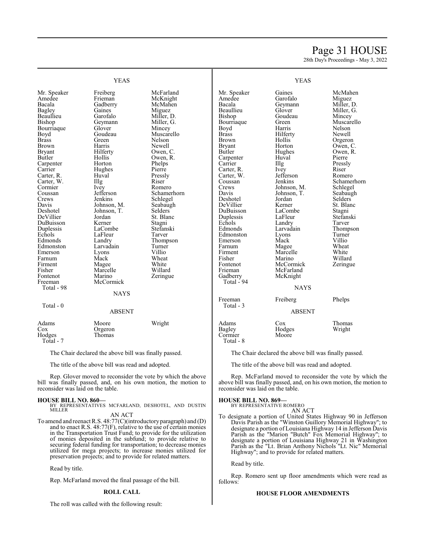# Page 31 HOUSE

28th Day's Proceedings - May 3, 2022

|                                                                                                                                                                                                                                                                                                                                                                                                                          | <b>YEAS</b>                                                                                                                                                                                                                                                                                                                                                                    | <b>YEAS</b>                                                                                                                                                                                                                                                                                                                                                           |                                                                                                                                                                                                                                                                                                                                                                                                                 |                                                                                                                                                                                                                                                                                                                                                                      |                                                                                                                                                                                                                                                                                                                                               |
|--------------------------------------------------------------------------------------------------------------------------------------------------------------------------------------------------------------------------------------------------------------------------------------------------------------------------------------------------------------------------------------------------------------------------|--------------------------------------------------------------------------------------------------------------------------------------------------------------------------------------------------------------------------------------------------------------------------------------------------------------------------------------------------------------------------------|-----------------------------------------------------------------------------------------------------------------------------------------------------------------------------------------------------------------------------------------------------------------------------------------------------------------------------------------------------------------------|-----------------------------------------------------------------------------------------------------------------------------------------------------------------------------------------------------------------------------------------------------------------------------------------------------------------------------------------------------------------------------------------------------------------|----------------------------------------------------------------------------------------------------------------------------------------------------------------------------------------------------------------------------------------------------------------------------------------------------------------------------------------------------------------------|-----------------------------------------------------------------------------------------------------------------------------------------------------------------------------------------------------------------------------------------------------------------------------------------------------------------------------------------------|
| Mr. Speaker<br>Amedee<br>Bacala<br><b>Bagley</b><br>Beaullieu<br>Bishop<br>Bourriaque<br>Boyd<br><b>Brass</b><br><b>Brown</b><br><b>Bryant</b><br>Butler<br>Carpenter<br>Carrier<br>Carter, R.<br>Carter, W.<br>Cormier<br>Coussan<br>Crews<br>Davis<br>Deshotel<br>DeVillier<br>DuBuisson<br>Duplessis<br>Echols<br>Edmonds<br>Edmonston<br>Emerson<br>Farnum<br>Firment<br>Fisher<br>Fontenot<br>Freeman<br>Total - 98 | Freiberg<br>Frieman<br>Gadberry<br>Gaines<br>Garofalo<br>Geymann<br>Glover<br>Goudeau<br>Green<br>Harris<br>Hilferty<br>Hollis<br>Horton<br>Hughes<br>Huval<br>Illg<br>Ivey<br>Jefferson<br>Jenkins<br>Johnson, M.<br>Johnson, T.<br>Jordan<br>Kerner<br>LaCombe<br>LaFleur<br>Landry<br>Larvadain<br>Lyons<br>Mack<br>Magee<br>Marcelle<br>Marino<br>McCormick<br><b>NAYS</b> | McFarland<br>McKnight<br>McMahen<br>Miguez<br>Miller, D.<br>Miller, G.<br>Mincey<br>Muscarello<br>Nelson<br>Newell<br>Owen, C.<br>Owen, R.<br>Phelps<br>Pierre<br>Pressly<br>Riser<br>Romero<br>Schamerhorn<br>Schlegel<br>Seabaugh<br>Selders<br>St. Blanc<br>Stagni<br>Stefanski<br>Tarver<br>Thompson<br>Turner<br>Villio<br>Wheat<br>White<br>Willard<br>Zeringue | Mr. Speaker<br>Amedee<br>Bacala<br>Beaullieu<br>Bishop<br>Bourriaque<br>Boyd<br><b>Brass</b><br><b>Brown</b><br><b>Bryant</b><br><b>Butler</b><br>Carpenter<br>Carrier<br>Carter, R.<br>Carter, W.<br>Coussan<br>Crews<br>Davis<br>Deshotel<br>DeVillier<br>DuBuisson<br>Duplessis<br>Echols<br>Edmonds<br>Edmonston<br>Emerson<br>Farnum<br>Firment<br>Fisher<br>Fontenot<br>Frieman<br>Gadberry<br>Total - 94 | Gaines<br>Garofalo<br>Geymann<br>Glover<br>Goudeau<br>Green<br>Harris<br>Hilferty<br>Hollis<br>Horton<br>Hughes<br>Huval<br>Illg<br>Ivey<br>Jefferson<br>Jenkins<br>Johnson, M.<br>Johnson, T.<br>Jordan<br>Kerner<br>LaCombe<br>LaFleur<br>Landry<br>Larvadain<br>Lyons<br>Mack<br>Magee<br>Marcelle<br>Marino<br>McCormick<br>McFarland<br>McKnight<br><b>NAYS</b> | McMahen<br>Miguez<br>Miller, D.<br>Miller, G.<br>Mincey<br>Muscarello<br>Nelson<br>Newell<br>Orgeron<br>Owen, C.<br>Owen, R.<br>Pierre<br>Pressly<br>Riser<br>Romero<br>Schamerhorn<br>Schlegel<br>Seabaugh<br>Selders<br>St. Blanc<br>Stagni<br>Stefanski<br>Tarver<br>Thompson<br>Turner<br>Villio<br>Wheat<br>White<br>Willard<br>Zeringue |
| Total - 0                                                                                                                                                                                                                                                                                                                                                                                                                | <b>ABSENT</b>                                                                                                                                                                                                                                                                                                                                                                  |                                                                                                                                                                                                                                                                                                                                                                       | Freeman<br>Total - 3                                                                                                                                                                                                                                                                                                                                                                                            | Freiberg<br><b>ABSENT</b>                                                                                                                                                                                                                                                                                                                                            | Phelps                                                                                                                                                                                                                                                                                                                                        |
|                                                                                                                                                                                                                                                                                                                                                                                                                          |                                                                                                                                                                                                                                                                                                                                                                                |                                                                                                                                                                                                                                                                                                                                                                       |                                                                                                                                                                                                                                                                                                                                                                                                                 |                                                                                                                                                                                                                                                                                                                                                                      |                                                                                                                                                                                                                                                                                                                                               |
| Adams<br>Cox<br>Hodges<br>Total - 7                                                                                                                                                                                                                                                                                                                                                                                      | Moore<br>Orgeron<br>Thomas                                                                                                                                                                                                                                                                                                                                                     | Wright                                                                                                                                                                                                                                                                                                                                                                | Adams<br><b>Bagley</b><br>Cormier<br>Total - 8                                                                                                                                                                                                                                                                                                                                                                  | Cox<br>Hodges<br>Moore                                                                                                                                                                                                                                                                                                                                               | Thomas<br>Wright                                                                                                                                                                                                                                                                                                                              |

The Chair declared the above bill was finally passed.

The title of the above bill was read and adopted.

Rep. Glover moved to reconsider the vote by which the above bill was finally passed, and, on his own motion, the motion to reconsider was laid on the table.

# **HOUSE BILL NO. 860—**

BY REPRESENTATIVES MCFARLAND, DESHOTEL, AND DUSTIN MILLER AN ACT

To amend and reenact R.S. 48:77(C)(introductory paragraph) and (D) and to enact R.S. 48:77(F), relative to the use of certain monies in the Transportation Trust Fund; to provide for the utilization of monies deposited in the subfund; to provide relative to securing federal funding for transportation; to decrease monies utilized for mega projects; to increase monies utilized for preservation projects; and to provide for related matters.

Read by title.

Rep. McFarland moved the final passage of the bill.

### **ROLL CALL**

The roll was called with the following result:

The Chair declared the above bill was finally passed.

The title of the above bill was read and adopted.

Rep. McFarland moved to reconsider the vote by which the above bill was finally passed, and, on his own motion, the motion to reconsider was laid on the table.

### **HOUSE BILL NO. 869—**

BY REPRESENTATIVE ROMERO AN ACT

To designate a portion of United States Highway 90 in Jefferson Davis Parish as the "Winston Guillory Memorial Highway"; to designate a portion of Louisiana Highway 14 in Jefferson Davis Parish as the "Marion "Butch" Fox Memorial Highway"; to designate a portion of Louisiana Highway 21 in Washington Parish as the "Lt. Brian Anthony Nichols "Lt. Nic" Memorial Highway"; and to provide for related matters.

Read by title.

Rep. Romero sent up floor amendments which were read as follows:

# **HOUSE FLOOR AMENDMENTS**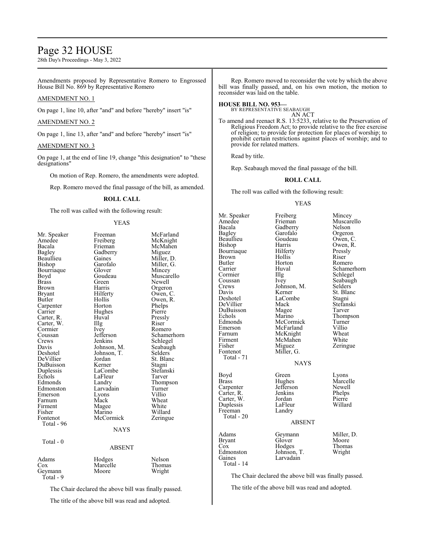# Page 32 HOUSE

28th Day's Proceedings - May 3, 2022

Amendments proposed by Representative Romero to Engrossed House Bill No. 869 by Representative Romero

# AMENDMENT NO. 1

On page 1, line 10, after "and" and before "hereby" insert "is"

### AMENDMENT NO. 2

On page 1, line 13, after "and" and before "hereby" insert "is"

## AMENDMENT NO. 3

On page 1, at the end of line 19, change "this designation" to "these designations"

On motion of Rep. Romero, the amendments were adopted.

Rep. Romero moved the final passage of the bill, as amended.

# **ROLL CALL**

The roll was called with the following result:

#### YEAS

| Mr. Speaker<br>Amedee<br>Bacala<br>Bagley<br>Beaullieu<br>Bishop<br>Bourriaque<br>Boyd<br><b>Brass</b><br>Brown<br>Bryant<br>Butler<br>Carpenter<br>Carrier<br>Carter, R.<br>Carter, W.<br>Cormier<br>Coussan<br>Crews<br>Davis<br>Deshotel<br>DeVillier<br>DuBuisson<br>Duplessis<br>Echols<br>Edmonds<br>Edmonston<br>Emerson<br>Farnum<br>Firment<br>Fisher<br>Fontenot<br>Total - 96 | Freeman<br>Freiberg<br>Frieman<br>Gadberry<br>Gaines<br>Garofalo<br>Glover<br>Goudeau<br>Green)<br>Harris<br>Hilferty<br>Hollis<br>Horton<br>Hughes<br>Huval<br>Illg<br>Ivey<br>Jefferson<br>Jenkins<br>Johnson, M.<br>Johnson, T.<br>Jordan<br>Kerner<br>LaCombe<br>LaFleur<br>Landry<br>Larvadain<br>Lyons<br>Mack<br>Magee<br>Marino<br>McCormick<br><b>NAYS</b> | McFarland<br>McKnight<br>McMahen<br>Miguez<br>Miller, D.<br>Miller, G.<br>Mincey<br>Muscarello<br>Newell<br>Orgeron<br>Owen, C.<br>Owen, R.<br>Phelps<br>Pierre<br>Pressly<br>Riser<br>Romero<br>Schamerhorn<br>Schlegel<br>Seabaugh<br>Selders<br>St. Blanc<br>Stagni<br>Stefanski<br>Tarver<br>Thompson<br>Turner<br>Villio<br>Wheat<br>White<br>Willard<br>Zeringue |
|------------------------------------------------------------------------------------------------------------------------------------------------------------------------------------------------------------------------------------------------------------------------------------------------------------------------------------------------------------------------------------------|---------------------------------------------------------------------------------------------------------------------------------------------------------------------------------------------------------------------------------------------------------------------------------------------------------------------------------------------------------------------|------------------------------------------------------------------------------------------------------------------------------------------------------------------------------------------------------------------------------------------------------------------------------------------------------------------------------------------------------------------------|
|                                                                                                                                                                                                                                                                                                                                                                                          |                                                                                                                                                                                                                                                                                                                                                                     |                                                                                                                                                                                                                                                                                                                                                                        |
| Total - 0                                                                                                                                                                                                                                                                                                                                                                                | <b>ABSENT</b>                                                                                                                                                                                                                                                                                                                                                       |                                                                                                                                                                                                                                                                                                                                                                        |
| Adams<br>$\cos$<br>Geymann<br>Total - 9                                                                                                                                                                                                                                                                                                                                                  | Hodges<br>Marcelle<br>Moore                                                                                                                                                                                                                                                                                                                                         | Nelson<br>Thomas<br>Wright                                                                                                                                                                                                                                                                                                                                             |

The Chair declared the above bill was finally passed.

The title of the above bill was read and adopted.

Rep. Romero moved to reconsider the vote by which the above bill was finally passed, and, on his own motion, the motion to reconsider was laid on the table.

#### **HOUSE BILL NO. 953—**

BY REPRESENTATIVE SEABAUGH AN ACT

To amend and reenact R.S. 13:5233, relative to the Preservation of Religious Freedom Act; to provide relative to the free exercise of religion; to provide for protection for places of worship; to prohibit certain restrictions against places of worship; and to provide for related matters.

Read by title.

Rep. Seabaugh moved the final passage of the bill.

# **ROLL CALL**

The roll was called with the following result:

# YEAS

| Mr. Speaker   | Freiberg      | Mincey      |
|---------------|---------------|-------------|
| Amedee        | Frieman       | Muscarello  |
| Bacala        | Gadberry      | Nelson      |
| <b>Bagley</b> | Garofalo      | Orgeron     |
| Beaullieu     | Goudeau       | Owen, C.    |
| Bishop        | Harris        | Owen, R.    |
| Bournaque     | Hilferty      | Pressly     |
| Brown         | Hollis        | Riser       |
| Butler        | Horton        | Romero      |
| Carrier       | Huval         | Schamerhorn |
| Cormier       | Illg          | Schlegel    |
| Coussan       | Ivey          | Seabaugh    |
| Crews         | Johnson, M.   | Selders     |
| Davis         | Kerner        | St. Blanc   |
| Deshotel      | LaCombe       | Stagni      |
| DeVillier     | Mack          | Stefanski   |
| DuBuisson     | Magee         | Tarver      |
| Echols        | Marino        | Thompson    |
| Edmonds       | McCormick     | Turner      |
| Emerson       | McFarland     | Villio      |
| Farnum        | McKnight      | Wheat       |
| Firment       | McMahen       | White       |
| Fisher        | Miguez        | Zeringue    |
| Fontenot      | Miller, G.    |             |
| Total - 71    |               |             |
|               | <b>NAYS</b>   |             |
|               |               |             |
| Boyd          | Green         | Lyons       |
| Brass         | Hughes        | Marcelle    |
| Carpenter     | Jefferson     | Newell      |
| Carter, R.    | Jenkins       | Phelps      |
| Carter, W.    | Jordan        | Pierre      |
| Duplessis     | LaFleur       | Willard     |
| Freeman       | Landry        |             |
| Total - 20    |               |             |
|               | <b>ABSENT</b> |             |
|               |               |             |
| Adams         | Geymann       | Miller, D.  |
| <b>Bryant</b> | Glover        | Moore       |
| Cox           | Hodges        | Thomas      |
| Edmonston     | Johnson, T.   | Wright      |
| Gaines        | Larvadain     |             |
| Total - 14    |               |             |
|               |               |             |

The Chair declared the above bill was finally passed.

The title of the above bill was read and adopted.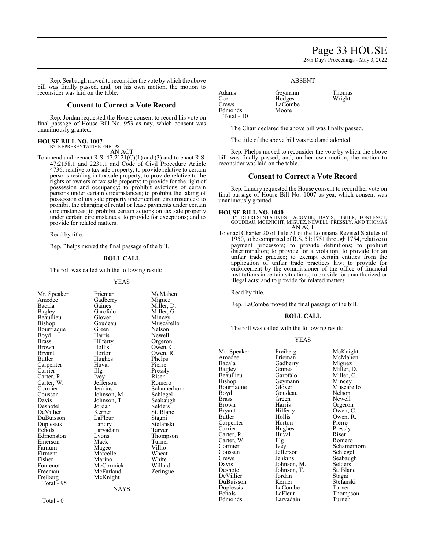# Page 33 HOUSE

28th Day's Proceedings - May 3, 2022

Rep. Seabaugh moved to reconsider the vote bywhich the above bill was finally passed, and, on his own motion, the motion to reconsider was laid on the table.

# **Consent to Correct a Vote Record**

Rep. Jordan requested the House consent to record his vote on final passage of House Bill No. 953 as nay, which consent was unanimously granted.

# **HOUSE BILL NO. 1007—** BY REPRESENTATIVE PHELPS

AN ACT

To amend and reenact R.S.  $47:2121(C)(1)$  and (3) and to enact R.S. 47:2158.1 and 2231.1 and Code of Civil Procedure Article 4736, relative to tax sale property; to provide relative to certain persons residing in tax sale property; to provide relative to the rights of owners of tax sale property; to provide for the right of possession and occupancy; to prohibit evictions of certain persons under certain circumstances; to prohibit the taking of possession of tax sale property under certain circumstances; to prohibit the charging of rental or lease payments under certain circumstances; to prohibit certain actions on tax sale property under certain circumstances; to provide for exceptions; and to provide for related matters.

Read by title.

Rep. Phelps moved the final passage of the bill.

### **ROLL CALL**

The roll was called with the following result:

#### YEAS

Amedee Gadberry<br>Bacala Gaines Bourriaque Green<br>Boyd Harris Carpenter Huv<br>Carrier Hllg Carter, W. Jefferson<br>Cormier Jenkins DuBuisson<br>Duplessis Fontenot McCormick<br>Freeman McFarland Total  $-95$ 

Mr. Speaker Frieman McMahen<br>Amedee Gadberry Miguez Bacala Gaines Miller, D.<br>Bagley Garofalo Miller, G. Bagley Garofalo Miller, G.<br>Beaullieu Glover Mincey Beaullieu Glover Mincey<br>Bishop Goudeau Muscare Goudeau Muscarello<br>Green Nelson Boyd Harris Newell<br>Brass Hilferty Orgeror Brass Hilferty Orgeron Brown Hollis Owen, C.<br>Bryant Horton Owen, R. Bryant Horton Owen, R. Hughes Phelps<br>Huval Pierre Carrier IIIg Pressly<br>Carter. R. Ivev Riser Carter, R. Ivey Riser<br>Carter, W. Jefferson Romero Cormier Jenkins Schamerhorn<br>Coussan Johnson, M. Schlegel Coussan Johnson, M. Schlegel<br>Davis Johnson, T. Seabaugh Johnson, T.<br>Jordan Selders Deshotel Jordan Selders DeVillier Kerner St. Blanch<br>DuBuisson LaFleur Stagni Duplessis Landry Stefanski Larvadain Tarver<br>
Lyons Thompson Edmonston Lyons Thomp<br>
Emerson Mack Turner Emerson Mack Turner<br>
Farnum Magee Villio Farnum Magee Villio<br>Firment Marcelle Wheat Firment Marcelle Wheat<br>Fisher Marino White Fisher Marino White<br>Fontenot McCormick Willard Freeman McFarland Zeringue<br>
Freiberg McKnight McKnight

**NAYS** 

Adams Geymann Thomas<br>Cox Hodges Wright Cox Hodges<br>Crews LaComl **Edmonds** Total - 10

The Chair declared the above bill was finally passed.

ABSENT

The title of the above bill was read and adopted.

LaCombe<br>Moore

Rep. Phelps moved to reconsider the vote by which the above bill was finally passed, and, on her own motion, the motion to reconsider was laid on the table.

# **Consent to Correct a Vote Record**

Rep. Landry requested the House consent to record her vote on final passage of House Bill No. 1007 as yea, which consent was unanimously granted.

#### **HOUSE BILL NO. 1040—**

BY REPRESENTATIVES LACOMBE, DAVIS, FISHER, FONTENOT, GOUDEAU, MCKNIGHT, MIGUEZ, NEWELL, PRESSLY, AND THOMAS AN ACT

To enact Chapter 20 of Title 51 of the Louisiana Revised Statutes of 1950, to be comprised ofR.S. 51:1751 through 1754, relative to payment processors; to provide definitions; to prohibit discrimination; to provide for a violation; to provide for an unfair trade practice; to exempt certain entities from the application of unfair trade practices law; to provide for enforcement by the commissioner of the office of financial institutions in certain situations; to provide for unauthorized or illegal acts; and to provide for related matters.

Read by title.

Rep. LaCombe moved the final passage of the bill.

### **ROLL CALL**

The roll was called with the following result:

### YEAS

| Mr. Speaker | Freiberg    | McKnight    |
|-------------|-------------|-------------|
| Amedee      | Frieman     | McMahen     |
| Bacala      | Gadberry    | Miguez      |
| Bagley      | Gaines      | Miller, D.  |
| Beaullieu   | Garofalo    | Miller, G.  |
| Bishop      | Geymann     | Mincey      |
| Bourriaque  | Glover      | Muscarello  |
| Boyd        | Goudeau     | Nelson      |
| Brass       | Green)      | Newell      |
| Brown       | Harris      | Orgeron     |
| Bryant      | Hilferty    | Owen, C.    |
| Butler      | Hollis      | Owen, R.    |
| Carpenter   | Horton      | Pierre      |
| Carrier     | Hughes      | Pressly     |
| Carter, R.  | Huval       | Riser       |
| Carter, W.  | Illg        | Romero      |
| Cormier     | Ivey        | Schamerhorn |
| Coussan     | Jefferson   | Schlegel    |
| Crews       | Jenkins     | Seabaugh    |
| Davis       | Johnson, M. | Selders     |
| Deshotel    | Johnson, T. | St. Blanc   |
| DeVillier   | Jordan      | Stagni      |
| DuBuisson   | Kerner      | Stefanski   |
| Duplessis   | LaCombe     | Tarver      |
| Echols      | LaFleur     | Thompson    |
| Edmonds     | Larvadain   | Turner      |
|             |             |             |

Total - 0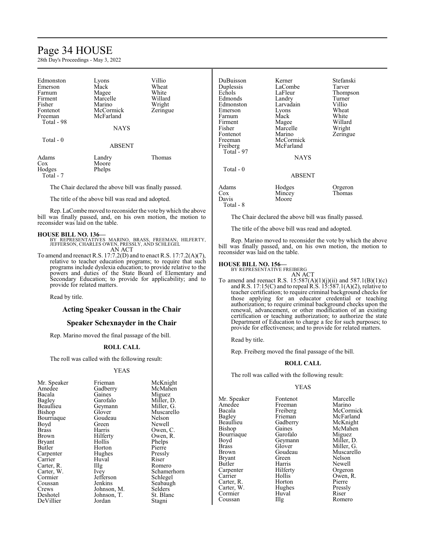# Page 34 HOUSE

28th Day's Proceedings - May 3, 2022

| Edmonston<br>Emerson<br>Farnum<br>Firment<br>Fisher<br>Fontenot<br>Freeman<br>Total - 98 | Lyons<br>Mack<br>Magee<br>Marcelle<br>Marino<br>McCormick<br>McFarland | Villio<br>Wheat<br>White<br>Willard<br>Wright<br>Zeringue |
|------------------------------------------------------------------------------------------|------------------------------------------------------------------------|-----------------------------------------------------------|
|                                                                                          | <b>NAYS</b>                                                            |                                                           |
| Total - 0                                                                                | <b>ABSENT</b>                                                          |                                                           |
| Adams<br>Cox<br>Hodges<br>Total - 7                                                      | Landry<br>Moore<br>Phelps                                              | Thomas                                                    |

The Chair declared the above bill was finally passed.

The title of the above bill was read and adopted.

Rep. LaCombe moved to reconsider the vote by which the above bill was finally passed, and, on his own motion, the motion to reconsider was laid on the table.

# **HOUSE BILL NO. 136—**

BY REPRESENTATIVES MARINO, BRASS, FREEMAN, HILFERTY, JEFFERSON, CHARLES OWEN, PRESSLY, AND SCHLEGEL AN ACT

To amend and reenact R.S. 17:7.2(D) and to enact R.S. 17:7.2(A)(7), relative to teacher education programs; to require that such programs include dyslexia education; to provide relative to the powers and duties of the State Board of Elementary and Secondary Education; to provide for applicability; and to provide for related matters.

Read by title.

# **Acting Speaker Coussan in the Chair**

## **Speaker Schexnayder in the Chair**

Rep. Marino moved the final passage of the bill.

### **ROLL CALL**

The roll was called with the following result:

### YEAS

DuBuisson Kerner Stefanski Duplessis LaComb<br>Echols LaFleur LaFleur Thompson<br>Landry Turner Edmonds Landry Turner<br>Edmonston Larvadain Villio Edmonston Larvadain Villio Lyons Wheat<br>
Mack White Farnum Mack White Firment Magee Willard<br>Fisher Marcelle Wright Fisher Marcelle<br>Fontenot Marino Fontenot Marino Zeringue<br>Freeman McCormick Zeringue Freeman McCormick<br>Freiberg McFarland McFarland Total  $-97$ NAYS Total - 0 ABSENT Adams Hodges Orgeron<br>
Cox Mincey Thomas Cox Mincey<br>Davis Moore

Total - 8

The Chair declared the above bill was finally passed.

The title of the above bill was read and adopted.

Moore

Rep. Marino moved to reconsider the vote by which the above bill was finally passed, and, on his own motion, the motion to reconsider was laid on the table.

### **HOUSE BILL NO. 156—**

BY REPRESENTATIVE FREIBERG AN ACT

To amend and reenact R.S.  $15:587(A)(1)(j)(ii)$  and  $587.1(B)(1)(c)$ and R.S. 17:15(C) and to repeal R.S. 15:587.1(A)(2), relative to teacher certification; to require criminal background checks for those applying for an educator credential or teaching authorization; to require criminal background checks upon the renewal, advancement, or other modification of an existing certification or teaching authorization; to authorize the state Department of Education to charge a fee for such purposes; to provide for effectiveness; and to provide for related matters.

Read by title.

Rep. Freiberg moved the final passage of the bill.

#### **ROLL CALL**

The roll was called with the following result:

### YEAS

Mr. Speaker Fontenot Marcelle<br>Amedee Freeman Marino Amedee Freeman<br>Bacala Freiberg Bacala Freiberg McCormick<br>Bagley Frieman McFarland Bagley Frieman McFarland<br>Beaullieu Gadberry McKnight Beaullieu Gadberry McKnight<br>Bishop Gaines McMahen Bourriaque Garofalo Miguez<br>Boyd Geymann Miller, D. Boyd Geymann<br>Brass Glover Brass Glover Miller, G. Bryant Green<br>Butler Harris Carpenter Hilfert<br>Carrier Hollis Carter, R. Horton Pierre<br>Carter, W. Hughes Pressly Carter, W. Hughes Pressl<br>Cormier Huval Riser Cormier Huval Riser<br>
Coussan IIIg Romero Coussan

Gaines McMahen<br>Garofalo Miguez Goudeau Muscarello<br>Green Nelson Harris Newell<br>Hilferty Orgeron Hollis Owen, R.<br>Horton Pierre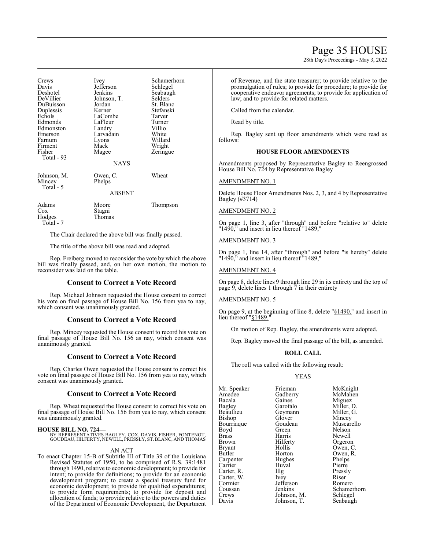28th Day's Proceedings - May 3, 2022

| Crews<br>Davis<br>Deshotel<br>DeVillier<br>DuBuisson<br>Duplessis<br>Echols<br>Edmonds<br>Edmonston<br>Emerson<br>Farnum<br>Firment<br>Fisher<br>Total - 93 | <i>lvey</i><br>Jefferson<br>Jenkins<br>Johnson, T.<br>Jordan<br>Kerner<br>LaCombe<br>LaFleur<br>Landry<br>Larvadain<br>Lyons<br>Mack<br>Magee<br><b>NAYS</b> | Schamerhorn<br>Schlegel<br>Seabaugh<br>Selders<br>St. Blanc<br>Stefanski<br>Tarver<br>Turner<br>Villio<br>White<br>Willard<br>Wright<br>Zeringue |
|-------------------------------------------------------------------------------------------------------------------------------------------------------------|--------------------------------------------------------------------------------------------------------------------------------------------------------------|--------------------------------------------------------------------------------------------------------------------------------------------------|
| Johnson, M.<br>Mincey<br>Total - 5                                                                                                                          | Owen, C.<br>Phelps<br><b>ABSENT</b>                                                                                                                          | Wheat                                                                                                                                            |
| Adams<br>Cox<br>Hodges<br>Total - 7                                                                                                                         | Moore<br>Stagni<br>Thomas                                                                                                                                    | Thompson                                                                                                                                         |

The Chair declared the above bill was finally passed.

The title of the above bill was read and adopted.

Rep. Freiberg moved to reconsider the vote by which the above bill was finally passed, and, on her own motion, the motion to reconsider was laid on the table.

# **Consent to Correct a Vote Record**

Rep. Michael Johnson requested the House consent to correct his vote on final passage of House Bill No. 156 from yea to nay, which consent was unanimously granted.

# **Consent to Correct a Vote Record**

Rep. Mincey requested the House consent to record his vote on final passage of House Bill No. 156 as nay, which consent was unanimously granted.

# **Consent to Correct a Vote Record**

Rep. Charles Owen requested the House consent to correct his vote on final passage of House Bill No. 156 from yea to nay, which consent was unanimously granted.

### **Consent to Correct a Vote Record**

Rep. Wheat requested the House consent to correct his vote on final passage of House Bill No. 156 from yea to nay, which consent was unanimously granted.

**HOUSE BILL NO. 724—** BY REPRESENTATIVES BAGLEY, COX, DAVIS, FISHER, FONTENOT, GOUDEAU, HILFERTY, NEWELL, PRESSLY, ST. BLANC, AND THOMAS

### AN ACT

To enact Chapter 15-B of Subtitle III of Title 39 of the Louisiana Revised Statutes of 1950, to be comprised of R.S. 39:1481 through 1490, relative to economic development; to provide for intent; to provide for definitions; to provide for an economic development program; to create a special treasury fund for economic development; to provide for qualified expenditures; to provide form requirements; to provide for deposit and allocation of funds; to provide relative to the powers and duties of the Department of Economic Development, the Department of Revenue, and the state treasurer; to provide relative to the promulgation of rules; to provide for procedure; to provide for cooperative endeavor agreements; to provide for application of law; and to provide for related matters.

Called from the calendar.

Read by title.

Rep. Bagley sent up floor amendments which were read as follows:

### **HOUSE FLOOR AMENDMENTS**

Amendments proposed by Representative Bagley to Reengrossed House Bill No. 724 by Representative Bagley

### AMENDMENT NO. 1

Delete House Floor Amendments Nos. 2, 3, and 4 by Representative Bagley (#3714)

## AMENDMENT NO. 2

On page 1, line 3, after "through" and before "relative to" delete "1490," and insert in lieu thereof "1489,"

## AMENDMENT NO. 3

On page 1, line 14, after "through" and before "is hereby" delete "1490," and insert in lieu thereof "1489,"

# AMENDMENT NO. 4

On page 8, delete lines 9 through line 29 in its entirety and the top of page 9, delete lines 1 through  $\bar{7}$  in their entirety

#### AMENDMENT NO. 5

On page 9, at the beginning of line 8, delete "§1490." and insert in lieu thereof "§1489.

On motion of Rep. Bagley, the amendments were adopted.

Rep. Bagley moved the final passage of the bill, as amended.

### **ROLL CALL**

The roll was called with the following result:

### YEAS

Mr. Speaker Frieman McKnight<br>Amedee Gadberry McMahen Amedee Gadberry McMah<br>Bacala Gaines Miguez Bacala Gaines Miguez Bagley Garofalo Miller, D. Bishop Glover Mincey Bourriaque Goudeau Muscarello<br>Royd Green Nelson Boyd Green<br>Brass Harris Brass Harris Newell Brown Hilferty Orgeron<br>Bryant Hollis Owen, C Bryant Hollis Owen, C.<br>Butler Horton Owen, R. Carpenter Hughes Phelps<br>
Carrier Huval Pierre Carter, R. Illg Pressl<br>Carter, W. Ivev Riser Carter, W. Ivey Riser Cormier Jefferson Romero Cormier Jefferson<br>Coussan Jenkins Coussan Jenkins Schamerhorn<br>Crews Johnson, M. Schlegel

Geymann Miller,<br>Glover Mincey Horton Owen, R.<br>Hughes Phelps Huval Pierre<br>Illg Pressly Johnson, M. Davis Johnson, T. Seabaugh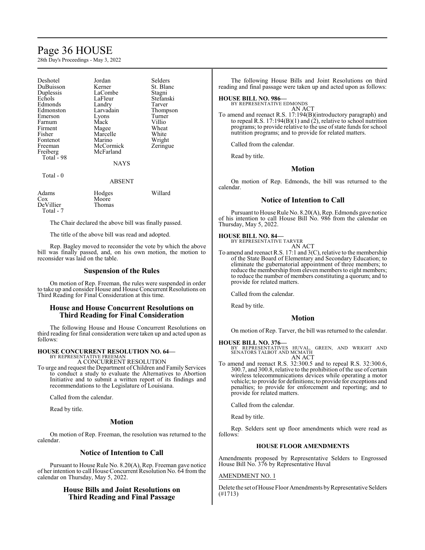# Page 36 HOUSE

28th Day's Proceedings - May 3, 2022

| Deshotel               | Jordan        | Selders   |
|------------------------|---------------|-----------|
| DuBuisson              | Kerner        | St. Blanc |
| Duplessis              | LaCombe       | Stagni    |
| Echols                 | LaFleur       | Stefanski |
| Edmonds                | Landry        | Tarver    |
| Edmonston              | Larvadain     | Thompson  |
| Emerson                | Lyons         | Turner    |
| Farnum                 | Mack          | Villio    |
| Firment                | Magee         | Wheat     |
| Fisher                 | Marcelle      | White     |
| Fontenot               | Marino        | Wright    |
| Freeman                | McCormick     | Zeringue  |
|                        | McFarland     |           |
| Freiberg<br>Total - 98 |               |           |
|                        |               |           |
|                        | NAYS          |           |
| Total - 0              |               |           |
|                        | <b>ABSENT</b> |           |
|                        |               |           |
| Adams                  | Hodges        | Willard   |
| Cox                    | Moore         |           |
| $DeV$ illier           | Thomae        |           |

DeVillier Thomas Total - 7

The Chair declared the above bill was finally passed.

The title of the above bill was read and adopted.

Rep. Bagley moved to reconsider the vote by which the above bill was finally passed, and, on his own motion, the motion to reconsider was laid on the table.

# **Suspension of the Rules**

On motion of Rep. Freeman, the rules were suspended in order to take up and consider House and House Concurrent Resolutions on Third Reading for Final Consideration at this time.

# **House and House Concurrent Resolutions on Third Reading for Final Consideration**

The following House and House Concurrent Resolutions on third reading for final consideration were taken up and acted upon as follows:

# **HOUSE CONCURRENT RESOLUTION NO. 64—**

BY REPRESENTATIVE FREEMAN A CONCURRENT RESOLUTION

To urge and request the Department ofChildren and Family Services to conduct a study to evaluate the Alternatives to Abortion Initiative and to submit a written report of its findings and recommendations to the Legislature of Louisiana.

Called from the calendar.

Read by title.

# **Motion**

On motion of Rep. Freeman, the resolution was returned to the calendar.

# **Notice of Intention to Call**

Pursuant to House Rule No. 8.20(A), Rep. Freeman gave notice of her intention to call House Concurrent Resolution No. 64 from the calendar on Thursday, May 5, 2022.

# **House Bills and Joint Resolutions on Third Reading and Final Passage**

The following House Bills and Joint Resolutions on third reading and final passage were taken up and acted upon as follows:

# **HOUSE BILL NO. 986—** BY REPRESENTATIVE EDMONDS

AN ACT

To amend and reenact R.S. 17:194(B)(introductory paragraph) and to repeal R.S. 17:194(B)(1) and (2), relative to school nutrition programs; to provide relative to the use of state funds for school nutrition programs; and to provide for related matters.

Called from the calendar.

Read by title.

## **Motion**

On motion of Rep. Edmonds, the bill was returned to the calendar.

# **Notice of Intention to Call**

Pursuant to House Rule No. 8.20(A), Rep. Edmonds gave notice of his intention to call House Bill No. 986 from the calendar on Thursday, May 5, 2022.

# **HOUSE BILL NO. 84—**

BY REPRESENTATIVE TARVER AN ACT

To amend and reenact R.S. 17:1 and 3(C), relative to the membership of the State Board of Elementary and Secondary Education; to eliminate the gubernatorial appointment of three members; to reduce the membership from eleven members to eight members; to reduce the number of members constituting a quorum; and to provide for related matters.

Called from the calendar.

Read by title.

### **Motion**

On motion of Rep. Tarver, the bill was returned to the calendar.

# **HOUSE BILL NO. 376—**

BY REPRESENTATIVES HUVAL, GREEN, AND WRIGHT AND SENATORS TALBOT AND MCMATH AN ACT

To amend and reenact R.S. 32:300.5 and to repeal R.S. 32:300.6, 300.7, and 300.8, relative to the prohibition of the use of certain wireless telecommunications devices while operating a motor vehicle; to provide for definitions; to provide for exceptions and penalties; to provide for enforcement and reporting; and to provide for related matters.

Called from the calendar.

Read by title.

Rep. Selders sent up floor amendments which were read as follows:

### **HOUSE FLOOR AMENDMENTS**

Amendments proposed by Representative Selders to Engrossed House Bill No. 376 by Representative Huval

## AMENDMENT NO. 1

Delete the set of House Floor Amendments by Representative Selders (#1713)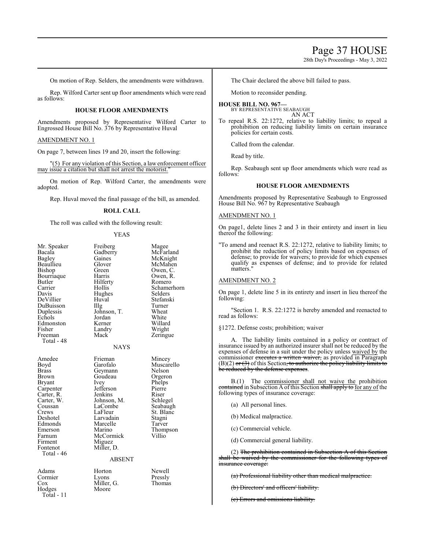# Page 37 HOUSE

28th Day's Proceedings - May 3, 2022

On motion of Rep. Selders, the amendments were withdrawn.

Rep. Wilford Carter sent up floor amendments which were read as follows:

# **HOUSE FLOOR AMENDMENTS**

Amendments proposed by Representative Wilford Carter to Engrossed House Bill No. 376 by Representative Huval

AMENDMENT NO. 1

On page 7, between lines 19 and 20, insert the following:

"(5) For any violation of this Section, a law enforcement officer may issue a citation but shall not arrest the motorist."

On motion of Rep. Wilford Carter, the amendments were adopted.

Rep. Huval moved the final passage of the bill, as amended.

### **ROLL CALL**

The roll was called with the following result:

### YEAS

| Mr. Speaker<br>Bacala<br>Bagley<br>Beaullieu<br>Bishop<br>Bourriaque<br>Butler<br>Carrier<br>Davis<br>DeVillier<br>DuBuisson<br>Duplessis<br>Echols<br>Edmonston<br>Fisher<br>Freeman<br>Total - 48    | Freiberg<br>Gadberry<br>Gaines<br>Glover<br>Green<br>Harris<br>Hilferty<br>Hollis<br>Hughes<br>Huval<br>IIIg<br>Johnson, T.<br>Jordan<br>Kerner<br>Landry<br>Mack<br><b>NAYS</b>                        | Magee<br>McFarland<br>McKnight<br>McMahen<br>Owen, C.<br>Owen, R.<br>Romero<br>Schamerhorn<br>Selders<br>Stefanski<br>Turner<br>Wheat<br>White<br>Willard<br>Wright<br>Zeringue |
|--------------------------------------------------------------------------------------------------------------------------------------------------------------------------------------------------------|---------------------------------------------------------------------------------------------------------------------------------------------------------------------------------------------------------|---------------------------------------------------------------------------------------------------------------------------------------------------------------------------------|
| Amedee<br>Boyd<br><b>Brass</b><br>Brown<br><b>Bryant</b><br>Carpenter<br>Carter, R.<br>Carter, W.<br>Coussan<br>Crews<br>Deshotel<br>Edmonds<br>Emerson<br>Farnum<br>Firment<br>Fontenot<br>Total - 46 | Frieman<br>Garofalo<br>Geymann<br>Goudeau<br>Ivey<br>Jefferson<br>Jenkins<br>Johnson, M.<br>LaCombe<br>LaFleur<br>Larvadain<br>Marcelle<br>Marino<br>McCormick<br>Miguez<br>Miller, D.<br><b>ABSENT</b> | Mincey<br>Muscarello<br>Nelson<br>Orgeron<br>Phelps<br>Pierre<br>Riser<br>Schlegel<br>Seabaugh<br>St. Blanc<br>Stagni<br>Tarver<br>Thompson<br>Villio                           |
| Adams                                                                                                                                                                                                  | Horton                                                                                                                                                                                                  | Newell                                                                                                                                                                          |

### NAYS

### ABSENT

Miller, G.<br>Moore

Cormier Lyons Pressly<br>Cox Miller, G. Thomas Hodges Total - 11

Horton Newell<br>Lyons Pressly

The Chair declared the above bill failed to pass.

Motion to reconsider pending.

# **HOUSE BILL NO. 967—**

BY REPRESENTATIVE SEABAUGH AN ACT

To repeal R.S. 22:1272, relative to liability limits; to repeal a prohibition on reducing liability limits on certain insurance policies for certain costs.

Called from the calendar.

Read by title.

Rep. Seabaugh sent up floor amendments which were read as follows:

### **HOUSE FLOOR AMENDMENTS**

Amendments proposed by Representative Seabaugh to Engrossed House Bill No. 967 by Representative Seabaugh

#### AMENDMENT NO. 1

On page1, delete lines 2 and 3 in their entirety and insert in lieu thereof the following:

"To amend and reenact R.S. 22:1272, relative to liability limits; to prohibit the reduction of policy limits based on expenses of defense; to provide for waivers; to provide for which expenses qualify as expenses of defense; and to provide for related matters."

### AMENDMENT NO. 2

On page 1, delete line 5 in its entirety and insert in lieu thereof the following:

"Section 1. R.S. 22:1272 is hereby amended and reenacted to read as follows:

§1272. Defense costs; prohibition; waiver

A. The liability limits contained in a policy or contract of insurance issued by an authorized insurer shall not be reduced by the expenses of defense in a suit under the policy unless waived by the commissioner executes a written waiver, as provided in Paragraph  $(B)(2)$  or  $(3)$  of this Section, to authorize the policy liability limits to be reduced by the defense expenses.

B.(1) The commissioner shall not waive the prohibition contained in Subsection A of this Section shall apply to for any of the following types of insurance coverage:

- (a) All personal lines.
- (b) Medical malpractice.
- (c) Commercial vehicle.
- (d) Commercial general liability.

(2) The prohibition contained in Subsection A of this Section shall be waived by the commissioner for the following types of insurance coverage:

(a) Professional liability other than medical malpractice.

(b) Directors' and officers' liability.

(c) Errors and omissions liability.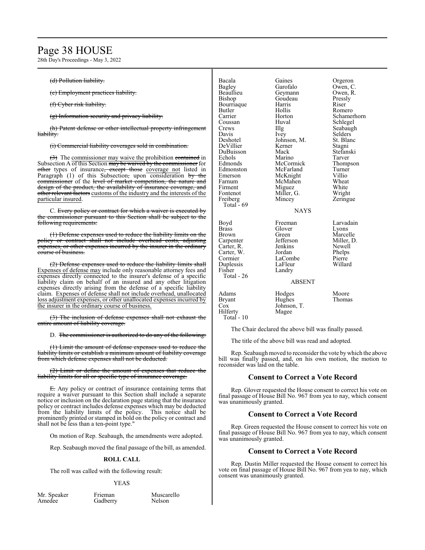# Page 38 HOUSE

28th Day's Proceedings - May 3, 2022

### (d) Pollution liability.

(e) Employment practices liability.

(f) Cyber risk liability.

(g) Information security and privacy liability.

(h) Patent defense or other intellectual property infringement liability.

(i) Commercial liability coverages sold in combination.

(3) The commissioner may waive the prohibition contained in Subsection A of this Section may be waived by the commissioner for other types of insurance, except those coverage not listed in Paragraph (1) of this Subsection, upon consideration by the commissioner of the level of market competition, the nature and design of the product, the availability of insurance coverage, and other relevant factors customs of the industry and the interests of the particular insured.

C. Every policy or contract for which a waiver is executed by the commissioner pursuant to this Section shall be subject to the following requirements:

(1) Defense expenses used to reduce the liability limits on the policy or contract shall not include overhead costs, adjusting expenses, or other expenses incurred by the insurer in the ordinary course of business.

(2) Defense expenses used to reduce the liability limits shall Expenses of defense may include only reasonable attorney fees and expenses directly connected to the insurer's defense of a specific liability claim on behalf of an insured and any other litigation expenses directly arising from the defense of a specific liability claim. Expenses of defense shall not include overhead, unallocated loss adjustment expenses, or other unallocated expenses incurred by the insurer in the ordinary course of business.

(3) The inclusion of defense expenses shall not exhaust the entire amount of liability coverage.

D. The commissioner is authorized to do any of the following:

(1) Limit the amount of defense expenses used to reduce the liability limits or establish a minimum amount of liability coverage from which defense expenses shall not be deducted.

(2) Limit or define the amount of expenses that reduce the liability limits for all or specific type of insurance coverage.

E. Any policy or contract of insurance containing terms that require a waiver pursuant to this Section shall include a separate notice or inclusion on the declaration page stating that the insurance policy or contract includes defense expenses which may be deducted from the liability limits of the policy. This notice shall be prominently printed or stamped in bold on the policy or contract and shall not be less than a ten-point type."

On motion of Rep. Seabaugh, the amendments were adopted.

Rep. Seabaugh moved the final passage of the bill, as amended.

### **ROLL CALL**

The roll was called with the following result:

Gadberry

#### YEAS

Mr. Speaker Frieman Muscarello<br>Amedee Gadberry Nelson

| Bacala<br>Bagley<br>Beaullieu<br>Bishop<br>Bourriaque<br>Butler<br>Carrier<br>Coussan<br>Crews<br>Davis<br>Deshotel<br>DeVillier<br>DuBuisson<br>Echols<br>Edmonds<br>Edmonston<br>Emerson<br>Farnum<br>Firment<br>Fontenot<br>Freiberg<br>Total - 69 | Gaines<br>Garofalo<br>Geymann<br>Goudeau<br>Harris<br>Hollis<br>Horton<br>Huval<br>Illg<br>Ivey<br>Johnson, M.<br>Kerner<br>Mack<br>Marino<br>McCormick<br>McFarland<br>McKnight<br>McMahen<br>Miguez<br>Miller, G.<br>Mincey | Orgeron<br>Owen, C.<br>Owen, R.<br>Pressly<br>Riser<br>Romero<br>Schamerhorn<br>Schlegel<br>Seabaugh<br>Selders<br>St. Blanc<br>Stagni<br>Stefanski<br>Tarver<br>Thompson<br>Turner<br>Villio<br>Wheat<br>White<br>Wright<br>Zeringue |
|-------------------------------------------------------------------------------------------------------------------------------------------------------------------------------------------------------------------------------------------------------|-------------------------------------------------------------------------------------------------------------------------------------------------------------------------------------------------------------------------------|---------------------------------------------------------------------------------------------------------------------------------------------------------------------------------------------------------------------------------------|
| Boyd<br><b>Brass</b><br>Brown<br>Carpenter<br>Carter, R.<br>Carter, W.<br>Cormier<br>Duplessis<br>Fisher<br>Total - 26                                                                                                                                | <b>NAYS</b><br>Freeman<br>Glover<br>Green<br>Jefferson<br>Jenkins<br>Jordan<br>LaCombe<br>LaFleur<br>Landry<br><b>ABSENT</b>                                                                                                  | Larvadain<br>Lyons<br>Marcelle<br>Miller, D.<br>Newell<br>Phelps<br>Pierre<br>Willard                                                                                                                                                 |
| Adams<br><b>Bryant</b><br>Cox<br>Hilferty                                                                                                                                                                                                             | Hodges<br>Hughes<br>Johnson, T.<br>Magee                                                                                                                                                                                      | Moore<br>Thomas                                                                                                                                                                                                                       |

The Chair declared the above bill was finally passed.

The title of the above bill was read and adopted.

Hilferty Total - 10

Rep. Seabaugh moved to reconsider the vote bywhich the above bill was finally passed, and, on his own motion, the motion to reconsider was laid on the table.

# **Consent to Correct a Vote Record**

Rep. Glover requested the House consent to correct his vote on final passage of House Bill No. 967 from yea to nay, which consent was unanimously granted.

# **Consent to Correct a Vote Record**

Rep. Green requested the House consent to correct his vote on final passage of House Bill No. 967 from yea to nay, which consent was unanimously granted.

# **Consent to Correct a Vote Record**

Rep. Dustin Miller requested the House consent to correct his vote on final passage of House Bill No. 967 from yea to nay, which consent was unanimously granted.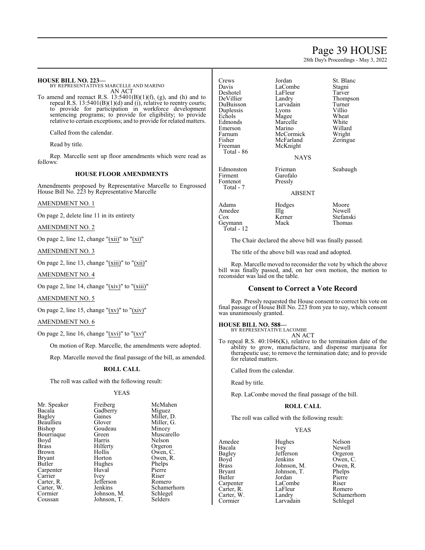# Page 39 HOUSE

28th Day's Proceedings - May 3, 2022

| <b>HOUSE BILL NO. 223-</b><br>BY REPRESENTATIVES MARCELLE AND MARINO<br>AN ACT<br>To amend and reenact R.S. $13:5401(B)(1)(f)$ , (g), and (h) and to<br>repeal R.S. $13:5401(B)(1)(d)$ and $(i)$ , relative to reentry courts;<br>to provide for participation in workforce development<br>sentencing programs; to provide for eligibility; to provide<br>relative to certain exceptions; and to provide for related matters.<br>Called from the calendar.<br>Read by title.<br>Rep. Marcelle sent up floor amendments which were read as | Crews<br>Davis<br>Deshotel<br>DeVillier<br>DuBuisson<br>Duplessis<br>Echols<br>Edmonds<br>Emerson<br>Farnum<br>Fisher<br>Freeman<br>Total - 86 | Jordan<br>LaCombe<br>LaFleur<br>Landry<br>Larvadain<br>Lyons<br>Magee<br>Marcelle<br>Marino<br>McCormick<br>McFarland<br>McKnight<br><b>NAYS</b> | St. Blanc<br>Stagni<br>Tarver<br>Thompson<br>Turner<br>Villio<br>Wheat<br>White<br>Willard<br>Wright<br>Zeringue |
|-------------------------------------------------------------------------------------------------------------------------------------------------------------------------------------------------------------------------------------------------------------------------------------------------------------------------------------------------------------------------------------------------------------------------------------------------------------------------------------------------------------------------------------------|------------------------------------------------------------------------------------------------------------------------------------------------|--------------------------------------------------------------------------------------------------------------------------------------------------|------------------------------------------------------------------------------------------------------------------|
| follows:                                                                                                                                                                                                                                                                                                                                                                                                                                                                                                                                  |                                                                                                                                                |                                                                                                                                                  |                                                                                                                  |
| <b>HOUSE FLOOR AMENDMENTS</b>                                                                                                                                                                                                                                                                                                                                                                                                                                                                                                             | Edmonston<br>Firment<br>Fontenot                                                                                                               | Frieman<br>Garofalo<br>Pressly                                                                                                                   | Seabaugh                                                                                                         |
| Amendments proposed by Representative Marcelle to Engrossed<br>House Bill No. 223 by Representative Marcelle                                                                                                                                                                                                                                                                                                                                                                                                                              | Total - 7                                                                                                                                      | <b>ABSENT</b>                                                                                                                                    |                                                                                                                  |
| <b>AMENDMENT NO. 1</b>                                                                                                                                                                                                                                                                                                                                                                                                                                                                                                                    | Adams                                                                                                                                          | Hodges                                                                                                                                           | Moore                                                                                                            |
| On page 2, delete line 11 in its entirety                                                                                                                                                                                                                                                                                                                                                                                                                                                                                                 | Amedee<br>Cox                                                                                                                                  | $\prod_{i=1}^{n}$<br>Kerner                                                                                                                      | Newell<br>Stefanski                                                                                              |
| AMENDMENT NO. 2                                                                                                                                                                                                                                                                                                                                                                                                                                                                                                                           | Geymann<br>Total - $12$                                                                                                                        | Mack                                                                                                                                             | Thomas                                                                                                           |
| On page 2, line 12, change " $(xii)$ " to " $(xi)$ "                                                                                                                                                                                                                                                                                                                                                                                                                                                                                      |                                                                                                                                                | The Chair declared the above bill was finally passed.                                                                                            |                                                                                                                  |
| <b>AMENDMENT NO. 3</b>                                                                                                                                                                                                                                                                                                                                                                                                                                                                                                                    |                                                                                                                                                | The title of the above bill was read and adopted.                                                                                                |                                                                                                                  |
| On page 2, line 13, change " $(xiii)$ " to " $(xii)$ "                                                                                                                                                                                                                                                                                                                                                                                                                                                                                    |                                                                                                                                                |                                                                                                                                                  | Rep. Marcelle moved to reconsider the vote by which the above                                                    |
| <b>AMENDMENT NO. 4</b>                                                                                                                                                                                                                                                                                                                                                                                                                                                                                                                    | reconsider was laid on the table.                                                                                                              |                                                                                                                                                  | bill was finally passed, and, on her own motion, the motion to                                                   |
| On page 2, line 14, change " $(xiv)$ " to " $(xiii)$ "                                                                                                                                                                                                                                                                                                                                                                                                                                                                                    |                                                                                                                                                | <b>Consent to Correct a Vote Record</b>                                                                                                          |                                                                                                                  |

Rep. Pressly requested the House consent to correct his vote on final passage of House Bill No. 223 from yea to nay, which consent was unanimously granted.

**HOUSE BILL NO. 588—** BY REPRESENTATIVE LACOMBE

AN ACT

To repeal R.S. 40:1046(K), relative to the termination date of the ability to grow, manufacture, and dispense marijuana for therapeutic use; to remove the termination date; and to provide for related matters.

Called from the calendar.

Read by title.

Rep. LaCombe moved the final passage of the bill.

### **ROLL CALL**

The roll was called with the following result:

# YEAS

| Amedee     | Hughes      | Nelson      |
|------------|-------------|-------------|
| Bacala     | Ivey        | Newell      |
| Bagley     | Jefferson   | Orgeron     |
| Boyd       | Jenkins     | Owen, C.    |
| Brass      | Johnson, M. | Owen, R.    |
| Bryant     | Johnson, T. | Phelps      |
| Butler     | Jordan      | Pierre      |
| Carpenter  | LaCombe     | Riser       |
| Carter, R. | LaFleur     | Romero      |
| Carter, W. | Landry      | Schamerhorn |
| Cormier    | Larvadain   | Schlegel    |
|            |             |             |

AMENDMENT NO. 5

On page 2, line 15, change " $(xv)$ " to " $(xiv)$ "

AMENDMENT NO. 6

On page 2, line 16, change " $(xvi)$ " to " $(xv)$ "

On motion of Rep. Marcelle, the amendments were adopted.

Rep. Marcelle moved the final passage of the bill, as amended.

### **ROLL CALL**

The roll was called with the following result:

# YEAS

| Mr. Speaker   | Freiberg    | McMaher    |
|---------------|-------------|------------|
| Bacala        | Gadberry    | Miguez     |
| Bagley        | Gaines      | Miller, D. |
| Beaullieu     | Glover      | Miller, G. |
| Bishop        | Goudeau     | Mincey     |
| Bourriaque    | Green       | Muscarel   |
| Boyd          | Harris      | Nelson     |
| Brass         | Hilferty    | Orgeron    |
| Brown         | Hollis      | Owen, C.   |
| <b>Bryant</b> | Horton      | Owen, R.   |
| Butler        | Hughes      | Phelps     |
| Carpenter     | Huval       | Pierre     |
| Carrier       | Ivey        | Riser      |
| Carter, R.    | Jefferson   | Romero     |
| Carter, W.    | Jenkins     | Schamerl   |
| Cormier       | Johnson, M. | Schlegel   |
| Coussan       | Johnson, T. | Selders    |

Mahen<br>guez  $\mathop{\text{ller}}\nolimits$ , D. ller, G.<br>ncey iscarello<br>Ison <sup>z</sup>en, R.<br>elps namerhorn<br>nlegel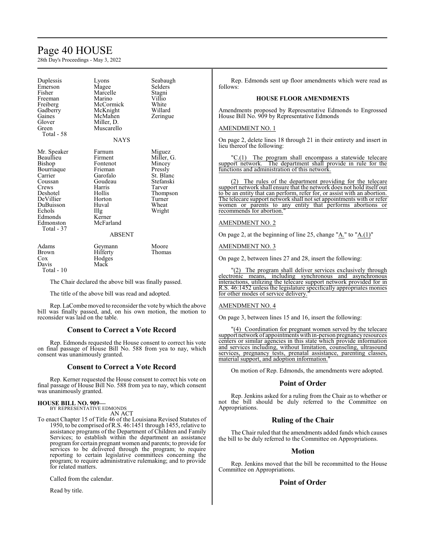# Page 40 HOUSE

28th Day's Proceedings - May 3, 2022

| Duplessis<br>Emerson<br>Fisher<br>Freeman<br>Freiberg<br>Gadberry<br>Gaines<br>Glover<br>Green<br>Total - 58                                                          | Lyons<br>Magee<br>Marcelle<br>Marino<br>McCormick<br>McKnight<br>McMahen<br>Miller, D.<br>Muscarello<br><b>NAYS</b>                                    | Seabaugh<br>Selders<br>Stagni<br>Villio<br>White<br>Willard<br>Zeringue                                                |
|-----------------------------------------------------------------------------------------------------------------------------------------------------------------------|--------------------------------------------------------------------------------------------------------------------------------------------------------|------------------------------------------------------------------------------------------------------------------------|
| Mr. Speaker<br>Beaullieu<br>Bishop<br>Bourriaque<br>Carrier<br>Coussan<br>Crews<br>Deshotel<br>DeVillier<br>DuBuisson<br>Echols<br>Edmonds<br>Edmonston<br>Total - 37 | Farnum<br>Firment<br>Fontenot<br>Frieman<br>Garofalo<br>Goudeau<br>Harris<br>Hollis<br>Horton<br>Huval<br>Illg<br>Kerner<br>McFarland<br><b>ABSENT</b> | Miguez<br>Miller, G.<br>Mincey<br>Pressly<br>St. Blanc<br>Stefanski<br>Tarver<br>Thompson<br>Turner<br>Wheat<br>Wright |
| Adams<br>Brown<br>Cox<br>Davis<br>Total - 10                                                                                                                          | Geymann<br>Hilferty<br>Hodges<br>Mack                                                                                                                  | Moore<br>Thomas                                                                                                        |

The Chair declared the above bill was finally passed.

The title of the above bill was read and adopted.

Rep. LaCombe moved to reconsider the vote by which the above bill was finally passed, and, on his own motion, the motion to reconsider was laid on the table.

# **Consent to Correct a Vote Record**

Rep. Edmonds requested the House consent to correct his vote on final passage of House Bill No. 588 from yea to nay, which consent was unanimously granted.

# **Consent to Correct a Vote Record**

Rep. Kerner requested the House consent to correct his vote on final passage of House Bill No. 588 from yea to nay, which consent was unanimously granted.

### **HOUSE BILL NO. 909—**

BY REPRESENTATIVE EDMONDS

- AN ACT
- To enact Chapter 15 of Title 46 of the Louisiana Revised Statutes of 1950, to be comprised ofR.S. 46:1451 through 1455, relative to assistance programs of the Department of Children and Family Services; to establish within the department an assistance program for certain pregnant women and parents; to provide for services to be delivered through the program; to require reporting to certain legislative committees concerning the program; to require administrative rulemaking; and to provide for related matters.

Called from the calendar.

Read by title.

Rep. Edmonds sent up floor amendments which were read as follows:

### **HOUSE FLOOR AMENDMENTS**

Amendments proposed by Representative Edmonds to Engrossed House Bill No. 909 by Representative Edmonds

### AMENDMENT NO. 1

On page 2, delete lines 18 through 21 in their entirety and insert in lieu thereof the following:

"C.(1) The program shall encompass a statewide telecare support network. The department shall provide in rule for the functions and administration of this network.

(2) The rules of the department providing for the telecare support network shall ensure that the network does not hold itself out to be an entity that can perform, refer for, or assist with an abortion. The telecare support network shall not set appointments with or refer women or parents to any entity that performs abortions or recommends for abortion."

### AMENDMENT NO. 2

On page 2, at the beginning of line 25, change "A." to "A.(1)"

### AMENDMENT NO. 3

On page 2, between lines 27 and 28, insert the following:

"(2) The program shall deliver services exclusively through electronic means, including synchronous and asynchronous interactions, utilizing the telecare support network provided for in R.S. 46:1452 unless the legislature specifically appropriates monies for other modes of service delivery.

### AMENDMENT NO. 4

On page 3, between lines 15 and 16, insert the following:

"(4) Coordination for pregnant women served by the telecare support network of appointments with in-person pregnancy resources centers or similar agencies in this state which provide information and services including, without limitation, counseling, ultrasound services, pregnancy tests, prenatal assistance, parenting classes, material support, and adoption information."

On motion of Rep. Edmonds, the amendments were adopted.

### **Point of Order**

Rep. Jenkins asked for a ruling from the Chair as to whether or not the bill should be duly referred to the Committee on Appropriations.

# **Ruling of the Chair**

The Chair ruled that the amendments added funds which causes the bill to be duly referred to the Committee on Appropriations.

## **Motion**

Rep. Jenkins moved that the bill be recommitted to the House Committee on Appropriations.

# **Point of Order**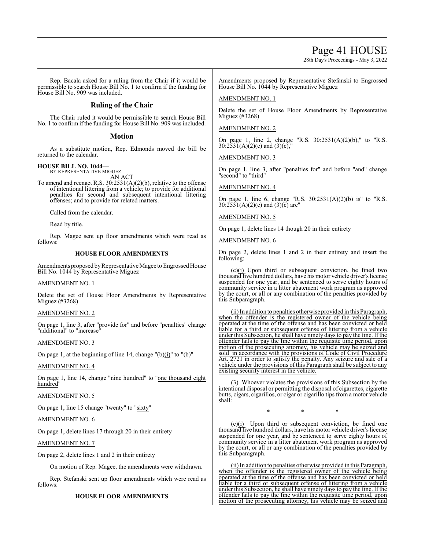# Page 41 HOUSE

28th Day's Proceedings - May 3, 2022

Rep. Bacala asked for a ruling from the Chair if it would be permissible to search House Bill No. 1 to confirm if the funding for House Bill No. 909 was included.

# **Ruling of the Chair**

The Chair ruled it would be permissible to search House Bill No. 1 to confirm if the funding for House Bill No. 909 was included.

# **Motion**

As a substitute motion, Rep. Edmonds moved the bill be returned to the calendar.

#### **HOUSE BILL NO. 1044—** BY REPRESENTATIVE MIGUEZ

AN ACT

To amend and reenact R.S. 30:2531(A)(2)(b), relative to the offense of intentional littering from a vehicle; to provide for additional penalties for second and subsequent intentional littering offenses; and to provide for related matters.

Called from the calendar.

Read by title.

Rep. Magee sent up floor amendments which were read as follows:

# **HOUSE FLOOR AMENDMENTS**

Amendments proposed byRepresentative Magee to Engrossed House Bill No. 1044 by Representative Miguez

# AMENDMENT NO. 1

Delete the set of House Floor Amendments by Representative Miguez (#3268)

# AMENDMENT NO. 2

On page 1, line 3, after "provide for" and before "penalties" change "additional" to "increase"

# AMENDMENT NO. 3

On page 1, at the beginning of line 14, change "(b)(i)" to "(b)"

# AMENDMENT NO. 4

On page 1, line 14, change "nine hundred" to "one thousand eight hundred"

# AMENDMENT NO. 5

On page 1, line 15 change "twenty" to "sixty"

# AMENDMENT NO. 6

On page 1, delete lines 17 through 20 in their entirety

## AMENDMENT NO. 7

On page 2, delete lines 1 and 2 in their entirety

On motion of Rep. Magee, the amendments were withdrawn.

Rep. Stefanski sent up floor amendments which were read as follows:

### **HOUSE FLOOR AMENDMENTS**

Amendments proposed by Representative Stefanski to Engrossed House Bill No. 1044 by Representative Miguez

# AMENDMENT NO. 1

Delete the set of House Floor Amendments by Representative Miguez (#3268)

# AMENDMENT NO. 2

On page 1, line 2, change "R.S. 30:2531(A)(2)(b)," to "R.S.  $30:253\bar{1}(A)(2)(c)$  and  $(3)(c)$ ,"

## AMENDMENT NO. 3

On page 1, line 3, after "penalties for" and before "and" change 'second" to "third"

## AMENDMENT NO. 4

On page 1, line 6, change "R.S. 30:2531(A)(2)(b) is" to "R.S. 30:2531(A)(2)(c) and (3)(c) are"

# AMENDMENT NO. 5

On page 1, delete lines 14 though 20 in their entirety

## AMENDMENT NO. 6

On page 2, delete lines 1 and 2 in their entirety and insert the following:

 $(c)(i)$  Upon third or subsequent conviction, be fined two thousand five hundred dollars, have his motor vehicle driver's license suspended for one year, and be sentenced to serve eighty hours of community service in a litter abatement work program as approved by the court, or all or any combination of the penalties provided by this Subparagraph.

(ii) In addition to penalties otherwise provided in this Paragraph, when the offender is the registered owner of the vehicle being operated at the time of the offense and has been convicted or held liable for a third or subsequent offense of littering from a vehicle under this Subsection, he shall have ninety days to pay the fine. If the offender fails to pay the fine within the requisite time period, upon motion of the prosecuting attorney, his vehicle may be seized and sold in accordance with the provisions of Code of Civil Procedure Art. 2721 in order to satisfy the penalty. Any seizure and sale of a vehicle under the provisions of this Paragraph shall be subject to any existing security interest in the vehicle.

(3) Whoever violates the provisions of this Subsection by the intentional disposal or permitting the disposal of cigarettes, cigarette butts, cigars, cigarillos, or cigar or cigarillo tips from a motor vehicle shall:

\* \* \*

(c)(i) Upon third or subsequent conviction, be fined one thousand five hundred dollars, have his motor vehicle driver's license suspended for one year, and be sentenced to serve eighty hours of community service in a litter abatement work program as approved by the court, or all or any combination of the penalties provided by this Subparagraph.

(ii) In addition to penalties otherwise provided in this Paragraph, when the offender is the registered owner of the vehicle being operated at the time of the offense and has been convicted or held liable for a third or subsequent offense of littering from a vehicle under this Subsection, he shall have ninety days to pay the fine. If the offender fails to pay the fine within the requisite time period, upon motion of the prosecuting attorney, his vehicle may be seized and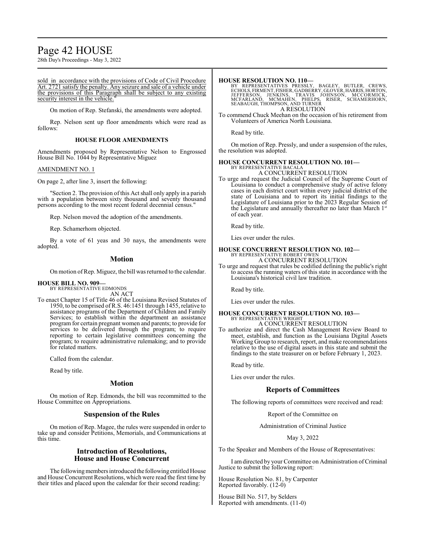# Page 42 HOUSE

28th Day's Proceedings - May 3, 2022

sold in accordance with the provisions of Code of Civil Procedure Art. 2721 satisfy the penalty. Any seizure and sale of a vehicle under the provisions of this Paragraph shall be subject to any existing security interest in the vehicle."

On motion of Rep. Stefanski, the amendments were adopted.

Rep. Nelson sent up floor amendments which were read as follows:

### **HOUSE FLOOR AMENDMENTS**

Amendments proposed by Representative Nelson to Engrossed House Bill No. 1044 by Representative Miguez

### AMENDMENT NO. 1

On page 2, after line 3, insert the following:

"Section 2. The provision of this Act shall only apply in a parish with a population between sixty thousand and seventy thousand persons according to the most recent federal decennial census."

Rep. Nelson moved the adoption of the amendments.

Rep. Schamerhorn objected.

By a vote of 61 yeas and 30 nays, the amendments were adopted.

### **Motion**

On motion ofRep. Miguez, the bill was returned to the calendar.

#### **HOUSE BILL NO. 909—** BY REPRESENTATIVE EDMONDS

AN ACT

To enact Chapter 15 of Title 46 of the Louisiana Revised Statutes of 1950, to be comprised ofR.S. 46:1451 through 1455, relative to assistance programs of the Department of Children and Family Services; to establish within the department an assistance program for certain pregnant women and parents; to provide for services to be delivered through the program; to require reporting to certain legislative committees concerning the program; to require administrative rulemaking; and to provide for related matters.

Called from the calendar.

Read by title.

# **Motion**

On motion of Rep. Edmonds, the bill was recommitted to the House Committee on Appropriations.

# **Suspension of the Rules**

On motion of Rep. Magee, the rules were suspended in order to take up and consider Petitions, Memorials, and Communications at this time.

# **Introduction of Resolutions, House and House Concurrent**

The following members introduced the following entitled House and House Concurrent Resolutions, which were read the first time by their titles and placed upon the calendar for their second reading:

**HOUSE RESOLUTION NO. 110—**<br>BY REPRESENTATIVES PRESSLY, BAGLEY, BUTLER, CREWS,<br>ECHOLS, FIRMENT, FISHER, GADBERRY, GLOVER, HARRIS, HORTON,<br>JEFFERSON, JENKINS, TRAVIS JOHNSON, MCCORMICK,<br>MCFARLAND, MCMAHEN, PHELPS, RISER, SC A RESOLUTION

To commend Chuck Meehan on the occasion of his retirement from Volunteers of America North Louisiana.

Read by title.

On motion of Rep. Pressly, and under a suspension of the rules, the resolution was adopted.

### **HOUSE CONCURRENT RESOLUTION NO. 101—**

BY REPRESENTATIVE BACALA A CONCURRENT RESOLUTION

To urge and request the Judicial Council of the Supreme Court of Louisiana to conduct a comprehensive study of active felony cases in each district court within every judicial district of the state of Louisiana and to report its initial findings to the Legislature of Louisiana prior to the 2023 Regular Session of the Legislature and annually thereafter no later than March 1st of each year.

Read by title.

Lies over under the rules.

# **HOUSE CONCURRENT RESOLUTION NO. 102—** BY REPRESENTATIVE ROBERT OWEN A CONCURRENT RESOLUTION

To urge and request that rules be codified defining the public's right to access the running waters of this state in accordance with the Louisiana's historical civil law tradition.

Read by title.

Lies over under the rules.

# **HOUSE CONCURRENT RESOLUTION NO. 103—** BY REPRESENTATIVE WRIGHT A CONCURRENT RESOLUTION

To authorize and direct the Cash Management Review Board to meet, establish, and function as the Louisiana Digital Assets Working Group to research, report, and make recommendations relative to the use of digital assets in this state and submit the findings to the state treasurer on or before February 1, 2023.

Read by title.

Lies over under the rules.

# **Reports of Committees**

The following reports of committees were received and read:

Report of the Committee on

Administration of Criminal Justice

May 3, 2022

To the Speaker and Members of the House of Representatives:

I amdirected by your Committee on Administration ofCriminal Justice to submit the following report:

House Resolution No. 81, by Carpenter Reported favorably. (12-0)

House Bill No. 517, by Selders Reported with amendments. (11-0)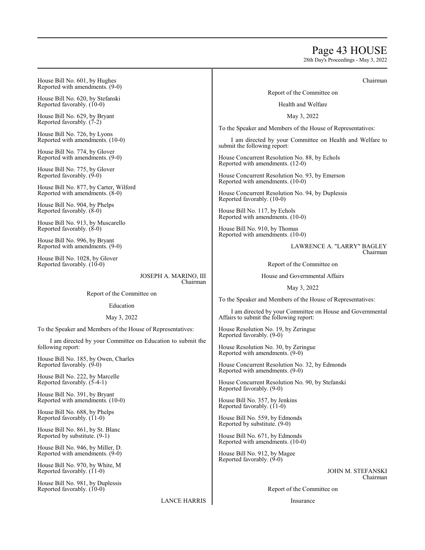# Page 43 HOUSE

28th Day's Proceedings - May 3, 2022

| House Bill No. 601, by Hughes<br>Reported with amendments. (9-0)          | Chairman                                                                                                                                                                  |  |
|---------------------------------------------------------------------------|---------------------------------------------------------------------------------------------------------------------------------------------------------------------------|--|
| House Bill No. 620, by Stefanski                                          | Report of the Committee on                                                                                                                                                |  |
| Reported favorably. (10-0)                                                | Health and Welfare                                                                                                                                                        |  |
| House Bill No. 629, by Bryant<br>Reported favorably. (7-2)                | May 3, 2022                                                                                                                                                               |  |
| House Bill No. 726, by Lyons<br>Reported with amendments. (10-0)          | To the Speaker and Members of the House of Representatives:<br>I am directed by your Committee on Health and Welfare to                                                   |  |
| House Bill No. 774, by Glover<br>Reported with amendments. (9-0)          | submit the following report:<br>House Concurrent Resolution No. 88, by Echols                                                                                             |  |
| House Bill No. 775, by Glover<br>Reported favorably. (9-0)                | Reported with amendments. (12-0)<br>House Concurrent Resolution No. 93, by Emerson                                                                                        |  |
| House Bill No. 877, by Carter, Wilford<br>Reported with amendments. (8-0) | Reported with amendments. (10-0)<br>House Concurrent Resolution No. 94, by Duplessis                                                                                      |  |
| House Bill No. 904, by Phelps<br>Reported favorably. $(8-0)$              | Reported favorably. (10-0)<br>House Bill No. 117, by Echols                                                                                                               |  |
| House Bill No. 913, by Muscarello<br>Reported favorably. (8-0)            | Reported with amendments. (10-0)<br>House Bill No. 910, by Thomas                                                                                                         |  |
| House Bill No. 996, by Bryant<br>Reported with amendments. (9-0)          | Reported with amendments. (10-0)<br>LAWRENCE A. "LARRY" BAGLEY                                                                                                            |  |
| House Bill No. 1028, by Glover<br>Reported favorably. $(10-0)$            | Chairman<br>Report of the Committee on                                                                                                                                    |  |
| JOSEPH A. MARINO, III                                                     | House and Governmental Affairs                                                                                                                                            |  |
| Chairman                                                                  | May 3, 2022                                                                                                                                                               |  |
| Report of the Committee on                                                | To the Speaker and Members of the House of Representatives:                                                                                                               |  |
| Education<br>May 3, 2022                                                  | I am directed by your Committee on House and Governmental<br>Affairs to submit the following report:<br>House Resolution No. 19, by Zeringue<br>Reported favorably. (9-0) |  |
| To the Speaker and Members of the House of Representatives:               |                                                                                                                                                                           |  |
| I am directed by your Committee on Education to submit the                |                                                                                                                                                                           |  |
| following report:                                                         | House Resolution No. 30, by Zeringue<br>Reported with amendments. (9-0)                                                                                                   |  |
| House Bill No. 185, by Owen, Charles<br>Reported favorably. (9-0)         | House Concurrent Resolution No. 32, by Edmonds<br>Reported with amendments. (9-0)                                                                                         |  |
| House Bill No. 222, by Marcelle<br>Reported favorably. $(5-4-1)$          | House Concurrent Resolution No. 90, by Stefanski<br>Reported favorably. (9-0)                                                                                             |  |
| House Bill No. 391, by Bryant<br>Reported with amendments. (10-0)         | House Bill No. 357, by Jenkins<br>Reported favorably. (11-0)                                                                                                              |  |
| House Bill No. 688, by Phelps<br>Reported favorably. (11-0)               | House Bill No. 559, by Edmonds<br>Reported by substitute. (9-0)                                                                                                           |  |
| House Bill No. 861, by St. Blanc<br>Reported by substitute. (9-1)         | House Bill No. 671, by Edmonds                                                                                                                                            |  |

House Bill No. 946, by Miller, D. Reported with amendments. (9-0)

House Bill No. 970, by White, M Reported favorably.  $(11-0)$ 

House Bill No. 981, by Duplessis Reported favorably. (10-0)

LANCE HARRIS

Report of the Committee on

JOHN M. STEFANSKI

Chairman

Insurance

Reported with amendments. (10-0) House Bill No. 912, by Magee Reported favorably. (9-0)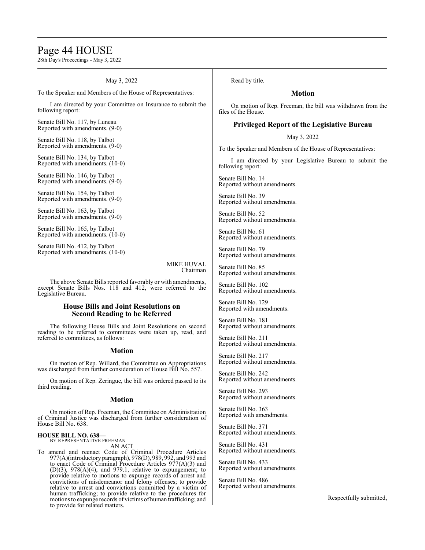# Page 44 HOUSE

28th Day's Proceedings - May 3, 2022

### May 3, 2022

To the Speaker and Members of the House of Representatives:

I am directed by your Committee on Insurance to submit the following report:

Senate Bill No. 117, by Luneau Reported with amendments. (9-0)

Senate Bill No. 118, by Talbot Reported with amendments. (9-0)

Senate Bill No. 134, by Talbot Reported with amendments. (10-0)

Senate Bill No. 146, by Talbot Reported with amendments. (9-0)

Senate Bill No. 154, by Talbot Reported with amendments. (9-0)

Senate Bill No. 163, by Talbot Reported with amendments. (9-0)

Senate Bill No. 165, by Talbot Reported with amendments. (10-0)

Senate Bill No. 412, by Talbot Reported with amendments. (10-0)

> MIKE HUVAL Chairman

The above Senate Bills reported favorably or with amendments, except Senate Bills Nos. 118 and 412, were referred to the Legislative Bureau.

# **House Bills and Joint Resolutions on Second Reading to be Referred**

The following House Bills and Joint Resolutions on second reading to be referred to committees were taken up, read, and referred to committees, as follows:

### **Motion**

On motion of Rep. Willard, the Committee on Appropriations was discharged from further consideration of House Bill No. 557.

On motion of Rep. Zeringue, the bill was ordered passed to its third reading.

### **Motion**

On motion of Rep. Freeman, the Committee on Administration of Criminal Justice was discharged from further consideration of House Bill No. 638.

# **HOUSE BILL NO. 638—** BY REPRESENTATIVE FREEMAN AN ACT

To amend and reenact Code of Criminal Procedure Articles 977(A)(introductory paragraph), 978(D), 989, 992, and 993 and to enact Code of Criminal Procedure Articles  $977(A)(3)$  and (D)(3), 978(A)(4), and 979.1, relative to expungement; to provide relative to motions to expunge records of arrest and convictions of misdemeanor and felony offenses; to provide relative to arrest and convictions committed by a victim of human trafficking; to provide relative to the procedures for motions to expunge records of victims of human trafficking; and to provide for related matters.

Read by title.

# **Motion**

On motion of Rep. Freeman, the bill was withdrawn from the files of the House.

# **Privileged Report of the Legislative Bureau**

May 3, 2022

To the Speaker and Members of the House of Representatives:

I am directed by your Legislative Bureau to submit the following report:

Senate Bill No. 14 Reported without amendments.

Senate Bill No. 39 Reported without amendments.

Senate Bill No. 52 Reported without amendments.

Senate Bill No. 61 Reported without amendments.

Senate Bill No. 79 Reported without amendments.

Senate Bill No. 85 Reported without amendments.

Senate Bill No. 102 Reported without amendments.

Senate Bill No. 129 Reported with amendments.

Senate Bill No. 181 Reported without amendments.

Senate Bill No. 211 Reported without amendments.

Senate Bill No. 217 Reported without amendments.

Senate Bill No. 242 Reported without amendments.

Senate Bill No. 293 Reported without amendments.

Senate Bill No. 363 Reported with amendments.

Senate Bill No. 371 Reported without amendments.

Senate Bill No. 431 Reported without amendments.

Senate Bill No. 433 Reported without amendments.

Senate Bill No. 486 Reported without amendments.

Respectfully submitted,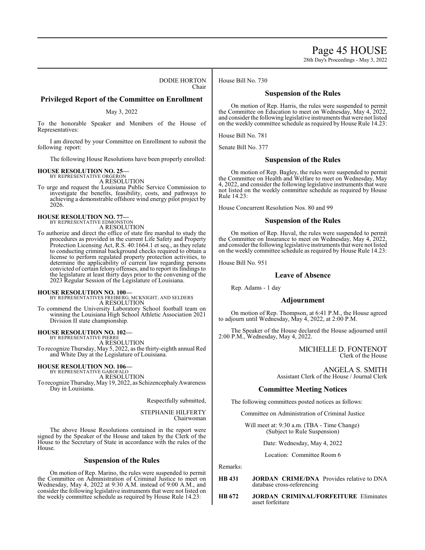Page 45 HOUSE

28th Day's Proceedings - May 3, 2022

DODIE HORTON Chair

# **Privileged Report of the Committee on Enrollment**

### May 3, 2022

To the honorable Speaker and Members of the House of Representatives:

I am directed by your Committee on Enrollment to submit the following report:

The following House Resolutions have been properly enrolled:

# **HOUSE RESOLUTION NO. 25—** BY REPRESENTATIVE ORGERON

A RESOLUTION

To urge and request the Louisiana Public Service Commission to investigate the benefits, feasibility, costs, and pathways to achieving a demonstrable offshore wind energy pilot project by 2026.

#### **HOUSE RESOLUTION NO. 77—** BY REPRESENTATIVE EDMONSTON

A RESOLUTION

To authorize and direct the office of state fire marshal to study the procedures as provided in the current Life Safety and Property Protection Licensing Act, R.S. 40:1664.1 et seq., as they relate to conducting criminal background checks required to obtain a license to perform regulated property protection activities, to determine the applicability of current law regarding persons convicted of certain felony offenses, and to report its findings to the legislature at least thirty days prior to the convening of the 2023 Regular Session of the Legislature of Louisiana.

# **HOUSE RESOLUTION NO. 100—**

BY REPRESENTATIVES FREIBERG, MCKNIGHT, AND SELDERS A RESOLUTION

To commend the University Laboratory School football team on winning the Louisiana High School Athletic Association 2021 Division II state championship.

# **HOUSE RESOLUTION NO. 102—** BY REPRESENTATIVE PIERRE

A RESOLUTION

To recognize Thursday, May 5, 2022, as the thirty-eighth annual Red and White Day at the Legislature of Louisiana.

#### **HOUSE RESOLUTION NO. 106—** BY REPRESENTATIVE GAROFALO

A RESOLUTION

To recognize Thursday, May 19, 2022, as SchizencephalyAwareness Day in Louisiana.

Respectfully submitted,

STEPHANIE HILFERTY Chairwoman

The above House Resolutions contained in the report were signed by the Speaker of the House and taken by the Clerk of the House to the Secretary of State in accordance with the rules of the House.

# **Suspension of the Rules**

On motion of Rep. Marino, the rules were suspended to permit the Committee on Administration of Criminal Justice to meet on Wednesday, May 4, 2022 at 9:30 A.M. instead of 9:00 A.M., and consider the following legislative instruments that were not listed on the weekly committee schedule as required by House Rule 14.23:

House Bill No. 730

# **Suspension of the Rules**

On motion of Rep. Harris, the rules were suspended to permit the Committee on Education to meet on Wednesday, May 4, 2022, and consider the following legislative instruments that were not listed on the weekly committee schedule as required by House Rule 14.23:

House Bill No. 781

Senate Bill No. 377

# **Suspension of the Rules**

On motion of Rep. Bagley, the rules were suspended to permit the Committee on Health and Welfare to meet on Wednesday, May 4, 2022, and consider the following legislative instruments that were not listed on the weekly committee schedule as required by House Rule 14.23:

House Concurrent Resolution Nos. 80 and 99

# **Suspension of the Rules**

On motion of Rep. Huval, the rules were suspended to permit the Committee on Insurance to meet on Wednesday, May 4, 2022, and consider the following legislative instruments that were not listed on the weekly committee schedule as required by House Rule 14.23:

House Bill No. 951

### **Leave of Absence**

Rep. Adams - 1 day

### **Adjournment**

On motion of Rep. Thompson, at 6:41 P.M., the House agreed to adjourn until Wednesday, May 4, 2022, at 2:00 P.M.

The Speaker of the House declared the House adjourned until 2:00 P.M., Wednesday, May 4, 2022.

> MICHELLE D. FONTENOT Clerk of the House

ANGELA S. SMITH Assistant Clerk of the House / Journal Clerk

# **Committee Meeting Notices**

The following committees posted notices as follows:

Committee on Administration of Criminal Justice

Will meet at: 9:30 a.m. (TBA - Time Change) (Subject to Rule Suspension)

Date: Wednesday, May 4, 2022

Location: Committee Room 6

- **HB 431 JORDAN CRIME/DNA** Provides relative to DNA database cross-referencing
- **HB 672 JORDAN CRIMINAL/FORFEITURE** Eliminates asset forfeiture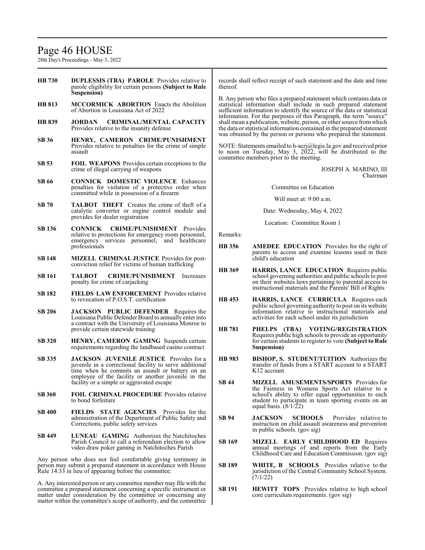# Page 46 HOUSE

28th Day's Proceedings - May 3, 2022

- **HB 730 DUPLESSIS (TBA) PAROLE** Provides relative to parole eligibility for certain persons **(Subject to Rule Suspension)**
- **HB 813 MCCORMICK ABORTION** Enacts the Abolition of Abortion in Louisiana Act of 2022
- **HB 839 JORDAN CRIMINAL/MENTAL CAPACITY**  Provides relative to the insanity defense
- **SB 36 HENRY, CAMERON CRIME/PUNISHMENT**  Provides relative to penalties for the crime of simple assault
- **SB 53 FOIL WEAPONS** Provides certain exceptions to the crime of illegal carrying of weapons
- **SB 66 CONNICK DOMESTIC VIOLENCE** Enhances penalties for violation of a protective order when committed while in possession of a firearm
- **SB 70 TALBOT THEFT** Creates the crime of theft of a catalytic converter or engine control module and provides for dealer registration
- **SB 136 CONNICK CRIME/PUNISHMENT** Provides relative to protections for emergency room personnel, emergency services personnel, and healthcare professionals
- **SB 148 MIZELL CRIMINAL JUSTICE** Provides for postconviction relief for victims of human trafficking
- **SB 161 TALBOT CRIME/PUNISHMENT** Increases penalty for crime of carjacking
- **SB 182 FIELDS LAW ENFORCEMENT** Provides relative to revocation of P.O.S.T. certification
- **SB 206 JACKSON PUBLIC DEFENDER** Requires the Louisiana Public Defender Board to annually enter into a contract with the University of Louisiana Monroe to provide certain statewide training
- **SB 320 HENRY, CAMERON GAMING** Suspends certain requirements regarding the landbased casino contract
- **SB 335 JACKSON JUVENILE JUSTICE** Provides for a juvenile in a correctional facility to serve additional time when he commits an assault or battery on an employee of the facility or another juvenile in the facility or a simple or aggravated escape
- **SB 360 FOIL CRIMINAL PROCEDURE** Provides relative to bond forfeiture
- **SB 400 FIELDS STATE AGENCIES** Provides for the administration of the Department of Public Safety and Corrections, public safety services
- **SB 449 LUNEAU GAMING** Authorizes the Natchitoches Parish Council to call a referendum election to allow video draw poker gaming in Natchitoches Parish

Any person who does not feel comfortable giving testimony in person may submit a prepared statement in accordance with House Rule 14.33 in lieu of appearing before the committee:

A. Any interested person or any committee member may file with the committee a prepared statement concerning a specific instrument or matter under consideration by the committee or concerning any matter within the committee's scope of authority, and the committee records shall reflect receipt of such statement and the date and time thereof.

B. Any person who files a prepared statement which contains data or statistical information shall include in such prepared statement sufficient information to identify the source of the data or statistical information. For the purposes of this Paragraph, the term "source" shall mean a publication, website, person, or other source fromwhich the data or statistical information contained in the prepared statement was obtained by the person or persons who prepared the statement.

NOTE: Statements emailed to h-acrj@legis.la.gov and received prior to noon on Tuesday, May 3,  $2022$ , will be distributed to the committee members prior to the meeting.

> JOSEPH A. MARINO, III Chairman

Committee on Education

Will meet at: 9:00 a.m.

Date: Wednesday, May 4, 2022

Location: Committee Room 1

- **HB 356 AMEDEE EDUCATION** Provides for the right of parents to access and examine lessons used in their child's education
- **HB 369 HARRIS, LANCE EDUCATION** Requires public school governing authorities and public schools to post on their websites laws pertaining to parental access to instructional materials and the Parents' Bill of Rights
- **HB 453 HARRIS, LANCE CURRICULA** Requires each public school governing authority to post on its website information relative to instructional materials and activities for each school under its jurisdiction
- **HB 781 PHELPS (TBA) VOTING/REGISTRATION**  Requires public high schools to provide an opportunity for certain students to register to vote **(Subject to Rule Suspension)**
- **HB 983 BISHOP, S. STUDENT/TUITION** Authorizes the transfer of funds from a START account to a START K12 account
- **SB 44 MIZELL AMUSEMENTS/SPORTS** Provides for the Fairness in Womens Sports Act relative to a school's ability to offer equal opportunities to each student to participate in team sporting events on an equal basis.  $(8/1/22)$
- **SB 94 JACKSON SCHOOLS** Provides relative to instruction on child assault awareness and prevention in public schools. (gov sig)
- **SB 169 MIZELL EARLY CHILDHOOD ED** Requires annual meetings of and reports from the Early Childhood Care and Education Commission. (gov sig)
- **SB 189 WHITE, B SCHOOLS** Provides relative to the jurisdiction of the Central Community School System. (7/1/22)
- **SB 191 HEWITT TOPS** Provides relative to high school core curriculum requirements. (gov sig)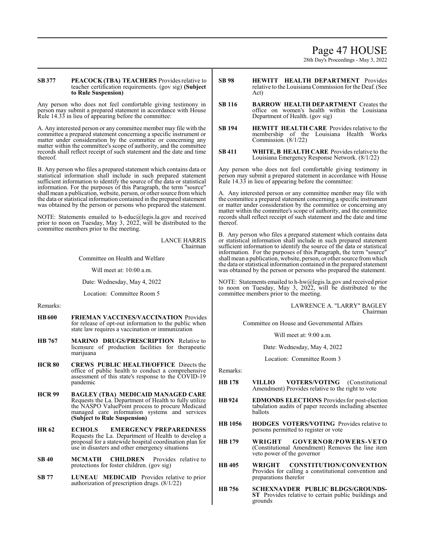# Page 47 HOUSE

28th Day's Proceedings - May 3, 2022

### **SB 377 PEACOCK (TBA) TEACHERS** Provides relative to teacher certification requirements. (gov sig) **(Subject to Rule Suspension)**

Any person who does not feel comfortable giving testimony in person may submit a prepared statement in accordance with House Rule 14.33 in lieu of appearing before the committee:

A. Any interested person or any committee member may file with the committee a prepared statement concerning a specific instrument or matter under consideration by the committee or concerning any matter within the committee's scope of authority, and the committee records shall reflect receipt of such statement and the date and time thereof.

B. Any person who files a prepared statement which contains data or statistical information shall include in such prepared statement sufficient information to identify the source of the data or statistical information. For the purposes of this Paragraph, the term "source" shall mean a publication, website, person, or other source fromwhich the data or statistical information contained in the prepared statement was obtained by the person or persons who prepared the statement.

NOTE: Statements emailed to h-educ@legis.la.gov and received prior to noon on Tuesday, May 3, 2022, will be distributed to the committee members prior to the meeting.

> LANCE HARRIS Chairman

Committee on Health and Welfare

Will meet at: 10:00 a.m.

Date: Wednesday, May 4, 2022

Location: Committee Room 5

Remarks:

- **HB600 FRIEMAN VACCINES/VACCINATION** Provides for release of opt-out information to the public when state law requires a vaccination or immunization
- **HB 767 MARINO DRUGS/PRESCRIPTION** Relative to licensure of production facilities for therapeutic marijuana
- **HCR 80 CREWS PUBLIC HEALTH/OFFICE** Directs the office of public health to conduct a comprehensive assessment of this state's response to the COVID-19 pandemic
- **HCR 99 BAGLEY (TBA) MEDICAID MANAGED CARE**  Requests the La. Department of Health to fully utilize the NASPO ValuePoint process to procure Medicaid managed care information systems and services **(Subject to Rule Suspension)**
- **HR 62 ECHOLS EMERGENCY PREPAREDNESS**  Requests the La. Department of Health to develop a proposal for a statewide hospital coordination plan for use in disasters and other emergency situations
- **SB 40 MCMATH CHILDREN** Provides relative to protections for foster children. (gov sig)
- **SB 77 LUNEAU MEDICAID** Provides relative to prior authorization of prescription drugs. (8/1/22)
- **SB 98 HEWITT HEALTH DEPARTMENT** Provides relative to the LouisianaCommission for the Deaf. (See Act)
- **SB 116 BARROW HEALTH DEPARTMENT** Creates the office on women's health within the Louisiana Department of Health. (gov sig)
- **SB 194 HEWITT HEALTH CARE** Provides relative to the membership of the Louisiana Health Works Commission. (8/1/22)
- **SB 411 WHITE, B HEALTH CARE** Provides relative to the Louisiana Emergency Response Network. (8/1/22)

Any person who does not feel comfortable giving testimony in person may submit a prepared statement in accordance with House Rule 14.33 in lieu of appearing before the committee:

A. Any interested person or any committee member may file with the committee a prepared statement concerning a specific instrument or matter under consideration by the committee or concerning any matter within the committee's scope of authority, and the committee records shall reflect receipt of such statement and the date and time thereof.

B. Any person who files a prepared statement which contains data or statistical information shall include in such prepared statement sufficient information to identify the source of the data or statistical information. For the purposes of this Paragraph, the term "source" shall mean a publication, website, person, or other source fromwhich the data or statistical information contained in the prepared statement was obtained by the person or persons who prepared the statement.

NOTE: Statements emailed to h-hw@legis.la.gov and received prior to noon on Tuesday, May 3,  $20\overline{2}2$ , will be distributed to the committee members prior to the meeting.

> LAWRENCE A. "LARRY" BAGLEY Chairman

Committee on House and Governmental Affairs

Will meet at: 9:00 a.m.

Date: Wednesday, May 4, 2022

Location: Committee Room 3

- **HB 178 VILLIO VOTERS/VOTING** (Constitutional Amendment) Provides relative to the right to vote
- **HB924 EDMONDS ELECTIONS** Provides for post-election tabulation audits of paper records including absentee ballots
- **HB 1056 HODGES VOTERS/VOTING** Provides relative to persons permitted to register or vote
- **HB 179 WRIGHT GOVERNOR/POWERS-VETO**  (Constitutional Amendment) Removes the line item veto power of the governor
- **HB 405 WRIGHT CONSTITUTION/CONVENTION**  Provides for calling a constitutional convention and preparations therefor
- **HB 756 SCHEXNAYDER PUBLIC BLDGS/GROUNDS-ST** Provides relative to certain public buildings and grounds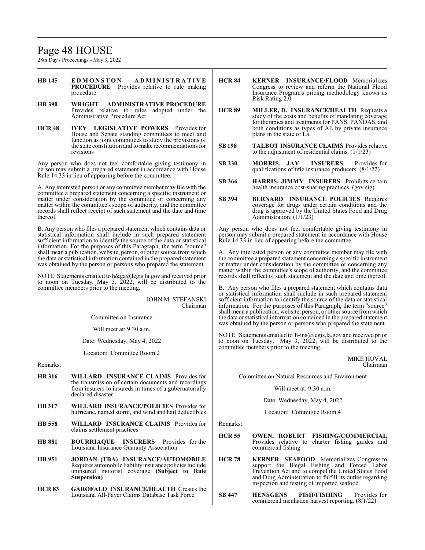# Page 48 HOUSE

28th Day's Proceedings - May 3, 2022

- **HB 145 E D M O N S T O N A D M I N I S T R A T I V E PROCEDURE** Provides relative to rule making procedure
- **HB 390 WRIGHT ADMINISTRATIVE PROCEDURE**  Provides relative to rules adopted under the Administrative Procedure Act
- **HCR 48 IVEY LEGISLATIVE POWERS** Provides for House and Senate standing committees to meet and function as joint committees to study the provisions of the state constitution and to make recommendations for revisions

Any person who does not feel comfortable giving testimony in person may submit a prepared statement in accordance with House Rule 14.33 in lieu of appearing before the committee:

A. Any interested person or any committee member may file with the committee a prepared statement concerning a specific instrument or matter under consideration by the committee or concerning any matter within the committee's scope of authority, and the committee records shall reflect receipt of such statement and the date and time thereof.

B. Any person who files a prepared statement which contains data or statistical information shall include in such prepared statement sufficient information to identify the source of the data or statistical information. For the purposes of this Paragraph, the term "source" shall mean a publication, website, person, or other source fromwhich the data or statistical information contained in the prepared statement was obtained by the person or persons who prepared the statement.

NOTE: Statements emailed to h&ga@legis.la.gov and received prior to noon on Tuesday, May 3, 2022, will be distributed to the committee members prior to the meeting.

> JOHN M. STEFANSKI Chairman

Committee on Insurance

Will meet at: 9:30 a.m.

Date: Wednesday, May 4, 2022

Location: Committee Room 2

Remarks:

- **HB 316 WILLARD INSURANCE CLAIMS** Provides for the transmission of certain documents and recordings from insurers to insureds in times of a gubernatorially declared disaster
- **HB 317 WILLARD INSURANCE/POLICIES** Provides for hurricane, named storm, and wind and hail deductibles
- **HB 558 WILLARD INSURANCE CLAIMS** Provides for claims settlement practices
- **HB 881 BOURRIAQUE INSURERS** Provides for the Louisiana Insurance Guaranty Association
- **HB 951 JORDAN (TBA) INSURANCE/AUTOMOBILE**  Requires automobile liability insurance policies include uninsured motorist coverage **(Subject to Rule Suspension)**
- **HCR 83 GAROFALO INSURANCE/HEALTH** Creates the Louisiana All-Payer Claims Database Task Force
- **HCR 84 KERNER INSURANCE/FLOOD** Memorializes Congress to review and reform the National Flood Insurance Program's pricing methodology known as Risk Rating 2.0
- **HCR 89 MILLER, D. INSURANCE/HEALTH** Requests a study of the costs and benefits of mandating coverage for therapies and treatments for PANS, PANDAS, and both conditions as types of AE by private insurance plans in the state of La.
- **SB 198 TALBOT INSURANCE CLAIMS** Provides relative to the adjustment of residential claims. (1/1/23)
- **SB 230 MORRIS, JAY INSURERS** Provides for qualifications of title insurance producers. (8/1/22)
- **SB 366 HARRIS, JIMMY INSURERS** Prohibits certain health insurance cost-sharing practices. (gov sig)
- **SB 394 BERNARD INSURANCE POLICIES** Requires coverage for drugs under certain conditions and the drug is approved by the United States Food and Drug Administration. (1/1/23)

Any person who does not feel comfortable giving testimony in person may submit a prepared statement in accordance with House Rule 14.33 in lieu of appearing before the committee:

A. Any interested person or any committee member may file with the committee a prepared statement concerning a specific instrument or matter under consideration by the committee or concerning any matter within the committee's scope of authority, and the committee records shall reflect of such statement and the date and time thereof.

B. Any person who files a prepared statement which contains data or statistical information shall include in such prepared statement sufficient information to identify the source of the data or statistical information. For the purposes of this Paragraph, the term "source" shall mean a publication, website, person, or other source fromwhich the data or statistical information contained in the prepared statement was obtained by the person or persons who prepared the statement.

NOTE: Statements emailed to h-ins@legis.la.gov and received prior to noon on Tuesday, May 3, 2022, will be distributed to the committee members prior to the meeting.

> MIKE HUVAL Chairman

Committee on Natural Resources and Environment

Will meet at: 9:30 a.m.

Date: Wednesday, May 4, 2022

Location: Committee Room 4

- **HCR 55 OWEN, ROBERT FISHING/COMMERCIAL**  Provides relative to charter fishing guides and commercial fishing
- **HCR 78 KERNER SEAFOOD** Memorializes Congress to support the Illegal Fishing and Forced Labor Prevention Act and to compel the United States Food and Drug Administration to fulfill its duties regarding inspection and testing of imported seafood
- **SB 447 HENSGENS FISH/FISHING** Provides for commercial menhaden harvest reporting. (8/1/22)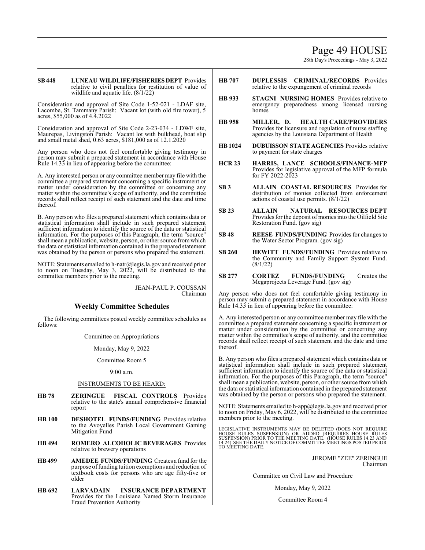# Page 49 HOUSE

28th Day's Proceedings - May 3, 2022

### **SB448 LUNEAU WILDLIFE/FISHERIESDEPT** Provides relative to civil penalties for restitution of value of wildlife and aquatic life. (8/1/22)

Consideration and approval of Site Code 1-52-021 - LDAF site, Lacombe, St. Tammany Parish: Vacant lot (with old fire tower), 5 acres, \$55,000 as of 4.4.2022

Consideration and approval of Site Code 2-23-034 - LDWF site, Maurepas, Livingston Parish: Vacant lot with bulkhead, boat slip and small metal shed, 0.63 acres, \$181,000 as of 12.1.2020

Any person who does not feel comfortable giving testimony in person may submit a prepared statement in accordance with House Rule 14.33 in lieu of appearing before the committee:

A. Any interested person or any committee member may file with the committee a prepared statement concerning a specific instrument or matter under consideration by the committee or concerning any matter within the committee's scope of authority, and the committee records shall reflect receipt of such statement and the date and time thereof.

B. Any person who files a prepared statement which contains data or statistical information shall include in such prepared statement sufficient information to identify the source of the data or statistical information. For the purposes of this Paragraph, the term "source" shall mean a publication, website, person, or other source from which the data or statistical information contained in the prepared statement was obtained by the person or persons who prepared the statement.

NOTE: Statements emailed to h-natr@legis.la.gov and received prior to noon on Tuesday, May 3, 2022, will be distributed to the committee members prior to the meeting.

> JEAN-PAUL P. COUSSAN Chairman

# **Weekly Committee Schedules**

The following committees posted weekly committee schedules as follows:

Committee on Appropriations

Monday, May 9, 2022

Committee Room 5

9:00 a.m.

# INSTRUMENTS TO BE HEARD:

- **HB 78 ZERINGUE FISCAL CONTROLS** Provides relative to the state's annual comprehensive financial report
- **HB 100 DESHOTEL FUNDS/FUNDING** Provides relative to the Avoyelles Parish Local Government Gaming Mitigation Fund
- **HB 494 ROMERO ALCOHOLIC BEVERAGES** Provides relative to brewery operations
- **HB 499 AMEDEE FUNDS/FUNDING** Creates a fund for the purpose of funding tuition exemptions and reduction of textbook costs for persons who are age fifty-five or older
- **HB 692 LARVADAIN INSURANCE DEPARTMENT** Provides for the Louisiana Named Storm Insurance Fraud Prevention Authority
- **HB 707 DUPLESSIS CRIMINAL/RECORDS** Provides relative to the expungement of criminal records
- **HB 933 STAGNI NURSING HOMES** Provides relative to emergency preparedness among licensed nursing homes
- **HB 958 MILLER, D. HEALTH CARE/PROVIDERS** Provides for licensure and regulation of nurse staffing agencies by the Louisiana Department of Health
- **HB1024 DUBUISSON STATE AGENCIES** Provides relative to payment for state charges
- **HCR 23 HARRIS, LANCE SCHOOLS/FINANCE-MFP** Provides for legislative approval of the MFP formula for FY 2022-2023
- **SB 3 ALLAIN COASTAL RESOURCES** Provides for distribution of monies collected from enforcement actions of coastal use permits. (8/1/22)
- **SB 23 ALLAIN NATURAL RESOURCES DEPT** Provides for the deposit of monies into the Oilfield Site Restoration Fund. (gov sig)
- **SB 48 REESE FUNDS/FUNDING** Provides for changes to the Water Sector Program. (gov sig)
- **SB 260 HEWITT FUNDS/FUNDING** Provides relative to the Community and Family Support System Fund. (8/1/22)
- **SB 277 CORTEZ FUNDS/FUNDING** Creates the Megaprojects Leverage Fund. (gov sig)

Any person who does not feel comfortable giving testimony in person may submit a prepared statement in accordance with House Rule 14.33 in lieu of appearing before the committee:

A. Any interested person or any committee member may file with the committee a prepared statement concerning a specific instrument or matter under consideration by the committee or concerning any matter within the committee's scope of authority, and the committee records shall reflect receipt of such statement and the date and time thereof.

B. Any person who files a prepared statement which contains data or statistical information shall include in such prepared statement sufficient information to identify the source of the data or statistical information. For the purposes of this Paragraph, the term "source" shall mean a publication, website, person, or other source fromwhich the data or statistical information contained in the prepared statement was obtained by the person or persons who prepared the statement.

NOTE: Statements emailed to h-app@legis.la.gov and received prior to noon on Friday, May 6, 2022, will be distributed to the committee members prior to the meeting.

LEGISLATIVE INSTRUMENTS MAY BE DELETED (DOES NOT REQUIRE HOUSE RULES SUSPENSION) OR ADDED (REQUIRES HOUSE RULES<br>SUSPENSION)PRIOR TO THE MEETING DATE. (HOUSE RULES 14.22 AND<br>14.24) SEE THE DAILY NOTICE OFCOMMITTEE MEETINGS POSTED PRIOR TO MEETING DATE.

> JEROME "ZEE" ZERINGUE Chairman

Committee on Civil Law and Procedure

Monday, May 9, 2022

Committee Room 4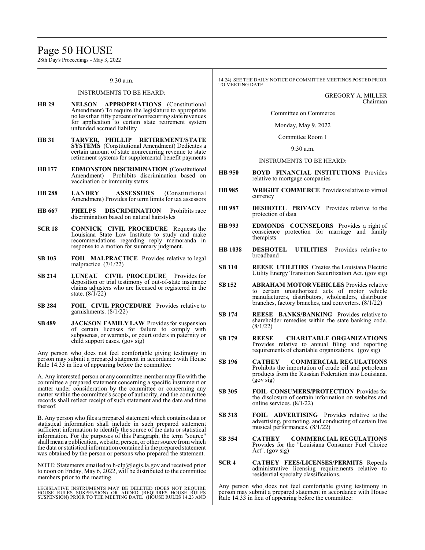# Page 50 HOUSE

28th Day's Proceedings - May 3, 2022

### 9:30 a.m.

### INSTRUMENTS TO BE HEARD:

- **HB 29 NELSON APPROPRIATIONS** (Constitutional Amendment) To require the legislature to appropriate no less than fifty percent of nonrecurring state revenues for application to certain state retirement system unfunded accrued liability
- **HB 31 TARVER, PHILLIP RETIREMENT/STATE SYSTEMS** (Constitutional Amendment) Dedicates a certain amount of state nonrecurring revenue to state retirement systems for supplemental benefit payments
- **HB177 EDMONSTON DISCRIMINATION** (Constitutional Prohibits discrimination based on vaccination or immunity status
- **HB 288 LANDRY ASSESSORS** (Constitutional Amendment) Provides for term limits for tax assessors
- **HB 667 PHELPS DISCRIMINATION** Prohibits race discrimination based on natural hairstyles
- **SCR 18 CONNICK CIVIL PROCEDURE** Requests the Louisiana State Law Institute to study and make recommendations regarding reply memoranda in response to a motion for summary judgment.
- **SB 103 FOIL MALPRACTICE** Provides relative to legal malpractice. (7/1/22)
- **SB 214 LUNEAU CIVIL PROCEDURE** Provides for deposition or trial testimony of out-of-state insurance claims adjusters who are licensed or registered in the state. (8/1/22)
- **SB 284 FOIL CIVIL PROCEDURE** Provides relative to garnishments. (8/1/22)
- **SB 489 JACKSON FAMILY LAW** Provides for suspension of certain licenses for failure to comply with subpoenas, or warrants, or court orders in paternity or child support cases. (gov sig)

Any person who does not feel comfortable giving testimony in person may submit a prepared statement in accordance with House Rule 14.33 in lieu of appearing before the committee:

A. Any interested person or any committee member may file with the committee a prepared statement concerning a specific instrument or matter under consideration by the committee or concerning any matter within the committee's scope of authority, and the committee records shall reflect receipt of such statement and the date and time thereof.

B. Any person who files a prepared statement which contains data or statistical information shall include in such prepared statement sufficient information to identify the source of the data or statistical information. For the purposes of this Paragraph, the term "source" shall mean a publication, website, person, or other source fromwhich the data or statistical information contained in the prepared statement was obtained by the person or persons who prepared the statement.

NOTE: Statements emailed to h-clp@legis.la.gov and received prior to noon on Friday, May 6, 2022, will be distributed to the committee members prior to the meeting.

LEGISLATIVE INSTRUMENTS MAY BE DELETED (DOES NOT REQUIRE<br>HOUSE RULES SUSPENSION) OR ADDED (REQUIRES HOUSE RULES<br>SUSPENSION) PRIOR TO THE MEETING DATE. (HOUSE RULES 14.23 AND

14.24) SEE THE DAILY NOTICE OF COMMITTEE MEETINGS POSTED PRIOR<br>TO MEETING DATE.

GREGORY A. MILLER Chairman

Committee on Commerce

Monday, May 9, 2022

Committee Room 1

9:30 a.m.

### INSTRUMENTS TO BE HEARD:

- **HB 950 BOYD FINANCIAL INSTITUTIONS** Provides relative to mortgage companies
- **HB 985 WRIGHT COMMERCE** Provides relative to virtual currency
- **HB 987 DESHOTEL PRIVACY** Provides relative to the protection of data
- **HB 993 EDMONDS COUNSELORS** Provides a right of conscience protection for marriage and family therapists
- **HB 1038 DESHOTEL UTILITIES** Provides relative to broadband
- **SB 110 REESE UTILITIES** Creates the Louisiana Electric Utility Energy Transition Securitization Act. (gov sig)
- **SB152 ABRAHAM MOTOR VEHICLES** Provides relative to certain unauthorized acts of motor vehicle manufacturers, distributors, wholesalers, distributor branches, factory branches, and converters. (8/1/22)
- **SB 174 REESE BANKS/BANKING** Provides relative to shareholder remedies within the state banking code. (8/1/22)
- **SB 179 REESE CHARITABLE ORGANIZATIONS** Provides relative to annual filing and reporting requirements of charitable organizations. (gov sig)
- **SB 196 CATHEY COMMERCIAL REGULATIONS** Prohibits the importation of crude oil and petroleum products from the Russian Federation into Louisiana. (gov sig)
- **SB 305 FOIL CONSUMERS/PROTECTION** Provides for the disclosure of certain information on websites and online services. (8/1/22)
- **SB 318 FOIL ADVERTISING** Provides relative to the advertising, promoting, and conducting of certain live musical performances. (8/1/22)
- **SB 354 CATHEY COMMERCIAL REGULATIONS** Provides for the "Louisiana Consumer Fuel Choice Act". (gov sig)
- **SCR 4 CATHEY FEES/LICENSES/PERMITS** Repeals administrative licensing requirements relative to residential specialty classifications.

Any person who does not feel comfortable giving testimony in person may submit a prepared statement in accordance with House Rule 14.33 in lieu of appearing before the committee: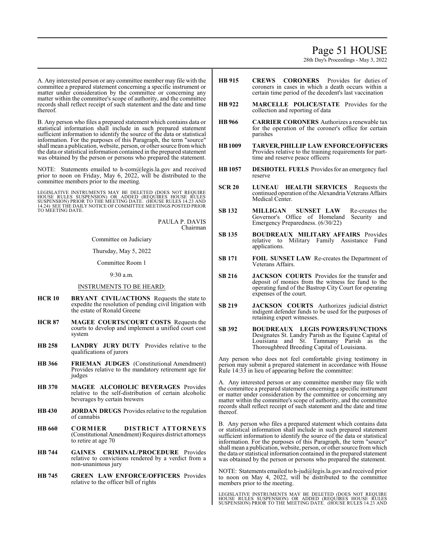# Page 51 HOUSE

28th Day's Proceedings - May 3, 2022

A. Any interested person or any committee member may file with the committee a prepared statement concerning a specific instrument or matter under consideration by the committee or concerning any matter within the committee's scope of authority, and the committee records shall reflect receipt of such statement and the date and time thereof.

B. Any person who files a prepared statement which contains data or statistical information shall include in such prepared statement sufficient information to identify the source of the data or statistical information. For the purposes of this Paragraph, the term "source" shall mean a publication, website, person, or other source fromwhich the data or statistical information contained in the prepared statement was obtained by the person or persons who prepared the statement.

NOTE: Statements emailed to h-com@legis.la.gov and received prior to noon on Friday, May 6, 2022, will be distributed to the committee members prior to the meeting.

LEGISLATIVE INSTRUMENTS MAY BE DELETED (DOES NOT REQUIRE<br>HOUSE RULES SUSPENSION) OR ADDED (REQUIRES HOUSE RULES<br>SUSPENSION) PRIOR TO THE MEETING DATE. (HOUSE RULES 14.23 AND<br>14.24) SEETHE DAILY NOTICE OF COMMITTEE MEETINGS

PAULA P. DAVIS Chairman

Committee on Judiciary

Thursday, May 5, 2022

Committee Room 1

9:30 a.m.

# INSTRUMENTS TO BE HEARD:

- **HCR 10 BRYANT CIVIL/ACTIONS** Requests the state to expedite the resolution of pending civil litigation with the estate of Ronald Greene
- **HCR 87 MAGEE COURTS/COURT COSTS** Requests the courts to develop and implement a unified court cost system
- **HB 258 LANDRY JURY DUTY** Provides relative to the qualifications of jurors
- **HB 366 FRIEMAN JUDGES** (Constitutional Amendment) Provides relative to the mandatory retirement age for judges
- **HB 370 MAGEE ALCOHOLIC BEVERAGES** Provides relative to the self-distribution of certain alcoholic beverages by certain brewers
- **HB 430 JORDAN DRUGS** Provides relative to the regulation of cannabis
- **HB 660 CORMIER DISTRICT ATTORNEYS** (Constitutional Amendment) Requires district attorneys to retire at age 70
- **HB 744 GAINES CRIMINAL/PROCEDURE** Provides relative to convictions rendered by a verdict from a non-unanimous jury
- **HB 745 GREEN LAW ENFORCE/OFFICERS** Provides relative to the officer bill of rights
- **HB 915 CREWS CORONERS** Provides for duties of coroners in cases in which a death occurs within a certain time period of the decedent's last vaccination
- **HB 922 MARCELLE POLICE/STATE** Provides for the collection and reporting of data
- **HB 966 CARRIER CORONERS** Authorizes a renewable tax for the operation of the coroner's office for certain parishes
- **HB1009 TARVER,PHILLIP LAW ENFORCE/OFFICERS** Provides relative to the training requirements for parttime and reserve peace officers
- **HB 1057 DESHOTEL FUELS** Provides for an emergency fuel reserve
- **SCR 20 LUNEAU HEALTH SERVICES** Requests the continued operation ofthe Alexandria Veterans Affairs Medical Center.
- **SB 132 MILLIGAN SUNSET LAW** Re-creates the Governor's Office of Homeland Security and Emergency Preparedness. (6/30/22)
- **SB 135 BOUDREAUX MILITARY AFFAIRS** Provides relative to Military Family Assistance Fund applications.
- **SB 171 FOIL SUNSET LAW** Re-creates the Department of Veterans Affairs.
- **SB 216 JACKSON COURTS** Provides for the transfer and deposit of monies from the witness fee fund to the operating fund of the Bastrop City Court for operating expenses of the court.
- **SB 219 JACKSON COURTS** Authorizes judicial district indigent defender funds to be used for the purposes of retaining expert witnesses.
- **SB 392 BOUDREAUX LEGIS POWERS/FUNCTIONS** Designates St. Landry Parish as the Equine Capital of Louisiana and St. Tammany Parish as the Thoroughbred Breeding Capital of Louisiana.

Any person who does not feel comfortable giving testimony in person may submit a prepared statement in accordance with House Rule 14:33 in lieu of appearing before the committee:

A. Any interested person or any committee member may file with the committee a prepared statement concerning a specific instrument or matter under consideration by the committee or concerning any matter within the committee's scope of authority, and the committee records shall reflect receipt of such statement and the date and time thereof.

B. Any person who files a prepared statement which contains data or statistical information shall include in such prepared statement sufficient information to identify the source of the data or statistical information. For the purposes of this Paragraph, the term "source" shall mean a publication, website, person, or other source fromwhich the data or statistical information contained in the prepared statement was obtained by the person or persons who prepared the statement.

NOTE: Statements emailed to h-jud@legis.la.gov and received prior to noon on May 4, 2022, will be distributed to the committee members prior to the meeting.

LEGISLATIVE INSTRUMENTS MAY BE DELETED (DOES NOT REQUIRE<br>HOUSE RULES SUSPENSION) OR ADDED (REQUIRES HOUSE RULES<br>SUSPENSION) PRIOR TO THE MEETING DATE. (HOUSE RULES 14.23 AND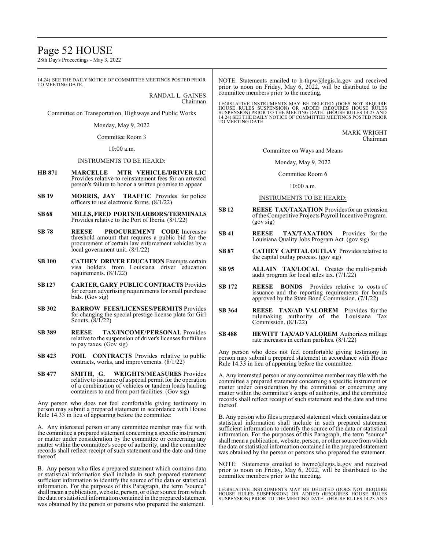# Page 52 HOUSE

28th Day's Proceedings - May 3, 2022

14.24) SEE THE DAILY NOTICE OF COMMITTEE MEETINGS POSTED PRIOR TO MEETING DATE.

RANDAL L. GAINES Chairman

Committee on Transportation, Highways and Public Works

Monday, May 9, 2022

Committee Room 3

10:00 a.m.

### INSTRUMENTS TO BE HEARD:

- **HB 871 MARCELLE MTR VEHICLE/DRIVER LIC** Provides relative to reinstatement fees for an arrested person's failure to honor a written promise to appear
- **SB 19 MORRIS, JAY TRAFFIC** Provides for police officers to use electronic forms.  $(8/1/22)$
- **SB 68 MILLS, FRED PORTS/HARBORS/TERMINALS** Provides relative to the Port of Iberia. (8/1/22)
- **SB 78 REESE PROCUREMENT CODE** Increases threshold amount that requires a public bid for the procurement of certain law enforcement vehicles by a local government unit. (8/1/22)
- **SB 100 CATHEY DRIVER EDUCATION** Exempts certain visa holders from Louisiana driver education requirements. (8/1/22)
- **SB127 CARTER, GARY PUBLIC CONTRACTS** Provides for certain advertising requirements for small purchase bids. (Gov sig)
- **SB 302 BARROW FEES/LICENSES/PERMITS** Provides for changing the special prestige license plate for Girl Scouts. (8/1/22)
- **SB 389 REESE TAX/INCOME/PERSONAL** Provides relative to the suspension of driver's licenses for failure to pay taxes. (Gov sig)
- **SB 423 FOIL CONTRACTS** Provides relative to public contracts, works, and improvements. (8/1/22)
- **SB 477 SMITH, G. WEIGHTS/MEASURES** Provides relative to issuance of a special permit for the operation of a combination of vehicles or tandem loads hauling containers to and from port facilities. (Gov sig)

Any person who does not feel comfortable giving testimony in person may submit a prepared statement in accordance with House Rule 14.33 in lieu of appearing before the committee:

A. Any interested person or any committee member may file with the committee a prepared statement concerning a specific instrument or matter under consideration by the committee or concerning any matter within the committee's scope of authority, and the committee records shall reflect receipt of such statement and the date and time thereof.

B. Any person who files a prepared statement which contains data or statistical information shall include in such prepared statement sufficient information to identify the source of the data or statistical information. For the purposes of this Paragraph, the term "source" shall mean a publication, website, person, or other source fromwhich the data or statistical information contained in the prepared statement was obtained by the person or persons who prepared the statement.

NOTE: Statements emailed to h-thpw@legis.la.gov and received prior to noon on Friday, May 6, 2022, will be distributed to the committee members prior to the meeting.

LEGISLATIVE INSTRUMENTS MAY BE DELETED (DOES NOT REQUIRE<br>HOUSE RULES SUSPENSION) OR ADDED (REQUIRES HOUSE RULES<br>SUSPENSION) PRIOR TO THE MEETING DATE. (HOUSE RULES 14.23 AND<br>14.24) SEE THE DAILY NOTICE OF COMMITTEE MEETING TO MEETING DATE.

> MARK WRIGHT Chairman

Committee on Ways and Means

Monday, May 9, 2022

Committee Room 6

10:00 a.m.

### INSTRUMENTS TO BE HEARD:

- **SB 12 REESE TAX/TAXATION** Provides for an extension ofthe Competitive Projects Payroll Incentive Program. (gov sig)
- **SB 41 REESE TAX/TAXATION** Provides for the Louisiana Quality Jobs Program Act. (gov sig)
- **SB 87 CATHEY CAPITAL OUTLAY** Provides relative to the capital outlay process. (gov sig)
- **SB 95 ALLAIN TAX/LOCAL** Creates the multi-parish audit program for local sales tax. (7/1/22)
- **SB 172 REESE BONDS** Provides relative to costs of issuance and the reporting requirements for bonds approved by the State Bond Commission. (7/1/22)
- **SB 364 REESE TAX/AD VALOREM** Provides for the rulemaking authority of the Louisiana Tax Commission. (8/1/22)
- **SB 488 HEWITT TAX/AD VALOREM** Authorizes millage rate increases in certain parishes. (8/1/22)

Any person who does not feel comfortable giving testimony in person may submit a prepared statement in accordance with House Rule 14.33 in lieu of appearing before the committee:

A. Any interested person or any committee member may file with the committee a prepared statement concerning a specific instrument or matter under consideration by the committee or concerning any matter within the committee's scope of authority, and the committee records shall reflect receipt of such statement and the date and time thereof.

B. Any person who files a prepared statement which contains data or statistical information shall include in such prepared statement sufficient information to identify the source of the data or statistical information. For the purposes of this Paragraph, the term "source" shall mean a publication, website, person, or other source fromwhich the data or statistical information contained in the prepared statement was obtained by the person or persons who prepared the statement.

NOTE: Statements emailed to hwmc@legis.la.gov and received prior to noon on Friday, May 6, 2022, will be distributed to the committee members prior to the meeting.

LEGISLATIVE INSTRUMENTS MAY BE DELETED (DOES NOT REQUIRE<br>HOUSE RULES SUSPENSION) OR ADDED (REQUIRES HOUSE RULES<br>SUSPENSION) PRIOR TO THE MEETING DATE. (HOUSE RULES 14.23 AND